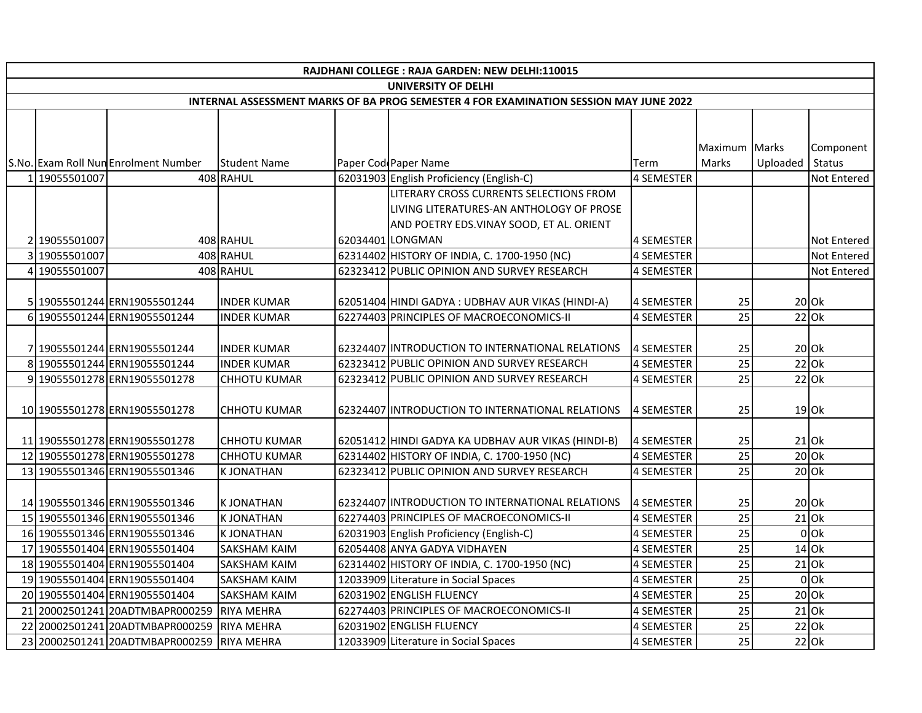| <b>RAJDHANI COLLEGE : RAJA GARDEN: NEW DELHI:110015</b> |                                      |                     |  |                                                                                       |                   |                 |          |                    |
|---------------------------------------------------------|--------------------------------------|---------------------|--|---------------------------------------------------------------------------------------|-------------------|-----------------|----------|--------------------|
|                                                         |                                      |                     |  | <b>UNIVERSITY OF DELHI</b>                                                            |                   |                 |          |                    |
|                                                         |                                      |                     |  | INTERNAL ASSESSMENT MARKS OF BA PROG SEMESTER 4 FOR EXAMINATION SESSION MAY JUNE 2022 |                   |                 |          |                    |
|                                                         |                                      |                     |  |                                                                                       |                   |                 |          |                    |
|                                                         |                                      |                     |  |                                                                                       |                   |                 |          |                    |
|                                                         |                                      |                     |  |                                                                                       |                   | Maximum Marks   |          | Component          |
|                                                         | S.No. Exam Roll Nun Enrolment Number | <b>Student Name</b> |  | Paper Cod Paper Name                                                                  | Term              | Marks           | Uploaded | Status             |
| 1 19055501007                                           |                                      | 408 RAHUL           |  | 62031903 English Proficiency (English-C)                                              | <b>4 SEMESTER</b> |                 |          | Not Entered        |
|                                                         |                                      |                     |  | LITERARY CROSS CURRENTS SELECTIONS FROM                                               |                   |                 |          |                    |
|                                                         |                                      |                     |  | LIVING LITERATURES-AN ANTHOLOGY OF PROSE                                              |                   |                 |          |                    |
|                                                         |                                      |                     |  | AND POETRY EDS.VINAY SOOD, ET AL. ORIENT                                              |                   |                 |          |                    |
| 2 19055501007                                           |                                      | 408 RAHUL           |  | 62034401 LONGMAN                                                                      | <b>4 SEMESTER</b> |                 |          | <b>Not Entered</b> |
| 3 19055501007                                           |                                      | 408 RAHUL           |  | 62314402 HISTORY OF INDIA, C. 1700-1950 (NC)                                          | <b>4 SEMESTER</b> |                 |          | Not Entered        |
| 4 19055501007                                           |                                      | 408 RAHUL           |  | 62323412 PUBLIC OPINION AND SURVEY RESEARCH                                           | <b>4 SEMESTER</b> |                 |          | <b>Not Entered</b> |
|                                                         |                                      |                     |  |                                                                                       |                   |                 |          |                    |
|                                                         | 5 19055501244 ERN19055501244         | <b>INDER KUMAR</b>  |  | 62051404 HINDI GADYA : UDBHAV AUR VIKAS (HINDI-A)                                     | <b>4 SEMESTER</b> | 25              |          | $20$ Ok            |
|                                                         | 6 19055501244 ERN19055501244         | <b>INDER KUMAR</b>  |  | 62274403 PRINCIPLES OF MACROECONOMICS-II                                              | <b>4 SEMESTER</b> | 25              |          | $22$ Ok            |
|                                                         |                                      |                     |  |                                                                                       |                   |                 |          |                    |
|                                                         | 7 19055501244 ERN19055501244         | <b>INDER KUMAR</b>  |  | 62324407 INTRODUCTION TO INTERNATIONAL RELATIONS                                      | 4 SEMESTER        | 25              |          | $20$ Ok            |
|                                                         | 8 19055501244 ERN19055501244         | <b>INDER KUMAR</b>  |  | 62323412 PUBLIC OPINION AND SURVEY RESEARCH                                           | <b>4 SEMESTER</b> | 25              |          | $22$ Ok            |
|                                                         | 9 19055501278 ERN19055501278         | <b>CHHOTU KUMAR</b> |  | 62323412 PUBLIC OPINION AND SURVEY RESEARCH                                           | <b>4 SEMESTER</b> | 25              |          | $22$ Ok            |
|                                                         |                                      |                     |  |                                                                                       |                   |                 |          |                    |
|                                                         | 10 19055501278 ERN19055501278        | <b>CHHOTU KUMAR</b> |  | 62324407 INTRODUCTION TO INTERNATIONAL RELATIONS                                      | 4 SEMESTER        | 25              |          | $19$ Ok            |
|                                                         |                                      |                     |  |                                                                                       |                   |                 |          |                    |
|                                                         | 11 19055501278 ERN19055501278        | <b>CHHOTU KUMAR</b> |  | 62051412 HINDI GADYA KA UDBHAV AUR VIKAS (HINDI-B)                                    | 4 SEMESTER        | 25              |          | $21$ Ok            |
|                                                         | 12 19055501278 ERN19055501278        | <b>CHHOTU KUMAR</b> |  | 62314402 HISTORY OF INDIA, C. 1700-1950 (NC)                                          | <b>4 SEMESTER</b> | 25              |          | $20$ Ok            |
|                                                         | 13 19055501346 ERN19055501346        | <b>KJONATHAN</b>    |  | 62323412 PUBLIC OPINION AND SURVEY RESEARCH                                           | 4 SEMESTER        | 25              |          | $20$ Ok            |
|                                                         |                                      |                     |  |                                                                                       |                   |                 |          |                    |
|                                                         | 14 19055501346 ERN19055501346        | <b>KJONATHAN</b>    |  | 62324407 INTRODUCTION TO INTERNATIONAL RELATIONS                                      | 4 SEMESTER        | 25              |          | $20$ Ok            |
|                                                         | 15 19055501346 ERN19055501346        | <b>KJONATHAN</b>    |  | 62274403 PRINCIPLES OF MACROECONOMICS-II                                              | <b>4 SEMESTER</b> | $\overline{25}$ |          | $21$ Ok            |
|                                                         | 16 19055501346 ERN19055501346        | <b>KJONATHAN</b>    |  | 62031903 English Proficiency (English-C)                                              | <b>4 SEMESTER</b> | $\overline{25}$ |          | $0$ Ok             |
|                                                         | 17 19055501404 ERN19055501404        | <b>SAKSHAM KAIM</b> |  | 62054408 ANYA GADYA VIDHAYEN                                                          | <b>4 SEMESTER</b> | $\overline{25}$ |          | $14$ Ok            |
|                                                         | 18 19055501404 ERN19055501404        | <b>SAKSHAM KAIM</b> |  | 62314402 HISTORY OF INDIA, C. 1700-1950 (NC)                                          | <b>4 SEMESTER</b> | 25              |          | $21$ Ok            |
|                                                         | 19 19055501404 ERN19055501404        | <b>SAKSHAM KAIM</b> |  | 12033909 Literature in Social Spaces                                                  | <b>4 SEMESTER</b> | 25              |          | $0$ Ok             |
|                                                         | 20 19055501404 ERN19055501404        | <b>SAKSHAM KAIM</b> |  | 62031902 ENGLISH FLUENCY                                                              | <b>4 SEMESTER</b> | 25              |          | $20$ Ok            |
|                                                         | 21 20002501241 20ADTMBAPR000259      | <b>RIYA MEHRA</b>   |  | 62274403 PRINCIPLES OF MACROECONOMICS-II                                              | 4 SEMESTER        | 25              |          | $21$ Ok            |
|                                                         | 22 20002501241 20ADTMBAPR000259      | <b>RIYA MEHRA</b>   |  | 62031902 ENGLISH FLUENCY                                                              | 4 SEMESTER        | 25              |          | $22$ Ok            |
|                                                         | 23 20002501241 20ADTMBAPR000259      | <b>RIYA MEHRA</b>   |  | 12033909 Literature in Social Spaces                                                  | 4 SEMESTER        | 25              |          | $22$ Ok            |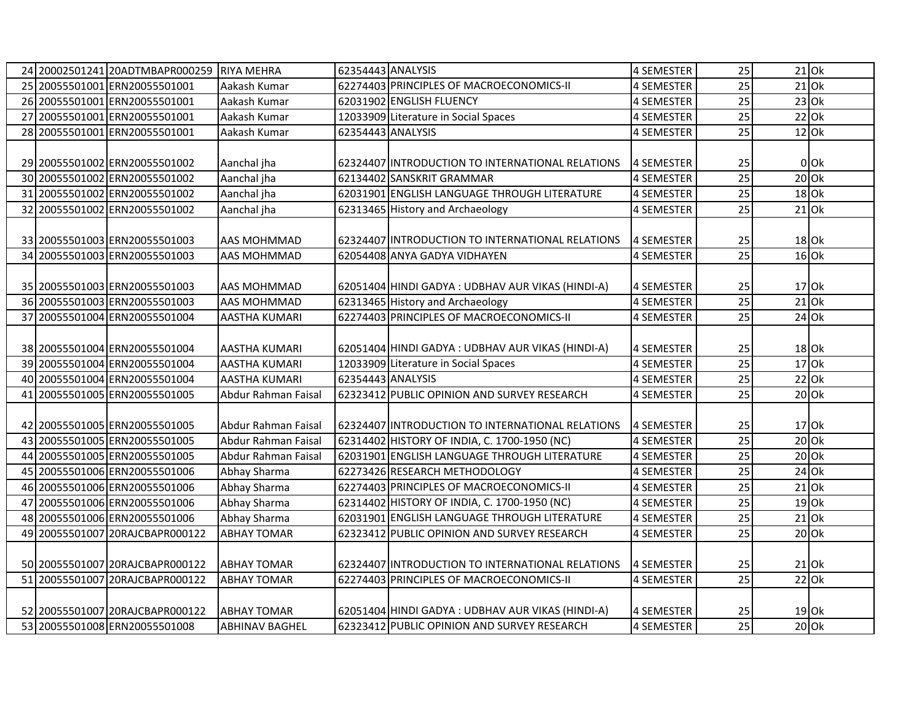|  | 24 20002501241 20ADTMBAPR000259 RIYA MEHRA |                       | 62354443 ANALYSIS |                                                   | 4 SEMESTER        | 25              | $21$ Ok                                         |        |
|--|--------------------------------------------|-----------------------|-------------------|---------------------------------------------------|-------------------|-----------------|-------------------------------------------------|--------|
|  | 25 20055501001 ERN20055501001              | Aakash Kumar          |                   | 62274403 PRINCIPLES OF MACROECONOMICS-II          | <b>4 SEMESTER</b> | $\overline{25}$ | $21$ Ok                                         |        |
|  | 26 20055501001 ERN20055501001              | Aakash Kumar          |                   | 62031902 ENGLISH FLUENCY                          | <b>4 SEMESTER</b> | $\overline{25}$ | $23$ Ok                                         |        |
|  | 27 20055501001 ERN20055501001              | Aakash Kumar          |                   | 12033909 Literature in Social Spaces              | <b>4 SEMESTER</b> | $\overline{25}$ | $22$ Ok                                         |        |
|  | 28 20055501001 ERN20055501001              | Aakash Kumar          | 62354443 ANALYSIS |                                                   | <b>4 SEMESTER</b> | $\overline{25}$ | $12$ Ok                                         |        |
|  |                                            |                       |                   |                                                   |                   |                 |                                                 |        |
|  | 29 20055501002 ERN20055501002              | Aanchal jha           |                   | 62324407 INTRODUCTION TO INTERNATIONAL RELATIONS  | 4 SEMESTER        | 25              |                                                 | $0$ Ok |
|  | 30 20055501002 ERN20055501002              | Aanchal jha           |                   | 62134402 SANSKRIT GRAMMAR                         | 4 SEMESTER        | $\overline{25}$ | $20$ Ok                                         |        |
|  | 31 20055501002 ERN20055501002              | Aanchal jha           |                   | 62031901 ENGLISH LANGUAGE THROUGH LITERATURE      | 4 SEMESTER        | $\overline{25}$ | $18$ Ok                                         |        |
|  | 32 20055501002 ERN20055501002              | Aanchal jha           |                   | 62313465 History and Archaeology                  | <b>4 SEMESTER</b> | $\overline{25}$ | $21$ Ok                                         |        |
|  |                                            |                       |                   |                                                   |                   |                 |                                                 |        |
|  | 33 20055501003 ERN20055501003              | <b>AAS MOHMMAD</b>    |                   | 62324407 INTRODUCTION TO INTERNATIONAL RELATIONS  | 4 SEMESTER        | 25              | 18 Ok                                           |        |
|  | 34 20055501003 ERN20055501003              | <b>AAS MOHMMAD</b>    |                   | 62054408 ANYA GADYA VIDHAYEN                      | 4 SEMESTER        | $\overline{25}$ | $16$ Ok                                         |        |
|  |                                            |                       |                   |                                                   |                   |                 |                                                 |        |
|  | 35 20055501003 ERN20055501003              | <b>AAS MOHMMAD</b>    |                   | 62051404 HINDI GADYA : UDBHAV AUR VIKAS (HINDI-A) | 4 SEMESTER        | 25              | 17 Ok                                           |        |
|  | 36 20055501003 ERN20055501003              | AAS MOHMMAD           |                   | 62313465 History and Archaeology                  | 4 SEMESTER        | 25              | $21$ Ok                                         |        |
|  | 37 20055501004 ERN20055501004              | <b>AASTHA KUMARI</b>  |                   | 62274403 PRINCIPLES OF MACROECONOMICS-II          | 4 SEMESTER        | 25              | 24 Ok                                           |        |
|  |                                            |                       |                   |                                                   |                   |                 |                                                 |        |
|  | 38 20055501004 ERN20055501004              | <b>AASTHA KUMARI</b>  |                   | 62051404 HINDI GADYA : UDBHAV AUR VIKAS (HINDI-A) | 4 SEMESTER        | 25              | $18$ Ok                                         |        |
|  | 39 20055501004 ERN20055501004              | <b>AASTHA KUMARI</b>  |                   | 12033909 Literature in Social Spaces              | <b>4 SEMESTER</b> | 25              | $17$ Ok                                         |        |
|  | 40 20055501004 ERN20055501004              | <b>AASTHA KUMARI</b>  | 62354443 ANALYSIS |                                                   | <b>4 SEMESTER</b> | $\overline{25}$ | $22$ Ok                                         |        |
|  | 41 20055501005 ERN20055501005              | Abdur Rahman Faisal   |                   | 62323412 PUBLIC OPINION AND SURVEY RESEARCH       | <b>4 SEMESTER</b> | $\overline{25}$ | $20$ Ok                                         |        |
|  |                                            |                       |                   |                                                   |                   |                 |                                                 |        |
|  | 42 20055501005 ERN20055501005              | Abdur Rahman Faisal   |                   | 62324407 INTRODUCTION TO INTERNATIONAL RELATIONS  | 4 SEMESTER        | 25              | $17$ Ok                                         |        |
|  | 43 20055501005 ERN20055501005              | Abdur Rahman Faisal   |                   | 62314402 HISTORY OF INDIA, C. 1700-1950 (NC)      | <b>4 SEMESTER</b> | $\overline{25}$ | $20$ Ok                                         |        |
|  | 44 20055501005 ERN20055501005              | Abdur Rahman Faisal   |                   | 62031901 ENGLISH LANGUAGE THROUGH LITERATURE      | <b>4 SEMESTER</b> | 25              | $20$ Ok                                         |        |
|  | 45 20055501006 ERN20055501006              | Abhay Sharma          |                   | 62273426 RESEARCH METHODOLOGY                     | 4 SEMESTER        | $\overline{25}$ | $24$ Ok                                         |        |
|  | 46 20055501006 ERN20055501006              | Abhay Sharma          |                   | 62274403 PRINCIPLES OF MACROECONOMICS-II          | 4 SEMESTER        | $\overline{25}$ | $21$ Ok                                         |        |
|  | 47 20055501006 ERN20055501006              | Abhay Sharma          |                   | 62314402 HISTORY OF INDIA, C. 1700-1950 (NC)      | <b>4 SEMESTER</b> | $\overline{25}$ | $19$ Ok                                         |        |
|  | 48 20055501006 ERN20055501006              | Abhay Sharma          |                   | 62031901 ENGLISH LANGUAGE THROUGH LITERATURE      | 4 SEMESTER        | 25              | $21$ O $\overline{\overline{\text{O}}\text{K}}$ |        |
|  | 49 20055501007 20RAJCBAPR000122            | <b>ABHAY TOMAR</b>    |                   | 62323412 PUBLIC OPINION AND SURVEY RESEARCH       | 4 SEMESTER        | 25              | 20 Ok                                           |        |
|  |                                            |                       |                   |                                                   |                   |                 |                                                 |        |
|  | 50 20055501007 20RAJCBAPR000122            | <b>ABHAY TOMAR</b>    |                   | 62324407 INTRODUCTION TO INTERNATIONAL RELATIONS  | 4 SEMESTER        | 25              | $21$ Ok                                         |        |
|  | 51 20055501007 20RAJCBAPR000122            | <b>ABHAY TOMAR</b>    |                   | 62274403 PRINCIPLES OF MACROECONOMICS-II          | 4 SEMESTER        | $\overline{25}$ | $22$ Ok                                         |        |
|  |                                            |                       |                   |                                                   |                   |                 |                                                 |        |
|  | 52 20055501007 20RAJCBAPR000122            | <b>ABHAY TOMAR</b>    |                   | 62051404 HINDI GADYA : UDBHAV AUR VIKAS (HINDI-A) | 4 SEMESTER        | 25              | $19$ Ok                                         |        |
|  | 53 20055501008 ERN20055501008              | <b>ABHINAV BAGHEL</b> |                   | 62323412 PUBLIC OPINION AND SURVEY RESEARCH       | 4 SEMESTER        | 25              | $20$ Ok                                         |        |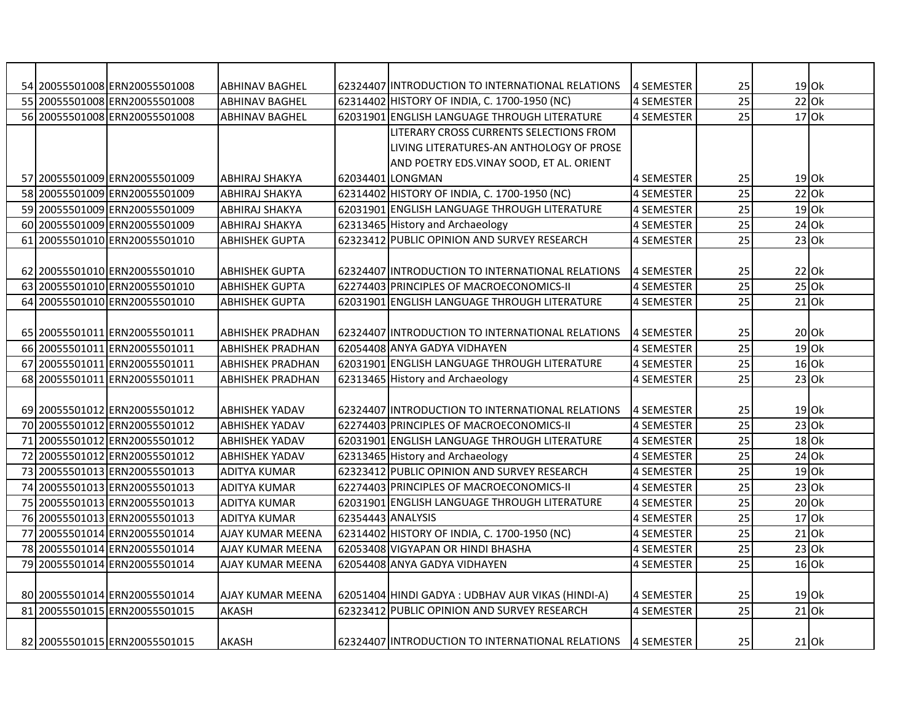|  | 54 20055501008 ERN20055501008 | ABHINAV BAGHEL          |                   | 62324407 INTRODUCTION TO INTERNATIONAL RELATIONS  | <b>4 SEMESTER</b> | 25              | $19$ Ok |         |
|--|-------------------------------|-------------------------|-------------------|---------------------------------------------------|-------------------|-----------------|---------|---------|
|  | 55 20055501008 ERN20055501008 | ABHINAV BAGHEL          |                   | 62314402 HISTORY OF INDIA, C. 1700-1950 (NC)      | <b>4 SEMESTER</b> | $\overline{25}$ |         | $22$ Ok |
|  | 56 20055501008 ERN20055501008 | <b>ABHINAV BAGHEL</b>   |                   | 62031901 ENGLISH LANGUAGE THROUGH LITERATURE      | <b>4 SEMESTER</b> | $\overline{25}$ |         | $17$ Ok |
|  |                               |                         |                   | LITERARY CROSS CURRENTS SELECTIONS FROM           |                   |                 |         |         |
|  |                               |                         |                   | LIVING LITERATURES-AN ANTHOLOGY OF PROSE          |                   |                 |         |         |
|  |                               |                         |                   | AND POETRY EDS.VINAY SOOD, ET AL. ORIENT          |                   |                 |         |         |
|  | 57 20055501009 ERN20055501009 | <b>ABHIRAJ SHAKYA</b>   |                   | 62034401 LONGMAN                                  | 4 SEMESTER        | 25              |         | $19$ Ok |
|  | 58 20055501009 ERN20055501009 | <b>ABHIRAJ SHAKYA</b>   |                   | 62314402 HISTORY OF INDIA, C. 1700-1950 (NC)      | 4 SEMESTER        | 25              |         | $22$ Ok |
|  | 59 20055501009 ERN20055501009 | <b>ABHIRAJ SHAKYA</b>   |                   | 62031901 ENGLISH LANGUAGE THROUGH LITERATURE      | <b>4 SEMESTER</b> | 25              |         | $19$ Ok |
|  | 60 20055501009 ERN20055501009 | ABHIRAJ SHAKYA          |                   | 62313465 History and Archaeology                  | <b>4 SEMESTER</b> | 25              | 24 Ok   |         |
|  | 61 20055501010 ERN20055501010 | <b>ABHISHEK GUPTA</b>   |                   | 62323412 PUBLIC OPINION AND SURVEY RESEARCH       | <b>4 SEMESTER</b> | 25              | $23$ Ok |         |
|  |                               |                         |                   |                                                   |                   |                 |         |         |
|  | 62 20055501010 ERN20055501010 | <b>ABHISHEK GUPTA</b>   |                   | 62324407 INTRODUCTION TO INTERNATIONAL RELATIONS  | 4 SEMESTER        | 25              | $22$ Ok |         |
|  | 63 20055501010 ERN20055501010 | <b>ABHISHEK GUPTA</b>   |                   | 62274403 PRINCIPLES OF MACROECONOMICS-II          | 4 SEMESTER        | 25              |         | $25$ Ok |
|  | 64 20055501010 ERN20055501010 | ABHISHEK GUPTA          |                   | 62031901 ENGLISH LANGUAGE THROUGH LITERATURE      | 4 SEMESTER        | 25              |         | $21$ Ok |
|  |                               |                         |                   |                                                   |                   |                 |         |         |
|  | 65 20055501011 ERN20055501011 | ABHISHEK PRADHAN        |                   | 62324407 INTRODUCTION TO INTERNATIONAL RELATIONS  | 4 SEMESTER        | 25              |         | $20$ Ok |
|  | 66 20055501011 ERN20055501011 | <b>ABHISHEK PRADHAN</b> |                   | 62054408 ANYA GADYA VIDHAYEN                      | 4 SEMESTER        | 25              |         | $19$ Ok |
|  | 67 20055501011 ERN20055501011 | <b>ABHISHEK PRADHAN</b> |                   | 62031901 ENGLISH LANGUAGE THROUGH LITERATURE      | 4 SEMESTER        | 25              | $16$ Ok |         |
|  | 68 20055501011 ERN20055501011 | ABHISHEK PRADHAN        |                   | 62313465 History and Archaeology                  | 4 SEMESTER        | 25              | $23$ Ok |         |
|  |                               |                         |                   |                                                   |                   |                 |         |         |
|  | 69 20055501012 ERN20055501012 | ABHISHEK YADAV          |                   | 62324407 INTRODUCTION TO INTERNATIONAL RELATIONS  | 4 SEMESTER        | 25              | $19$ Ok |         |
|  | 70 20055501012 ERN20055501012 | ABHISHEK YADAV          |                   | 62274403 PRINCIPLES OF MACROECONOMICS-II          | 4 SEMESTER        | 25              | $23$ Ok |         |
|  | 71 20055501012 ERN20055501012 | ABHISHEK YADAV          |                   | 62031901 ENGLISH LANGUAGE THROUGH LITERATURE      | 4 SEMESTER        | 25              | $18$ Ok |         |
|  | 72 20055501012 ERN20055501012 | ABHISHEK YADAV          |                   | 62313465 History and Archaeology                  | 4 SEMESTER        | 25              | $24$ Ok |         |
|  | 73 20055501013 ERN20055501013 | ADITYA KUMAR            |                   | 62323412 PUBLIC OPINION AND SURVEY RESEARCH       | 4 SEMESTER        | 25              | $19$ Ok |         |
|  | 74 20055501013 ERN20055501013 | <b>ADITYA KUMAR</b>     |                   | 62274403 PRINCIPLES OF MACROECONOMICS-II          | 4 SEMESTER        | 25              |         | $23$ Ok |
|  | 75 20055501013 ERN20055501013 | ADITYA KUMAR            |                   | 62031901 ENGLISH LANGUAGE THROUGH LITERATURE      | 4 SEMESTER        | $\overline{25}$ |         | $20$ Ok |
|  | 76 20055501013 ERN20055501013 | <b>ADITYA KUMAR</b>     | 62354443 ANALYSIS |                                                   | 4 SEMESTER        | $\overline{25}$ |         | $17$ Ok |
|  | 77 20055501014 ERN20055501014 | <b>AJAY KUMAR MEENA</b> |                   | 62314402 HISTORY OF INDIA, C. 1700-1950 (NC)      | 4 SEMESTER        | 25              |         | $21$ Ok |
|  | 78 20055501014 ERN20055501014 | <b>AJAY KUMAR MEENA</b> |                   | 62053408 VIGYAPAN OR HINDI BHASHA                 | <b>4 SEMESTER</b> | 25              |         | $23$ Ok |
|  | 79 20055501014 ERN20055501014 | <b>AJAY KUMAR MEENA</b> |                   | 62054408 ANYA GADYA VIDHAYEN                      | 4 SEMESTER        | $\overline{25}$ |         | $16$ Ok |
|  |                               |                         |                   |                                                   |                   |                 |         |         |
|  | 80 20055501014 ERN20055501014 | AJAY KUMAR MEENA        |                   | 62051404 HINDI GADYA : UDBHAV AUR VIKAS (HINDI-A) | 4 SEMESTER        | 25              | 19 Ok   |         |
|  | 81 20055501015 ERN20055501015 | <b>AKASH</b>            |                   | 62323412 PUBLIC OPINION AND SURVEY RESEARCH       | 4 SEMESTER        | $\overline{25}$ | $21$ Ok |         |
|  |                               |                         |                   |                                                   |                   |                 |         |         |
|  | 82 20055501015 ERN20055501015 | AKASH                   |                   | 62324407 INTRODUCTION TO INTERNATIONAL RELATIONS  | <b>4 SEMESTER</b> | 25              | $21$ Ok |         |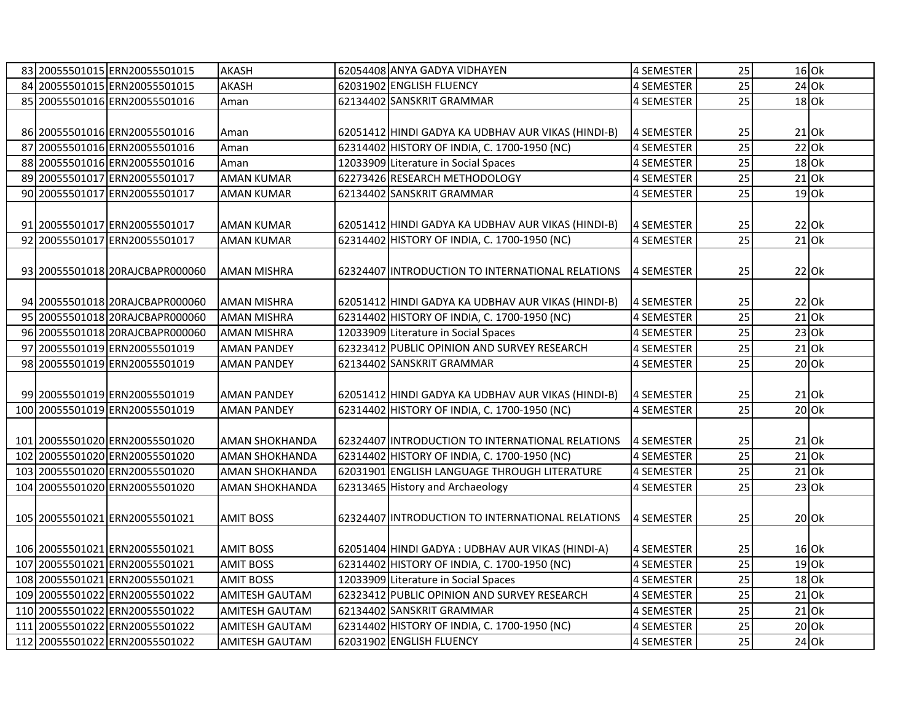|  | 83 20055501015 ERN20055501015   | <b>AKASH</b>          | 62054408 ANYA GADYA VIDHAYEN                       | 4 SEMESTER        | 25              | $16$ Ok |  |
|--|---------------------------------|-----------------------|----------------------------------------------------|-------------------|-----------------|---------|--|
|  | 84 20055501015 ERN20055501015   | <b>AKASH</b>          | 62031902 ENGLISH FLUENCY                           | 4 SEMESTER        | $\overline{25}$ | $24$ Ok |  |
|  | 85 20055501016 ERN20055501016   | Aman                  | 62134402 SANSKRIT GRAMMAR                          | 4 SEMESTER        | 25              | $18$ Ok |  |
|  |                                 |                       |                                                    |                   |                 |         |  |
|  | 86 20055501016 ERN20055501016   | Aman                  | 62051412 HINDI GADYA KA UDBHAV AUR VIKAS (HINDI-B) | 4 SEMESTER        | 25              | $21$ Ok |  |
|  | 87 20055501016 ERN20055501016   | Aman                  | 62314402 HISTORY OF INDIA, C. 1700-1950 (NC)       | <b>4 SEMESTER</b> | $\overline{25}$ | $22$ Ok |  |
|  | 88 20055501016 ERN20055501016   | Aman                  | 12033909 Literature in Social Spaces               | <b>4 SEMESTER</b> | 25              | $18$ Ok |  |
|  | 89 20055501017 ERN20055501017   | <b>AMAN KUMAR</b>     | 62273426 RESEARCH METHODOLOGY                      | 4 SEMESTER        | 25              | $21$ Ok |  |
|  | 90 20055501017 ERN20055501017   | <b>AMAN KUMAR</b>     | 62134402 SANSKRIT GRAMMAR                          | 4 SEMESTER        | 25              | $19$ Ok |  |
|  |                                 |                       |                                                    |                   |                 |         |  |
|  | 91 20055501017 ERN20055501017   | <b>AMAN KUMAR</b>     | 62051412 HINDI GADYA KA UDBHAV AUR VIKAS (HINDI-B) | 4 SEMESTER        | 25              | $22$ Ok |  |
|  | 92 20055501017 ERN20055501017   | <b>AMAN KUMAR</b>     | 62314402 HISTORY OF INDIA, C. 1700-1950 (NC)       | <b>4 SEMESTER</b> | 25              | $21$ Ok |  |
|  |                                 |                       |                                                    |                   |                 |         |  |
|  | 93 20055501018 20RAJCBAPR000060 | <b>AMAN MISHRA</b>    | 62324407 INTRODUCTION TO INTERNATIONAL RELATIONS   | <b>4 SEMESTER</b> | 25              | $22$ Ok |  |
|  |                                 |                       |                                                    |                   |                 |         |  |
|  | 94 20055501018 20RAJCBAPR000060 | <b>AMAN MISHRA</b>    | 62051412 HINDI GADYA KA UDBHAV AUR VIKAS (HINDI-B) | 4 SEMESTER        | 25              | $22$ Ok |  |
|  | 95 20055501018 20RAJCBAPR000060 | <b>AMAN MISHRA</b>    | 62314402 HISTORY OF INDIA, C. 1700-1950 (NC)       | 4 SEMESTER        | $\overline{25}$ | $21$ Ok |  |
|  | 96 20055501018 20RAJCBAPR000060 | <b>AMAN MISHRA</b>    | 12033909 Literature in Social Spaces               | <b>4 SEMESTER</b> | $\overline{25}$ | $23$ Ok |  |
|  | 97 20055501019 ERN20055501019   | <b>AMAN PANDEY</b>    | 62323412 PUBLIC OPINION AND SURVEY RESEARCH        | 4 SEMESTER        | 25              | $21$ Ok |  |
|  | 98 20055501019 ERN20055501019   | <b>AMAN PANDEY</b>    | 62134402 SANSKRIT GRAMMAR                          | 4 SEMESTER        | 25              | $20$ Ok |  |
|  |                                 |                       |                                                    |                   |                 |         |  |
|  | 99 20055501019 ERN20055501019   | <b>AMAN PANDEY</b>    | 62051412 HINDI GADYA KA UDBHAV AUR VIKAS (HINDI-B) | 4 SEMESTER        | 25              | $21$ Ok |  |
|  | 100 20055501019 ERN20055501019  | <b>AMAN PANDEY</b>    | 62314402 HISTORY OF INDIA, C. 1700-1950 (NC)       | 4 SEMESTER        | $\overline{25}$ | $20$ Ok |  |
|  |                                 |                       |                                                    |                   |                 |         |  |
|  | 101 20055501020 ERN20055501020  | AMAN SHOKHANDA        | 62324407 INTRODUCTION TO INTERNATIONAL RELATIONS   | 4 SEMESTER        | 25              | $21$ Ok |  |
|  | 102 20055501020 ERN20055501020  | AMAN SHOKHANDA        | 62314402 HISTORY OF INDIA, C. 1700-1950 (NC)       | 4 SEMESTER        | 25              | $21$ Ok |  |
|  | 103 20055501020 ERN20055501020  | <b>AMAN SHOKHANDA</b> | 62031901 ENGLISH LANGUAGE THROUGH LITERATURE       | 4 SEMESTER        | 25              | $21$ Ok |  |
|  | 104 20055501020 ERN20055501020  | AMAN SHOKHANDA        | 62313465 History and Archaeology                   | 4 SEMESTER        | 25              | $23$ Ok |  |
|  |                                 |                       |                                                    |                   |                 |         |  |
|  | 105 20055501021 ERN20055501021  | <b>AMIT BOSS</b>      | 62324407 INTRODUCTION TO INTERNATIONAL RELATIONS   | 4 SEMESTER        | 25              | $20$ Ok |  |
|  |                                 |                       |                                                    |                   |                 |         |  |
|  | 106 20055501021 ERN20055501021  | <b>AMIT BOSS</b>      | 62051404 HINDI GADYA : UDBHAV AUR VIKAS (HINDI-A)  | 4 SEMESTER        | 25              | $16$ Ok |  |
|  | 107 20055501021 ERN20055501021  | <b>AMIT BOSS</b>      | 62314402 HISTORY OF INDIA, C. 1700-1950 (NC)       | 4 SEMESTER        | $\overline{25}$ | $19$ Ok |  |
|  | 108 20055501021 ERN20055501021  | <b>AMIT BOSS</b>      | 12033909 Literature in Social Spaces               | 4 SEMESTER        | 25              | $18$ Ok |  |
|  | 109 20055501022 ERN20055501022  | <b>AMITESH GAUTAM</b> | 62323412 PUBLIC OPINION AND SURVEY RESEARCH        | 4 SEMESTER        | 25              | $21$ Ok |  |
|  | 110 20055501022 ERN20055501022  | <b>AMITESH GAUTAM</b> | 62134402 SANSKRIT GRAMMAR                          | 4 SEMESTER        | 25              | $21$ Ok |  |
|  | 111 20055501022 ERN20055501022  | <b>AMITESH GAUTAM</b> | 62314402 HISTORY OF INDIA, C. 1700-1950 (NC)       | 4 SEMESTER        | 25              | 20 Ok   |  |
|  | 112 20055501022 ERN20055501022  | <b>AMITESH GAUTAM</b> | 62031902 ENGLISH FLUENCY                           | 4 SEMESTER        | 25              | 24 Ok   |  |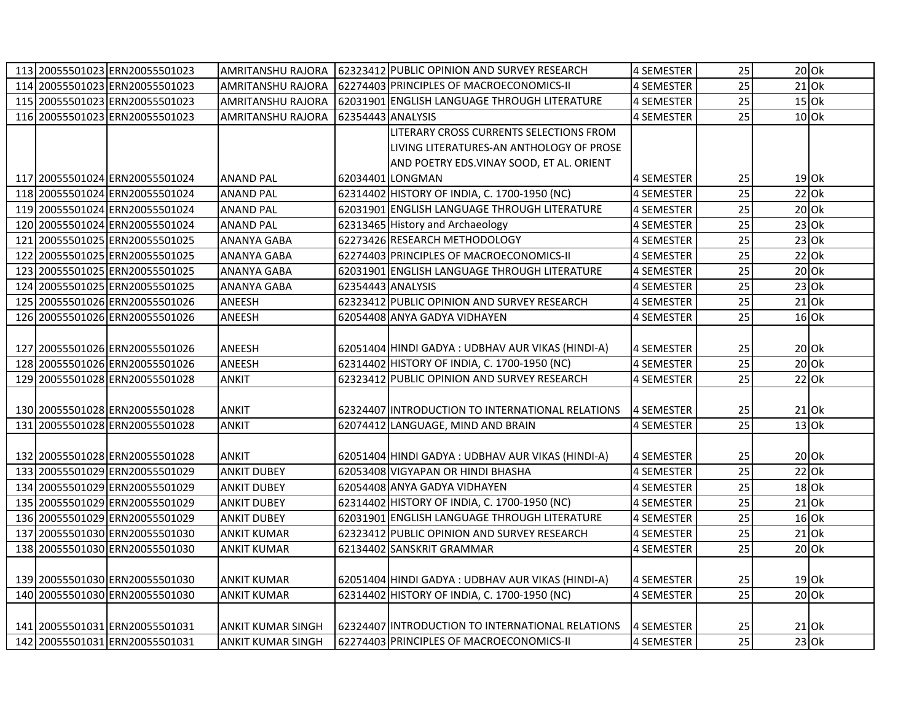|     | 113 20055501023 ERN20055501023 |                          |                   | AMRITANSHU RAJORA 62323412 PUBLIC OPINION AND SURVEY RESEARCH | 4 SEMESTER        | 25              |         | $20$ Ok |
|-----|--------------------------------|--------------------------|-------------------|---------------------------------------------------------------|-------------------|-----------------|---------|---------|
|     | 114 20055501023 ERN20055501023 | AMRITANSHU RAJORA        |                   | 62274403 PRINCIPLES OF MACROECONOMICS-II                      | <b>4 SEMESTER</b> | $\overline{25}$ |         | $21$ Ok |
|     | 115 20055501023 ERN20055501023 | AMRITANSHU RAJORA        |                   | 62031901 ENGLISH LANGUAGE THROUGH LITERATURE                  | 4 SEMESTER        | 25              |         | $15$ Ok |
|     | 116 20055501023 ERN20055501023 | AMRITANSHU RAJORA        | 62354443 ANALYSIS |                                                               | 4 SEMESTER        | 25              |         | $10$ Ok |
|     |                                |                          |                   | LITERARY CROSS CURRENTS SELECTIONS FROM                       |                   |                 |         |         |
|     |                                |                          |                   | LIVING LITERATURES-AN ANTHOLOGY OF PROSE                      |                   |                 |         |         |
|     |                                |                          |                   | AND POETRY EDS.VINAY SOOD, ET AL. ORIENT                      |                   |                 |         |         |
|     | 117 20055501024 ERN20055501024 | <b>ANAND PAL</b>         |                   | 62034401 LONGMAN                                              | <b>4 SEMESTER</b> | 25              |         | $19$ Ok |
|     | 118 20055501024 ERN20055501024 | <b>ANAND PAL</b>         |                   | 62314402 HISTORY OF INDIA, C. 1700-1950 (NC)                  | <b>4 SEMESTER</b> | 25              |         | $22$ Ok |
|     | 119 20055501024 ERN20055501024 | <b>ANAND PAL</b>         |                   | 62031901 ENGLISH LANGUAGE THROUGH LITERATURE                  | <b>4 SEMESTER</b> | 25              |         | $20$ Ok |
|     | 120 20055501024 ERN20055501024 | <b>ANAND PAL</b>         |                   | 62313465 History and Archaeology                              | <b>4 SEMESTER</b> | 25              |         | $23$ Ok |
| 121 | 20055501025 ERN20055501025     | <b>ANANYA GABA</b>       |                   | 62273426 RESEARCH METHODOLOGY                                 | <b>4 SEMESTER</b> | 25              |         | $23$ Ok |
| 122 | 20055501025 ERN20055501025     | <b>ANANYA GABA</b>       |                   | 62274403 PRINCIPLES OF MACROECONOMICS-II                      | <b>4 SEMESTER</b> | 25              |         | 22 Ok   |
| 123 | 20055501025 ERN20055501025     | <b>ANANYA GABA</b>       |                   | 62031901 ENGLISH LANGUAGE THROUGH LITERATURE                  | 4 SEMESTER        | 25              |         | $20$ Ok |
|     | 124 20055501025 ERN20055501025 | <b>ANANYA GABA</b>       | 62354443 ANALYSIS |                                                               | 4 SEMESTER        | $\overline{25}$ |         | $23$ Ok |
|     | 125 20055501026 ERN20055501026 | ANEESH                   |                   | 62323412 PUBLIC OPINION AND SURVEY RESEARCH                   | <b>4 SEMESTER</b> | 25              |         | $21$ Ok |
|     | 126 20055501026 ERN20055501026 | ANEESH                   |                   | 62054408 ANYA GADYA VIDHAYEN                                  | 4 SEMESTER        | 25              |         | $16$ Ok |
|     |                                |                          |                   |                                                               |                   |                 |         |         |
|     | 127 20055501026 ERN20055501026 | ANEESH                   |                   | 62051404 HINDI GADYA : UDBHAV AUR VIKAS (HINDI-A)             | 4 SEMESTER        | 25              | $20$ Ok |         |
|     | 128 20055501026 ERN20055501026 | ANEESH                   |                   | 62314402 HISTORY OF INDIA, C. 1700-1950 (NC)                  | <b>4 SEMESTER</b> | 25              |         | $20$ Ok |
|     | 129 20055501028 ERN20055501028 | <b>ANKIT</b>             |                   | 62323412 PUBLIC OPINION AND SURVEY RESEARCH                   | <b>4 SEMESTER</b> | 25              |         | $22$ Ok |
|     |                                |                          |                   |                                                               |                   |                 |         |         |
|     | 130 20055501028 ERN20055501028 | <b>ANKIT</b>             |                   | 62324407 INTRODUCTION TO INTERNATIONAL RELATIONS              | <b>4 SEMESTER</b> | 25              | 21 Ok   |         |
| 131 | 20055501028 ERN20055501028     | <b>ANKIT</b>             |                   | 62074412 LANGUAGE, MIND AND BRAIN                             | <b>4 SEMESTER</b> | 25              | $13$ Ok |         |
|     |                                |                          |                   |                                                               |                   |                 |         |         |
|     | 132 20055501028 ERN20055501028 | <b>ANKIT</b>             |                   | 62051404 HINDI GADYA : UDBHAV AUR VIKAS (HINDI-A)             | 4 SEMESTER        | 25              | $20$ Ok |         |
|     | 133 20055501029 ERN20055501029 | <b>ANKIT DUBEY</b>       |                   | 62053408 VIGYAPAN OR HINDI BHASHA                             | <b>4 SEMESTER</b> | $\overline{25}$ | $22$ Ok |         |
|     | 134 20055501029 ERN20055501029 | <b>ANKIT DUBEY</b>       |                   | 62054408 ANYA GADYA VIDHAYEN                                  | <b>4 SEMESTER</b> | 25              |         | $18$ Ok |
|     | 135 20055501029 ERN20055501029 | <b>ANKIT DUBEY</b>       |                   | 62314402 HISTORY OF INDIA, C. 1700-1950 (NC)                  | <b>4 SEMESTER</b> | $\overline{25}$ |         | $21$ Ok |
|     | 136 20055501029 ERN20055501029 | <b>ANKIT DUBEY</b>       |                   | 62031901 ENGLISH LANGUAGE THROUGH LITERATURE                  | <b>4 SEMESTER</b> | $\overline{25}$ |         | $16$ Ok |
|     | 137 20055501030 ERN20055501030 | <b>ANKIT KUMAR</b>       |                   | 62323412 PUBLIC OPINION AND SURVEY RESEARCH                   | 4 SEMESTER        | 25              |         | $21$ Ok |
|     | 138 20055501030 ERN20055501030 | <b>ANKIT KUMAR</b>       |                   | 62134402 SANSKRIT GRAMMAR                                     | 4 SEMESTER        | 25              |         | $20$ Ok |
|     |                                |                          |                   |                                                               |                   |                 |         |         |
|     | 139 20055501030 ERN20055501030 | <b>ANKIT KUMAR</b>       |                   | 62051404 HINDI GADYA : UDBHAV AUR VIKAS (HINDI-A)             | 4 SEMESTER        | 25              |         | $19$ Ok |
|     | 140 20055501030 ERN20055501030 | <b>ANKIT KUMAR</b>       |                   | 62314402 HISTORY OF INDIA, C. 1700-1950 (NC)                  | <b>4 SEMESTER</b> | 25              |         | $20$ Ok |
|     |                                |                          |                   |                                                               |                   |                 |         |         |
|     | 141 20055501031 ERN20055501031 | <b>ANKIT KUMAR SINGH</b> |                   | 62324407 INTRODUCTION TO INTERNATIONAL RELATIONS              | 4 SEMESTER        | 25              | $21$ Ok |         |
|     | 142 20055501031 ERN20055501031 | <b>ANKIT KUMAR SINGH</b> |                   | 62274403 PRINCIPLES OF MACROECONOMICS-II                      | <b>4 SEMESTER</b> | 25              |         | $23$ Ok |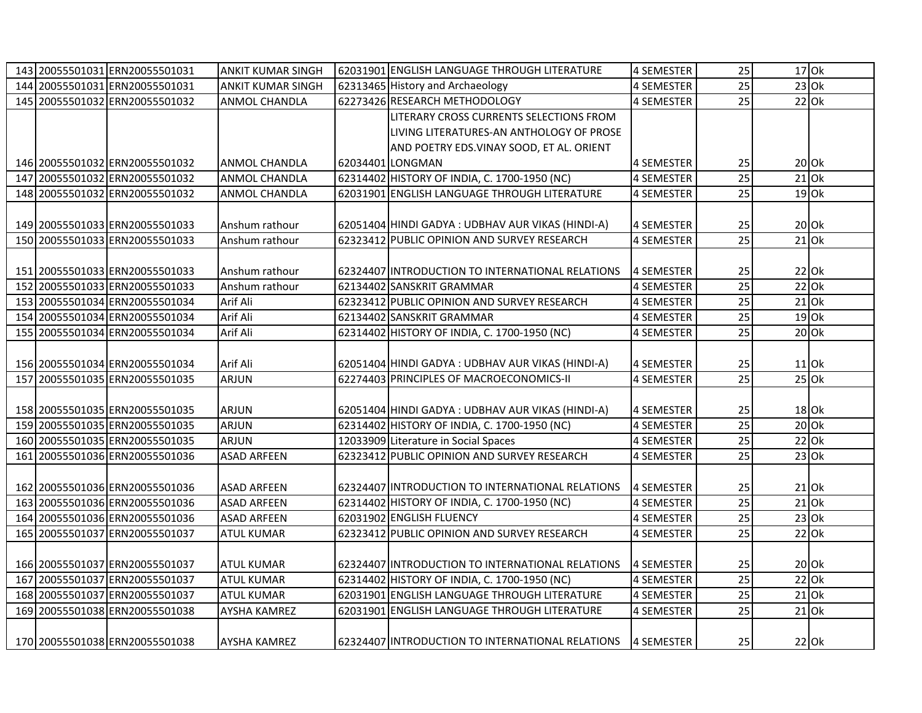|  | 143 20055501031 ERN20055501031 | <b>ANKIT KUMAR SINGH</b> |          | 62031901 ENGLISH LANGUAGE THROUGH LITERATURE      | 4 SEMESTER        | 25              | $17$ Ok             |  |
|--|--------------------------------|--------------------------|----------|---------------------------------------------------|-------------------|-----------------|---------------------|--|
|  | 144 20055501031 ERN20055501031 | <b>ANKIT KUMAR SINGH</b> |          | 62313465 History and Archaeology                  | 4 SEMESTER        | $\overline{25}$ | $23$ Ok             |  |
|  | 145 20055501032 ERN20055501032 | <b>ANMOL CHANDLA</b>     |          | 62273426 RESEARCH METHODOLOGY                     | <b>4 SEMESTER</b> | 25              | $22$ O <sub>k</sub> |  |
|  |                                |                          |          | LITERARY CROSS CURRENTS SELECTIONS FROM           |                   |                 |                     |  |
|  |                                |                          |          | LIVING LITERATURES-AN ANTHOLOGY OF PROSE          |                   |                 |                     |  |
|  |                                |                          |          | AND POETRY EDS.VINAY SOOD, ET AL. ORIENT          |                   |                 |                     |  |
|  | 146 20055501032 ERN20055501032 | <b>ANMOL CHANDLA</b>     |          | 62034401 LONGMAN                                  | 4 SEMESTER        | 25              | $20$ Ok             |  |
|  | 147 20055501032 ERN20055501032 | <b>ANMOL CHANDLA</b>     |          | 62314402 HISTORY OF INDIA, C. 1700-1950 (NC)      | 4 SEMESTER        | 25              | $21$ Ok             |  |
|  | 148 20055501032 ERN20055501032 | ANMOL CHANDLA            |          | 62031901 ENGLISH LANGUAGE THROUGH LITERATURE      | 4 SEMESTER        | 25              | $19$ Ok             |  |
|  |                                |                          |          |                                                   |                   |                 |                     |  |
|  | 149 20055501033 ERN20055501033 | Anshum rathour           |          | 62051404 HINDI GADYA : UDBHAV AUR VIKAS (HINDI-A) | 4 SEMESTER        | 25              | $20$ Ok             |  |
|  | 150 20055501033 ERN20055501033 | Anshum rathour           |          | 62323412 PUBLIC OPINION AND SURVEY RESEARCH       | <b>4 SEMESTER</b> | 25              | $21$ Ok             |  |
|  |                                |                          |          |                                                   |                   |                 |                     |  |
|  | 151 20055501033 ERN20055501033 | Anshum rathour           |          | 62324407 INTRODUCTION TO INTERNATIONAL RELATIONS  | 4 SEMESTER        | 25              | $22$ Ok             |  |
|  | 152 20055501033 ERN20055501033 | Anshum rathour           |          | 62134402 SANSKRIT GRAMMAR                         | 4 SEMESTER        | $\overline{25}$ | $22$ Ok             |  |
|  | 153 20055501034 ERN20055501034 | Arif Ali                 |          | 62323412 PUBLIC OPINION AND SURVEY RESEARCH       | 4 SEMESTER        | 25              | $21$ Ok             |  |
|  | 154 20055501034 ERN20055501034 | Arif Ali                 |          | 62134402 SANSKRIT GRAMMAR                         | 4 SEMESTER        | 25              | $19$ Ok             |  |
|  | 155 20055501034 ERN20055501034 | Arif Ali                 |          | 62314402 HISTORY OF INDIA, C. 1700-1950 (NC)      | 4 SEMESTER        | 25              | $20$ Ok             |  |
|  |                                |                          |          |                                                   |                   |                 |                     |  |
|  | 156 20055501034 ERN20055501034 | Arif Ali                 |          | 62051404 HINDI GADYA : UDBHAV AUR VIKAS (HINDI-A) | 4 SEMESTER        | 25              | $11$ Ok             |  |
|  | 157 20055501035 ERN20055501035 | <b>ARJUN</b>             |          | 62274403 PRINCIPLES OF MACROECONOMICS-II          | 4 SEMESTER        | 25              | $25$ Ok             |  |
|  |                                |                          |          |                                                   |                   |                 |                     |  |
|  | 158 20055501035 ERN20055501035 | <b>ARJUN</b>             |          | 62051404 HINDI GADYA : UDBHAV AUR VIKAS (HINDI-A) | 4 SEMESTER        | 25              | $18$ Ok             |  |
|  | 159 20055501035 ERN20055501035 | <b>ARJUN</b>             |          | 62314402 HISTORY OF INDIA, C. 1700-1950 (NC)      | 4 SEMESTER        | $\overline{25}$ | $20$ Ok             |  |
|  | 160 20055501035 ERN20055501035 | <b>ARJUN</b>             |          | 12033909 Literature in Social Spaces              | 4 SEMESTER        | 25              | 22 Ok               |  |
|  | 161 20055501036 ERN20055501036 | <b>ASAD ARFEEN</b>       |          | 62323412 PUBLIC OPINION AND SURVEY RESEARCH       | 4 SEMESTER        | $\overline{25}$ | $23$ Ok             |  |
|  |                                |                          |          |                                                   |                   |                 |                     |  |
|  | 162 20055501036 ERN20055501036 | <b>ASAD ARFEEN</b>       |          | 62324407 INTRODUCTION TO INTERNATIONAL RELATIONS  | 4 SEMESTER        | 25              | $21$ Ok             |  |
|  | 163 20055501036 ERN20055501036 | <b>ASAD ARFEEN</b>       |          | 62314402 HISTORY OF INDIA, C. 1700-1950 (NC)      | 4 SEMESTER        | $\overline{25}$ | $21$ Ok             |  |
|  | 164 20055501036 ERN20055501036 | <b>ASAD ARFEEN</b>       |          | 62031902 ENGLISH FLUENCY                          | 4 SEMESTER        | 25              | $23$ Ok             |  |
|  | 165 20055501037 ERN20055501037 | <b>ATUL KUMAR</b>        | 62323412 | PUBLIC OPINION AND SURVEY RESEARCH                | 4 SEMESTER        | $\overline{25}$ | $22$ Ok             |  |
|  |                                |                          |          |                                                   |                   |                 |                     |  |
|  | 166 20055501037 ERN20055501037 | <b>ATUL KUMAR</b>        |          | 62324407 INTRODUCTION TO INTERNATIONAL RELATIONS  | 4 SEMESTER        | 25              | $20$ Ok             |  |
|  | 167 20055501037 ERN20055501037 | <b>ATUL KUMAR</b>        |          | 62314402 HISTORY OF INDIA, C. 1700-1950 (NC)      | 4 SEMESTER        | $\overline{25}$ | $22$ Ok             |  |
|  | 168 20055501037 ERN20055501037 | <b>ATUL KUMAR</b>        |          | 62031901 ENGLISH LANGUAGE THROUGH LITERATURE      | 4 SEMESTER        | 25              | $21$ Ok             |  |
|  | 169 20055501038 ERN20055501038 | <b>AYSHA KAMREZ</b>      |          | 62031901 ENGLISH LANGUAGE THROUGH LITERATURE      | 4 SEMESTER        | 25              | $21$ Ok             |  |
|  |                                |                          |          |                                                   |                   |                 |                     |  |
|  | 170 20055501038 ERN20055501038 | <b>AYSHA KAMREZ</b>      |          | 62324407 INTRODUCTION TO INTERNATIONAL RELATIONS  | 4 SEMESTER        | 25              | $22$ Ok             |  |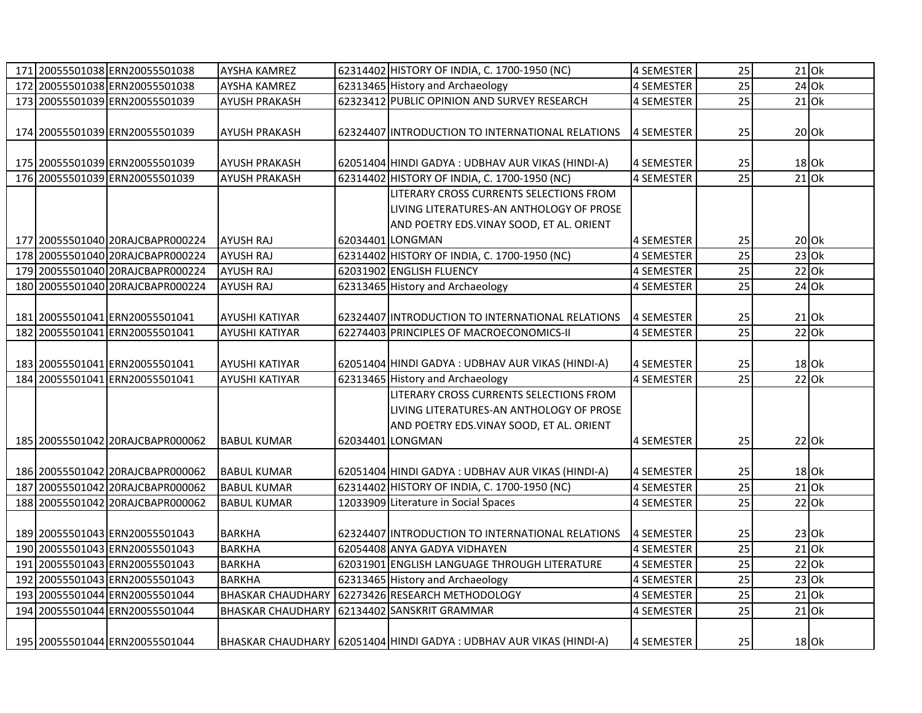|  | 171 20055501038 ERN20055501038   | <b>AYSHA KAMREZ</b>      | 62314402 HISTORY OF INDIA, C. 1700-1950 (NC)                          | 4 SEMESTER        | 25              | $21$ Ok             |  |
|--|----------------------------------|--------------------------|-----------------------------------------------------------------------|-------------------|-----------------|---------------------|--|
|  | 172 20055501038 ERN20055501038   | <b>AYSHA KAMREZ</b>      | 62313465 History and Archaeology                                      | <b>4 SEMESTER</b> | $\overline{25}$ | $24$ Ok             |  |
|  | 173 20055501039 ERN20055501039   | <b>AYUSH PRAKASH</b>     | 62323412 PUBLIC OPINION AND SURVEY RESEARCH                           | 4 SEMESTER        | 25              | $21$ O <sub>k</sub> |  |
|  |                                  |                          |                                                                       |                   |                 |                     |  |
|  | 174 20055501039 ERN20055501039   | <b>AYUSH PRAKASH</b>     | 62324407 INTRODUCTION TO INTERNATIONAL RELATIONS                      | <b>4 SEMESTER</b> | 25              | $20$ Ok             |  |
|  |                                  |                          |                                                                       |                   |                 |                     |  |
|  | 175 20055501039 ERN20055501039   | <b>AYUSH PRAKASH</b>     | 62051404 HINDI GADYA : UDBHAV AUR VIKAS (HINDI-A)                     | 4 SEMESTER        | 25              | 18 Ok               |  |
|  | 176 20055501039 ERN20055501039   | <b>AYUSH PRAKASH</b>     | 62314402 HISTORY OF INDIA, C. 1700-1950 (NC)                          | <b>4 SEMESTER</b> | 25              | $21$ Ok             |  |
|  |                                  |                          | LITERARY CROSS CURRENTS SELECTIONS FROM                               |                   |                 |                     |  |
|  |                                  |                          | LIVING LITERATURES-AN ANTHOLOGY OF PROSE                              |                   |                 |                     |  |
|  |                                  |                          | AND POETRY EDS. VINAY SOOD, ET AL. ORIENT                             |                   |                 |                     |  |
|  | 177 20055501040 20RAJCBAPR000224 | <b>AYUSH RAJ</b>         | 62034401 LONGMAN                                                      | 4 SEMESTER        | 25              | $20$ Ok             |  |
|  | 178 20055501040 20RAJCBAPR000224 | <b>AYUSH RAJ</b>         | 62314402 HISTORY OF INDIA, C. 1700-1950 (NC)                          | 4 SEMESTER        | 25              | $23$ Ok             |  |
|  | 179 20055501040 20RAJCBAPR000224 | <b>AYUSH RAJ</b>         | 62031902 ENGLISH FLUENCY                                              | 4 SEMESTER        | 25              | $22$ Ok             |  |
|  | 180 20055501040 20RAJCBAPR000224 | <b>AYUSH RAJ</b>         | 62313465 History and Archaeology                                      | 4 SEMESTER        | $\overline{25}$ | $24$ Ok             |  |
|  |                                  |                          |                                                                       |                   |                 |                     |  |
|  | 181 20055501041 ERN20055501041   | AYUSHI KATIYAR           | 62324407 INTRODUCTION TO INTERNATIONAL RELATIONS                      | 4 SEMESTER        | 25              | $21$ Ok             |  |
|  | 182 20055501041 ERN20055501041   | <b>AYUSHI KATIYAR</b>    | 62274403 PRINCIPLES OF MACROECONOMICS-II                              | 4 SEMESTER        | 25              | $22$ Ok             |  |
|  |                                  |                          |                                                                       |                   |                 |                     |  |
|  | 183 20055501041 ERN20055501041   | <b>AYUSHI KATIYAR</b>    | 62051404 HINDI GADYA : UDBHAV AUR VIKAS (HINDI-A)                     | 4 SEMESTER        | 25              | $18$ Ok             |  |
|  | 184 20055501041 ERN20055501041   | <b>AYUSHI KATIYAR</b>    | 62313465 History and Archaeology                                      | 4 SEMESTER        | 25              | $22$ Ok             |  |
|  |                                  |                          | LITERARY CROSS CURRENTS SELECTIONS FROM                               |                   |                 |                     |  |
|  |                                  |                          | LIVING LITERATURES-AN ANTHOLOGY OF PROSE                              |                   |                 |                     |  |
|  |                                  |                          | AND POETRY EDS.VINAY SOOD, ET AL. ORIENT                              |                   |                 |                     |  |
|  | 185 20055501042 20RAJCBAPR000062 | <b>BABUL KUMAR</b>       | 62034401 LONGMAN                                                      | 4 SEMESTER        | 25              | $22$ Ok             |  |
|  |                                  |                          |                                                                       |                   |                 |                     |  |
|  | 186 20055501042 20RAJCBAPR000062 | <b>BABUL KUMAR</b>       | 62051404 HINDI GADYA : UDBHAV AUR VIKAS (HINDI-A)                     | 4 SEMESTER        | 25              | 18 Ok               |  |
|  | 187 20055501042 20RAJCBAPR000062 | <b>BABUL KUMAR</b>       | 62314402 HISTORY OF INDIA, C. 1700-1950 (NC)                          | <b>4 SEMESTER</b> | $\overline{25}$ | $21$ Ok             |  |
|  | 188 20055501042 20RAJCBAPR000062 | <b>BABUL KUMAR</b>       | 12033909 Literature in Social Spaces                                  | 4 SEMESTER        | 25              | $22$ Ok             |  |
|  |                                  |                          |                                                                       |                   |                 |                     |  |
|  | 189 20055501043 ERN20055501043   | <b>BARKHA</b>            | 62324407 INTRODUCTION TO INTERNATIONAL RELATIONS                      | <b>4 SEMESTER</b> | 25              | $23$ Ok             |  |
|  | 190 20055501043 ERN20055501043   | <b>BARKHA</b>            | 62054408 ANYA GADYA VIDHAYEN                                          | 4 SEMESTER        | 25              | $21$ Ok             |  |
|  | 191 20055501043 ERN20055501043   | <b>BARKHA</b>            | 62031901 ENGLISH LANGUAGE THROUGH LITERATURE                          | <b>4 SEMESTER</b> | 25              | $22$ Ok             |  |
|  | 192 20055501043 ERN20055501043   | <b>BARKHA</b>            | 62313465 History and Archaeology                                      | <b>4 SEMESTER</b> | 25              | $23$ Ok             |  |
|  | 193 20055501044 ERN20055501044   |                          | BHASKAR CHAUDHARY   62273426 RESEARCH METHODOLOGY                     | 4 SEMESTER        | 25              | $21$ Ok             |  |
|  | 194 20055501044 ERN20055501044   | <b>BHASKAR CHAUDHARY</b> | 62134402 SANSKRIT GRAMMAR                                             | 4 SEMESTER        | 25              | $21$ Ok             |  |
|  |                                  |                          |                                                                       |                   |                 |                     |  |
|  | 195 20055501044 ERN20055501044   |                          | BHASKAR CHAUDHARY   62051404 HINDI GADYA : UDBHAV AUR VIKAS (HINDI-A) | <b>4 SEMESTER</b> | 25              | 18 Ok               |  |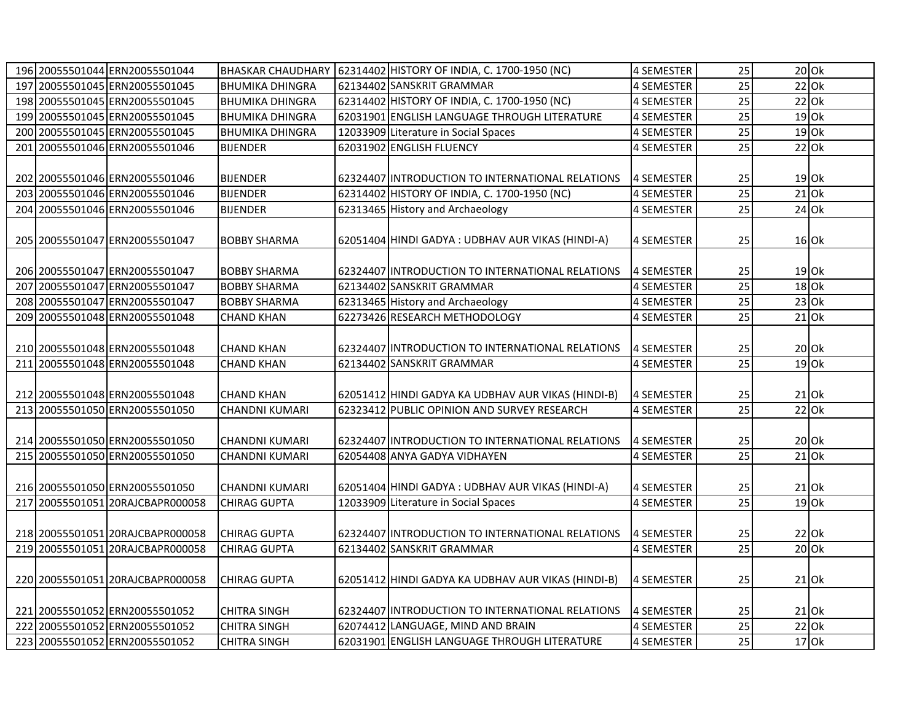|     | 196 20055501044 ERN20055501044   |                        | BHASKAR CHAUDHARY   62314402 HISTORY OF INDIA, C. 1700-1950 (NC) | 4 SEMESTER        | 25              | $20$ Ok |  |
|-----|----------------------------------|------------------------|------------------------------------------------------------------|-------------------|-----------------|---------|--|
|     | 197 20055501045 ERN20055501045   | <b>BHUMIKA DHINGRA</b> | 62134402 SANSKRIT GRAMMAR                                        | 4 SEMESTER        | $\overline{25}$ | $22$ Ok |  |
|     | 198 20055501045 ERN20055501045   | <b>BHUMIKA DHINGRA</b> | 62314402 HISTORY OF INDIA, C. 1700-1950 (NC)                     | 4 SEMESTER        | 25              | $22$ Ok |  |
|     | 199 20055501045 ERN20055501045   | <b>BHUMIKA DHINGRA</b> | 62031901 ENGLISH LANGUAGE THROUGH LITERATURE                     | 4 SEMESTER        | 25              | $19$ Ok |  |
|     | 200 20055501045 ERN20055501045   | <b>BHUMIKA DHINGRA</b> | 12033909 Literature in Social Spaces                             | 4 SEMESTER        | 25              | $19$ Ok |  |
|     | 201 20055501046 ERN20055501046   | <b>BIJENDER</b>        | 62031902 ENGLISH FLUENCY                                         | <b>4 SEMESTER</b> | 25              | $22$ Ok |  |
|     |                                  |                        |                                                                  |                   |                 |         |  |
|     | 202 20055501046 ERN20055501046   | <b>BIJENDER</b>        | 62324407 INTRODUCTION TO INTERNATIONAL RELATIONS                 | 4 SEMESTER        | 25              | 19 Ok   |  |
|     | 203 20055501046 ERN20055501046   | <b>BIJENDER</b>        | 62314402 HISTORY OF INDIA, C. 1700-1950 (NC)                     | 4 SEMESTER        | 25              | $21$ Ok |  |
|     | 204 20055501046 ERN20055501046   | <b>BIJENDER</b>        | 62313465 History and Archaeology                                 | <b>4 SEMESTER</b> | 25              | 24 Ok   |  |
|     |                                  |                        |                                                                  |                   |                 |         |  |
|     | 205 20055501047 ERN20055501047   | <b>BOBBY SHARMA</b>    | 62051404 HINDI GADYA : UDBHAV AUR VIKAS (HINDI-A)                | 4 SEMESTER        | 25              | 16 Ok   |  |
|     |                                  |                        |                                                                  |                   |                 |         |  |
|     | 206 20055501047 ERN20055501047   | <b>BOBBY SHARMA</b>    | 62324407 INTRODUCTION TO INTERNATIONAL RELATIONS                 | 4 SEMESTER        | 25              | $19$ Ok |  |
| 207 | 20055501047 ERN20055501047       | <b>BOBBY SHARMA</b>    | 62134402 SANSKRIT GRAMMAR                                        | 4 SEMESTER        | 25              | $18$ Ok |  |
|     | 208 20055501047 ERN20055501047   | <b>BOBBY SHARMA</b>    | 62313465 History and Archaeology                                 | 4 SEMESTER        | 25              | $23$ Ok |  |
| 209 | 20055501048 ERN20055501048       | <b>CHAND KHAN</b>      | 62273426 RESEARCH METHODOLOGY                                    | 4 SEMESTER        | 25              | $21$ Ok |  |
|     |                                  |                        |                                                                  |                   |                 |         |  |
|     | 210 20055501048 ERN20055501048   | <b>CHAND KHAN</b>      | 62324407 INTRODUCTION TO INTERNATIONAL RELATIONS                 | 4 SEMESTER        | 25              | $20$ Ok |  |
|     | 211 20055501048 ERN20055501048   | CHAND KHAN             | 62134402 SANSKRIT GRAMMAR                                        | <b>4 SEMESTER</b> | 25              | $19$ Ok |  |
|     |                                  |                        |                                                                  |                   |                 |         |  |
|     | 212 20055501048 ERN20055501048   | <b>CHAND KHAN</b>      | 62051412 HINDI GADYA KA UDBHAV AUR VIKAS (HINDI-B)               | 4 SEMESTER        | 25              | $21$ Ok |  |
|     | 213 20055501050 ERN20055501050   | CHANDNI KUMARI         | 62323412 PUBLIC OPINION AND SURVEY RESEARCH                      | <b>4 SEMESTER</b> | $\overline{25}$ | $22$ Ok |  |
|     |                                  |                        |                                                                  |                   |                 |         |  |
|     | 214 20055501050 ERN20055501050   | <b>CHANDNI KUMARI</b>  | 62324407 INTRODUCTION TO INTERNATIONAL RELATIONS                 | 4 SEMESTER        | 25              | 20 Ok   |  |
|     | 215 20055501050 ERN20055501050   | <b>CHANDNI KUMARI</b>  | 62054408 ANYA GADYA VIDHAYEN                                     | 4 SEMESTER        | $\overline{25}$ | $21$ Ok |  |
|     |                                  |                        |                                                                  |                   |                 |         |  |
|     | 216 20055501050 ERN20055501050   | CHANDNI KUMARI         | 62051404 HINDI GADYA : UDBHAV AUR VIKAS (HINDI-A)                | <b>4 SEMESTER</b> | 25              | $21$ Ok |  |
|     | 217 20055501051 20RAJCBAPR000058 | <b>CHIRAG GUPTA</b>    | 12033909 Literature in Social Spaces                             | 4 SEMESTER        | $\overline{25}$ | $19$ Ok |  |
|     |                                  |                        |                                                                  |                   |                 |         |  |
|     | 218 20055501051 20RAJCBAPR000058 | <b>CHIRAG GUPTA</b>    | 62324407 INTRODUCTION TO INTERNATIONAL RELATIONS                 | 4 SEMESTER        | 25              | $22$ Ok |  |
|     | 219 20055501051 20RAJCBAPR000058 | <b>CHIRAG GUPTA</b>    | 62134402 SANSKRIT GRAMMAR                                        | 4 SEMESTER        | 25              | $20$ Ok |  |
|     |                                  |                        |                                                                  |                   |                 |         |  |
|     | 220 20055501051 20RAJCBAPR000058 | <b>CHIRAG GUPTA</b>    | 62051412 HINDI GADYA KA UDBHAV AUR VIKAS (HINDI-B)               | 4 SEMESTER        | 25              | $21$ Ok |  |
|     |                                  |                        |                                                                  |                   |                 |         |  |
|     | 221 20055501052 ERN20055501052   | <b>CHITRA SINGH</b>    | 62324407 INTRODUCTION TO INTERNATIONAL RELATIONS                 | 4 SEMESTER        | 25<br>25        | $21$ Ok |  |
|     | 222 20055501052 ERN20055501052   | <b>CHITRA SINGH</b>    | 62074412 LANGUAGE, MIND AND BRAIN                                | 4 SEMESTER        |                 | $22$ Ok |  |
|     | 223 20055501052 ERN20055501052   | <b>CHITRA SINGH</b>    | 62031901 ENGLISH LANGUAGE THROUGH LITERATURE                     | <b>4 SEMESTER</b> | 25              | $17$ Ok |  |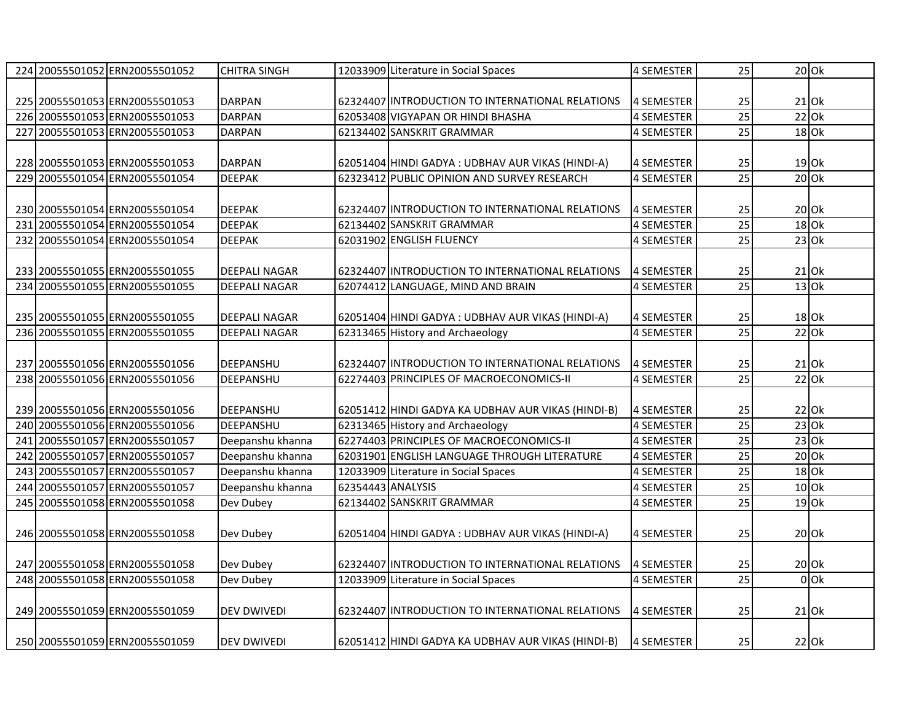|     | 224 20055501052 ERN20055501052 | <b>CHITRA SINGH</b>  |                   | 12033909 Literature in Social Spaces               | 4 SEMESTER        | 25              | $20$ Ok |        |
|-----|--------------------------------|----------------------|-------------------|----------------------------------------------------|-------------------|-----------------|---------|--------|
|     |                                |                      |                   |                                                    |                   |                 |         |        |
|     | 225 20055501053 ERN20055501053 | <b>DARPAN</b>        |                   | 62324407 INTRODUCTION TO INTERNATIONAL RELATIONS   | 4 SEMESTER        | 25              | $21$ Ok |        |
|     | 226 20055501053 ERN20055501053 | <b>DARPAN</b>        |                   | 62053408 VIGYAPAN OR HINDI BHASHA                  | 4 SEMESTER        | $\overline{25}$ | $22$ Ok |        |
|     | 227 20055501053 ERN20055501053 | <b>DARPAN</b>        |                   | 62134402 SANSKRIT GRAMMAR                          | 4 SEMESTER        | 25              | 18 Ok   |        |
|     |                                |                      |                   |                                                    |                   |                 |         |        |
|     | 228 20055501053 ERN20055501053 | <b>DARPAN</b>        |                   | 62051404 HINDI GADYA : UDBHAV AUR VIKAS (HINDI-A)  | 4 SEMESTER        | 25              | $19$ Ok |        |
|     | 229 20055501054 ERN20055501054 | <b>DEEPAK</b>        | 62323412          | PUBLIC OPINION AND SURVEY RESEARCH                 | 4 SEMESTER        | 25              | $20$ Ok |        |
|     |                                |                      |                   |                                                    |                   |                 |         |        |
|     | 230 20055501054 ERN20055501054 | <b>DEEPAK</b>        |                   | 62324407 INTRODUCTION TO INTERNATIONAL RELATIONS   | 4 SEMESTER        | 25              | $20$ Ok |        |
| 231 | 20055501054 ERN20055501054     | <b>DEEPAK</b>        |                   | 62134402 SANSKRIT GRAMMAR                          | 4 SEMESTER        | 25              | $18$ Ok |        |
| 232 | 20055501054 ERN20055501054     | <b>DEEPAK</b>        |                   | 62031902 ENGLISH FLUENCY                           | 4 SEMESTER        | 25              | $23$ Ok |        |
|     |                                |                      |                   |                                                    |                   |                 |         |        |
|     | 233 20055501055 ERN20055501055 | <b>DEEPALI NAGAR</b> |                   | 62324407 INTRODUCTION TO INTERNATIONAL RELATIONS   | <b>4 SEMESTER</b> | 25              | $21$ Ok |        |
|     | 234 20055501055 ERN20055501055 | <b>DEEPALI NAGAR</b> | 62074412          | LANGUAGE, MIND AND BRAIN                           | 4 SEMESTER        | 25              | $13$ Ok |        |
|     |                                |                      |                   |                                                    |                   |                 |         |        |
|     | 235 20055501055 ERN20055501055 | <b>DEEPALI NAGAR</b> |                   | 62051404 HINDI GADYA : UDBHAV AUR VIKAS (HINDI-A)  | 4 SEMESTER        | 25              | 18 Ok   |        |
|     | 236 20055501055 ERN20055501055 | <b>DEEPALI NAGAR</b> |                   | 62313465 History and Archaeology                   | 4 SEMESTER        | $\overline{25}$ | $22$ Ok |        |
|     |                                |                      |                   |                                                    |                   |                 |         |        |
|     | 237 20055501056 ERN20055501056 | DEEPANSHU            |                   | 62324407 INTRODUCTION TO INTERNATIONAL RELATIONS   | 4 SEMESTER        | 25              | $21$ Ok |        |
|     | 238 20055501056 ERN20055501056 | DEEPANSHU            |                   | 62274403 PRINCIPLES OF MACROECONOMICS-II           | 4 SEMESTER        | 25              | $22$ Ok |        |
|     |                                |                      |                   |                                                    |                   |                 |         |        |
|     | 239 20055501056 ERN20055501056 | DEEPANSHU            |                   | 62051412 HINDI GADYA KA UDBHAV AUR VIKAS (HINDI-B) | 4 SEMESTER        | 25              | $22$ Ok |        |
|     | 240 20055501056 ERN20055501056 | DEEPANSHU            |                   | 62313465 History and Archaeology                   | 4 SEMESTER        | $\overline{25}$ | $23$ Ok |        |
| 241 | 20055501057 ERN20055501057     | Deepanshu khanna     |                   | 62274403 PRINCIPLES OF MACROECONOMICS-II           | 4 SEMESTER        | $\overline{25}$ | $23$ Ok |        |
| 242 | 20055501057 ERN20055501057     | Deepanshu khanna     |                   | 62031901 ENGLISH LANGUAGE THROUGH LITERATURE       | 4 SEMESTER        | $\overline{25}$ | $20$ Ok |        |
|     | 243 20055501057 ERN20055501057 | Deepanshu khanna     |                   | 12033909 Literature in Social Spaces               | 4 SEMESTER        | $\overline{25}$ | $18$ Ok |        |
|     | 244 20055501057 ERN20055501057 | Deepanshu khanna     | 62354443 ANALYSIS |                                                    | 4 SEMESTER        | $\overline{25}$ | $10$ Ok |        |
|     | 245 20055501058 ERN20055501058 | Dev Dubey            |                   | 62134402 SANSKRIT GRAMMAR                          | 4 SEMESTER        | 25              | $19$ Ok |        |
|     |                                |                      |                   |                                                    |                   |                 |         |        |
|     | 246 20055501058 ERN20055501058 | Dev Dubey            |                   | 62051404 HINDI GADYA : UDBHAV AUR VIKAS (HINDI-A)  | 4 SEMESTER        | 25              | $20$ Ok |        |
|     |                                |                      |                   |                                                    |                   |                 |         |        |
|     | 247 20055501058 ERN20055501058 | Dev Dubey            |                   | 62324407 INTRODUCTION TO INTERNATIONAL RELATIONS   | 4 SEMESTER        | 25              | 20 Ok   |        |
|     | 248 20055501058 ERN20055501058 | Dev Dubey            |                   | 12033909 Literature in Social Spaces               | 4 SEMESTER        | 25              |         | $0$ Ok |
|     |                                |                      |                   |                                                    |                   |                 |         |        |
|     | 249 20055501059 ERN20055501059 | <b>DEV DWIVEDI</b>   |                   | 62324407 INTRODUCTION TO INTERNATIONAL RELATIONS   | 4 SEMESTER        | 25              | $21$ Ok |        |
|     |                                |                      |                   |                                                    |                   |                 |         |        |
|     | 250 20055501059 ERN20055501059 | <b>DEV DWIVEDI</b>   |                   | 62051412 HINDI GADYA KA UDBHAV AUR VIKAS (HINDI-B) | 4 SEMESTER        | 25              | $22$ Ok |        |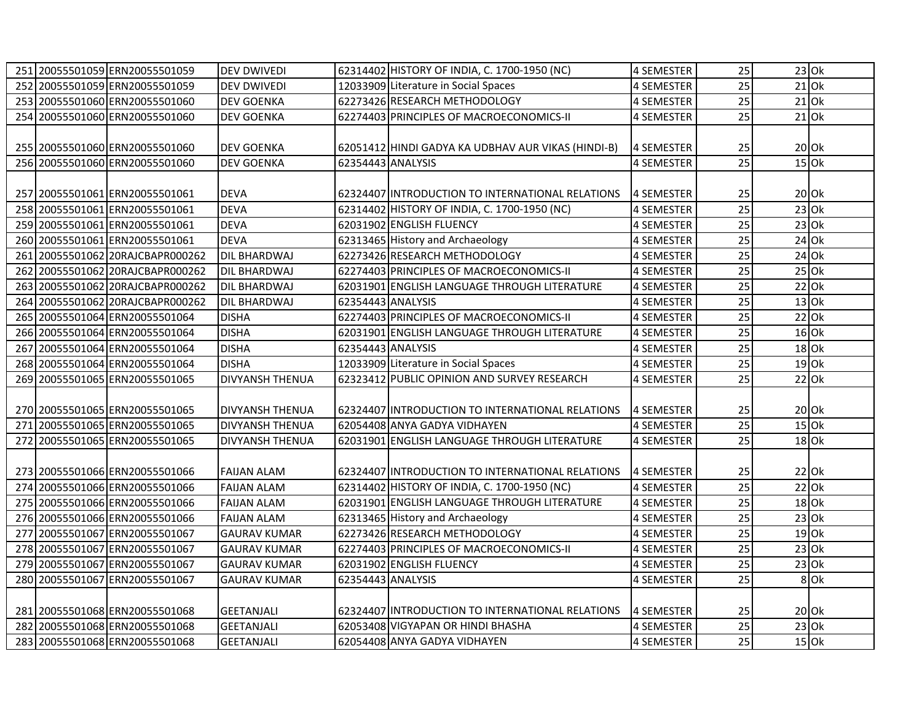|     | 251 20055501059 ERN20055501059   | <b>DEV DWIVEDI</b>     |                   | 62314402 HISTORY OF INDIA, C. 1700-1950 (NC)       | 4 SEMESTER        | 25              |         | $23$ Ok |
|-----|----------------------------------|------------------------|-------------------|----------------------------------------------------|-------------------|-----------------|---------|---------|
|     | 252 20055501059 ERN20055501059   | <b>DEV DWIVEDI</b>     |                   | 12033909 Literature in Social Spaces               | <b>4 SEMESTER</b> | $\overline{25}$ |         | $21$ Ok |
|     | 253 20055501060 ERN20055501060   | <b>DEV GOENKA</b>      |                   | 62273426 RESEARCH METHODOLOGY                      | 4 SEMESTER        | 25              |         | $21$ Ok |
|     | 254 20055501060 ERN20055501060   | <b>DEV GOENKA</b>      |                   | 62274403 PRINCIPLES OF MACROECONOMICS-II           | 4 SEMESTER        | 25              |         | $21$ Ok |
|     |                                  |                        |                   |                                                    |                   |                 |         |         |
|     | 255 20055501060 ERN20055501060   | <b>DEV GOENKA</b>      |                   | 62051412 HINDI GADYA KA UDBHAV AUR VIKAS (HINDI-B) | 4 SEMESTER        | 25              |         | $20$ Ok |
|     | 256 20055501060 ERN20055501060   | <b>DEV GOENKA</b>      | 62354443 ANALYSIS |                                                    | 4 SEMESTER        | 25              |         | $15$ Ok |
|     |                                  |                        |                   |                                                    |                   |                 |         |         |
|     | 257 20055501061 ERN20055501061   | <b>DEVA</b>            |                   | 62324407 INTRODUCTION TO INTERNATIONAL RELATIONS   | 4 SEMESTER        | 25              | $20$ Ok |         |
|     | 258 20055501061 ERN20055501061   | <b>DEVA</b>            |                   | 62314402 HISTORY OF INDIA, C. 1700-1950 (NC)       | 4 SEMESTER        | 25              |         | $23$ Ok |
|     | 259 20055501061 ERN20055501061   | <b>DEVA</b>            |                   | 62031902 ENGLISH FLUENCY                           | <b>4 SEMESTER</b> | 25              |         | $23$ Ok |
|     | 260 20055501061 ERN20055501061   | <b>DEVA</b>            |                   | 62313465 History and Archaeology                   | <b>4 SEMESTER</b> | 25              |         | $24$ Ok |
| 261 | 20055501062 20RAJCBAPR000262     | <b>DIL BHARDWAJ</b>    |                   | 62273426 RESEARCH METHODOLOGY                      | 4 SEMESTER        | 25              |         | $24$ Ok |
| 262 | 20055501062 20RAJCBAPR000262     | <b>DIL BHARDWAJ</b>    |                   | 62274403 PRINCIPLES OF MACROECONOMICS-II           | <b>4 SEMESTER</b> | 25              |         | $25$ Ok |
|     | 263 20055501062 20RAJCBAPR000262 | <b>DIL BHARDWAJ</b>    |                   | 62031901 ENGLISH LANGUAGE THROUGH LITERATURE       | 4 SEMESTER        | $\overline{25}$ |         | $22$ Ok |
|     | 264 20055501062 20RAJCBAPR000262 | <b>DIL BHARDWAJ</b>    | 62354443 ANALYSIS |                                                    | <b>4 SEMESTER</b> | $\overline{25}$ |         | $13$ Ok |
|     | 265 20055501064 ERN20055501064   | <b>DISHA</b>           |                   | 62274403 PRINCIPLES OF MACROECONOMICS-II           | <b>4 SEMESTER</b> | 25              |         | $22$ Ok |
|     | 266 20055501064 ERN20055501064   | <b>DISHA</b>           |                   | 62031901 ENGLISH LANGUAGE THROUGH LITERATURE       | <b>4 SEMESTER</b> | 25              |         | $16$ Ok |
|     | 267 20055501064 ERN20055501064   | <b>DISHA</b>           | 62354443 ANALYSIS |                                                    | <b>4 SEMESTER</b> | 25              |         | $18$ Ok |
|     | 268 20055501064 ERN20055501064   | <b>DISHA</b>           |                   | 12033909 Literature in Social Spaces               | 4 SEMESTER        | 25              |         | $19$ Ok |
|     | 269 20055501065 ERN20055501065   | DIVYANSH THENUA        |                   | 62323412 PUBLIC OPINION AND SURVEY RESEARCH        | 4 SEMESTER        | 25              |         | $22$ Ok |
|     |                                  |                        |                   |                                                    |                   |                 |         |         |
|     | 270 20055501065 ERN20055501065   | DIVYANSH THENUA        |                   | 62324407 INTRODUCTION TO INTERNATIONAL RELATIONS   | 4 SEMESTER        | 25              | $20$ Ok |         |
|     | 271 20055501065 ERN20055501065   | <b>DIVYANSH THENUA</b> |                   | 62054408 ANYA GADYA VIDHAYEN                       | 4 SEMESTER        | 25              |         | $15$ Ok |
|     | 272 20055501065 ERN20055501065   | <b>DIVYANSH THENUA</b> |                   | 62031901 ENGLISH LANGUAGE THROUGH LITERATURE       | 4 SEMESTER        | 25              | 18 Ok   |         |
|     |                                  |                        |                   |                                                    |                   |                 |         |         |
|     | 273 20055501066 ERN20055501066   | <b>FAIJAN ALAM</b>     |                   | 62324407 INTRODUCTION TO INTERNATIONAL RELATIONS   | 4 SEMESTER        | 25              | $22$ Ok |         |
|     | 274 20055501066 ERN20055501066   | <b>FAIJAN ALAM</b>     |                   | 62314402 HISTORY OF INDIA, C. 1700-1950 (NC)       | 4 SEMESTER        | $\overline{25}$ |         | $22$ Ok |
|     | 275 20055501066 ERN20055501066   | <b>FAIJAN ALAM</b>     |                   | 62031901 ENGLISH LANGUAGE THROUGH LITERATURE       | 4 SEMESTER        | 25              |         | $18$ Ok |
|     | 276 20055501066 ERN20055501066   | <b>FAIJAN ALAM</b>     |                   | 62313465 History and Archaeology                   | 4 SEMESTER        | 25              |         | $23$ Ok |
|     | 277 20055501067 ERN20055501067   | <b>GAURAV KUMAR</b>    |                   | 62273426 RESEARCH METHODOLOGY                      | <b>4 SEMESTER</b> | 25              |         | $19$ Ok |
|     | 278 20055501067 ERN20055501067   | <b>GAURAV KUMAR</b>    |                   | 62274403 PRINCIPLES OF MACROECONOMICS-II           | <b>4 SEMESTER</b> | 25              |         | $23$ Ok |
|     | 279 20055501067 ERN20055501067   | <b>GAURAV KUMAR</b>    |                   | 62031902 ENGLISH FLUENCY                           | 4 SEMESTER        | 25              |         | $23$ Ok |
|     | 280 20055501067 ERN20055501067   | <b>GAURAV KUMAR</b>    | 62354443 ANALYSIS |                                                    | <b>4 SEMESTER</b> | 25              |         | 8 Ok    |
|     |                                  |                        |                   |                                                    |                   |                 |         |         |
|     | 281 20055501068 ERN20055501068   | <b>GEETANJALI</b>      |                   | 62324407 INTRODUCTION TO INTERNATIONAL RELATIONS   | 4 SEMESTER        | 25              | 20 Ok   |         |
|     | 282 20055501068 ERN20055501068   | <b>GEETANJALI</b>      |                   | 62053408 VIGYAPAN OR HINDI BHASHA                  | 4 SEMESTER        | 25              |         | $23$ Ok |
|     | 283 20055501068 ERN20055501068   | GEETANJALI             |                   | 62054408 ANYA GADYA VIDHAYEN                       | 4 SEMESTER        | 25              |         | $15$ Ok |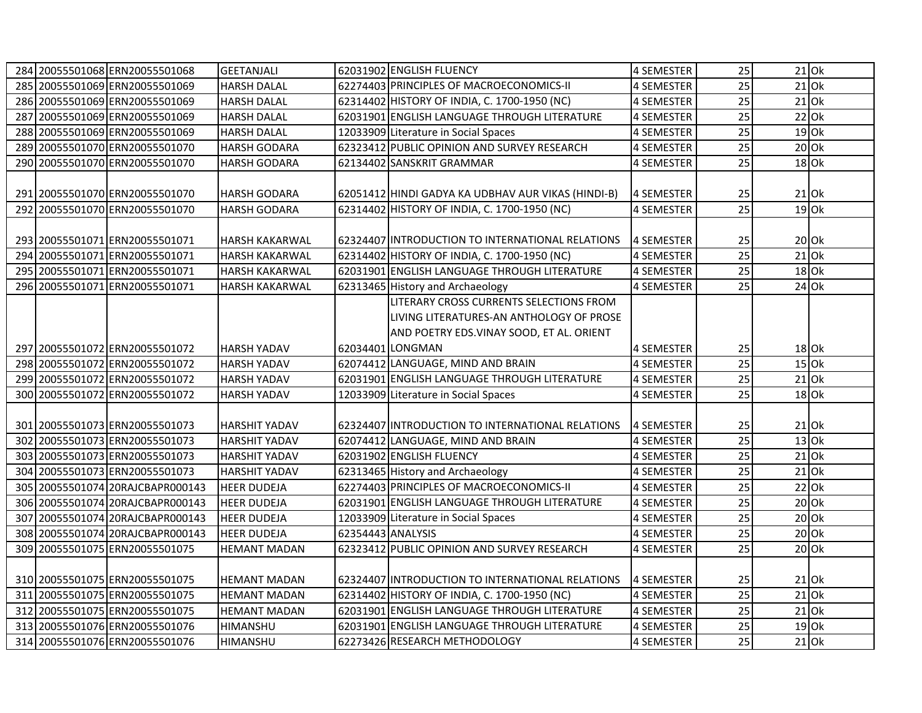|  | 284 20055501068 ERN20055501068   | <b>GEETANJALI</b>     |                   | 62031902 ENGLISH FLUENCY                           | 4 SEMESTER        | 25              | $21$ Ok |  |
|--|----------------------------------|-----------------------|-------------------|----------------------------------------------------|-------------------|-----------------|---------|--|
|  | 285 20055501069 ERN20055501069   | <b>HARSH DALAL</b>    |                   | 62274403 PRINCIPLES OF MACROECONOMICS-II           | <b>4 SEMESTER</b> | $\overline{25}$ | $21$ Ok |  |
|  | 286 20055501069 ERN20055501069   | <b>HARSH DALAL</b>    |                   | 62314402 HISTORY OF INDIA, C. 1700-1950 (NC)       | <b>4 SEMESTER</b> | $\overline{25}$ | $21$ Ok |  |
|  | 287 20055501069 ERN20055501069   | <b>HARSH DALAL</b>    |                   | 62031901 ENGLISH LANGUAGE THROUGH LITERATURE       | 4 SEMESTER        | 25              | $22$ Ok |  |
|  | 288 20055501069 ERN20055501069   | <b>HARSH DALAL</b>    |                   | 12033909 Literature in Social Spaces               | <b>4 SEMESTER</b> | 25              | $19$ Ok |  |
|  | 289 20055501070 ERN20055501070   | <b>HARSH GODARA</b>   |                   | 62323412 PUBLIC OPINION AND SURVEY RESEARCH        | 4 SEMESTER        | 25              | $20$ Ok |  |
|  | 290 20055501070 ERN20055501070   | <b>HARSH GODARA</b>   |                   | 62134402 SANSKRIT GRAMMAR                          | 4 SEMESTER        | 25              | $18$ Ok |  |
|  |                                  |                       |                   |                                                    |                   |                 |         |  |
|  | 291 20055501070 ERN20055501070   | <b>HARSH GODARA</b>   |                   | 62051412 HINDI GADYA KA UDBHAV AUR VIKAS (HINDI-B) | 4 SEMESTER        | 25              | $21$ Ok |  |
|  | 292 20055501070 ERN20055501070   | <b>HARSH GODARA</b>   |                   | 62314402 HISTORY OF INDIA, C. 1700-1950 (NC)       | 4 SEMESTER        | $\overline{25}$ | $19$ Ok |  |
|  |                                  |                       |                   |                                                    |                   |                 |         |  |
|  | 293 20055501071 ERN20055501071   | <b>HARSH KAKARWAL</b> |                   | 62324407 INTRODUCTION TO INTERNATIONAL RELATIONS   | 4 SEMESTER        | 25              | $20$ Ok |  |
|  | 294 20055501071 ERN20055501071   | <b>HARSH KAKARWAL</b> |                   | 62314402 HISTORY OF INDIA, C. 1700-1950 (NC)       | 4 SEMESTER        | 25              | $21$ Ok |  |
|  | 295 20055501071 ERN20055501071   | <b>HARSH KAKARWAL</b> |                   | 62031901 ENGLISH LANGUAGE THROUGH LITERATURE       | <b>4 SEMESTER</b> | 25              | $18$ Ok |  |
|  | 296 20055501071 ERN20055501071   | <b>HARSH KAKARWAL</b> |                   | 62313465 History and Archaeology                   | <b>4 SEMESTER</b> | 25              | $24$ Ok |  |
|  |                                  |                       |                   | LITERARY CROSS CURRENTS SELECTIONS FROM            |                   |                 |         |  |
|  |                                  |                       |                   | LIVING LITERATURES-AN ANTHOLOGY OF PROSE           |                   |                 |         |  |
|  |                                  |                       |                   | AND POETRY EDS.VINAY SOOD, ET AL. ORIENT           |                   |                 |         |  |
|  | 297 20055501072 ERN20055501072   | <b>HARSH YADAV</b>    |                   | 62034401 LONGMAN                                   | <b>4 SEMESTER</b> | 25              | $18$ Ok |  |
|  | 298 20055501072 ERN20055501072   | <b>HARSH YADAV</b>    |                   | 62074412 LANGUAGE, MIND AND BRAIN                  | <b>4 SEMESTER</b> | 25              | $15$ Ok |  |
|  | 299 20055501072 ERN20055501072   | <b>HARSH YADAV</b>    |                   | 62031901 ENGLISH LANGUAGE THROUGH LITERATURE       | <b>4 SEMESTER</b> | 25              | $21$ Ok |  |
|  | 300 20055501072 ERN20055501072   | <b>HARSH YADAV</b>    |                   | 12033909 Literature in Social Spaces               | 4 SEMESTER        | $\overline{25}$ | 18 Ok   |  |
|  |                                  |                       |                   |                                                    |                   |                 |         |  |
|  | 301 20055501073 ERN20055501073   | <b>HARSHIT YADAV</b>  |                   | 62324407 INTRODUCTION TO INTERNATIONAL RELATIONS   | 4 SEMESTER        | 25              | $21$ Ok |  |
|  | 302 20055501073 ERN20055501073   | <b>HARSHIT YADAV</b>  |                   | 62074412 LANGUAGE, MIND AND BRAIN                  | 4 SEMESTER        | $\overline{25}$ | $13$ Ok |  |
|  | 303 20055501073 ERN20055501073   | <b>HARSHIT YADAV</b>  |                   | 62031902 ENGLISH FLUENCY                           | <b>4 SEMESTER</b> | 25              | $21$ Ok |  |
|  | 304 20055501073 ERN20055501073   | <b>HARSHIT YADAV</b>  |                   | 62313465 History and Archaeology                   | <b>4 SEMESTER</b> | 25              | $21$ Ok |  |
|  | 305 20055501074 20RAJCBAPR000143 | <b>HEER DUDEJA</b>    |                   | 62274403 PRINCIPLES OF MACROECONOMICS-II           | <b>4 SEMESTER</b> | $\overline{25}$ | $22$ Ok |  |
|  | 306 20055501074 20RAJCBAPR000143 | <b>HEER DUDEJA</b>    |                   | 62031901 ENGLISH LANGUAGE THROUGH LITERATURE       | 4 SEMESTER        | 25              | $20$ Ok |  |
|  | 307 20055501074 20RAJCBAPR000143 | <b>HEER DUDEJA</b>    |                   | 12033909 Literature in Social Spaces               | <b>4 SEMESTER</b> | $\overline{25}$ | $20$ Ok |  |
|  | 308 20055501074 20RAJCBAPR000143 | <b>HEER DUDEJA</b>    | 62354443 ANALYSIS |                                                    | 4 SEMESTER        | 25              | $20$ Ok |  |
|  | 309 20055501075 ERN20055501075   | <b>HEMANT MADAN</b>   |                   | 62323412 PUBLIC OPINION AND SURVEY RESEARCH        | <b>4 SEMESTER</b> | 25              | $20$ Ok |  |
|  |                                  |                       |                   |                                                    |                   |                 |         |  |
|  | 310 20055501075 ERN20055501075   | <b>HEMANT MADAN</b>   |                   | 62324407 INTRODUCTION TO INTERNATIONAL RELATIONS   | <b>4 SEMESTER</b> | 25              | $21$ Ok |  |
|  | 311 20055501075 ERN20055501075   | <b>HEMANT MADAN</b>   |                   | 62314402 HISTORY OF INDIA, C. 1700-1950 (NC)       | 4 SEMESTER        | $\overline{25}$ | $21$ Ok |  |
|  | 312 20055501075 ERN20055501075   | <b>HEMANT MADAN</b>   |                   | 62031901 ENGLISH LANGUAGE THROUGH LITERATURE       | 4 SEMESTER        | 25              | $21$ Ok |  |
|  | 313 20055501076 ERN20055501076   | HIMANSHU              |                   | 62031901 ENGLISH LANGUAGE THROUGH LITERATURE       | 4 SEMESTER        | 25              | $19$ Ok |  |
|  | 314 20055501076 ERN20055501076   | <b>HIMANSHU</b>       |                   | 62273426 RESEARCH METHODOLOGY                      | 4 SEMESTER        | 25              | $21$ Ok |  |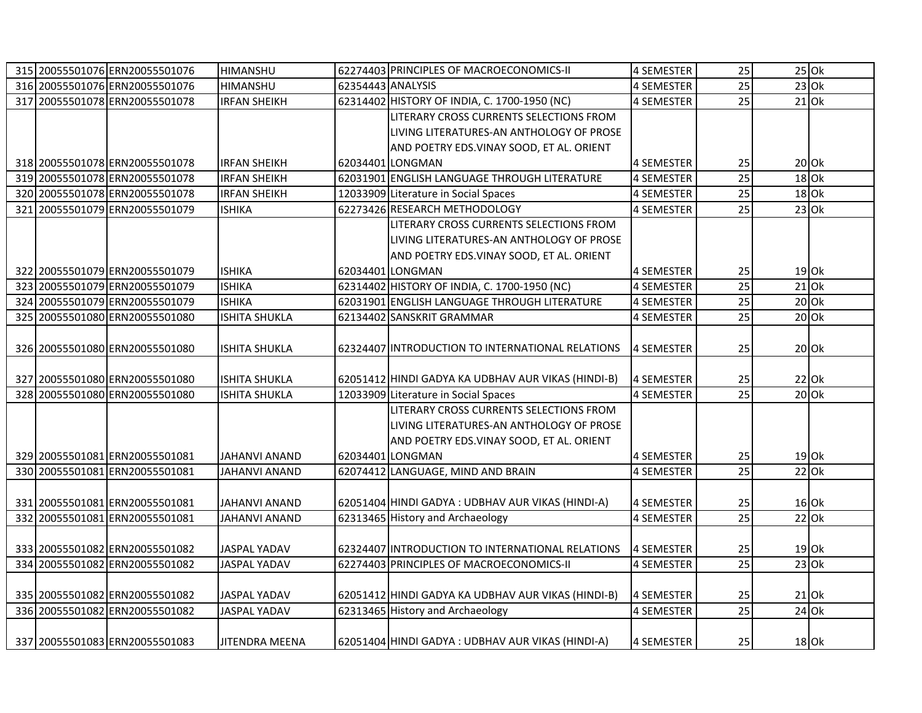|     | 315 20055501076 ERN20055501076 | <b>HIMANSHU</b>      |                   | 62274403 PRINCIPLES OF MACROECONOMICS-II           | 4 SEMESTER        | 25              |         | $25$ Ok               |
|-----|--------------------------------|----------------------|-------------------|----------------------------------------------------|-------------------|-----------------|---------|-----------------------|
|     | 316 20055501076 ERN20055501076 | <b>HIMANSHU</b>      | 62354443 ANALYSIS |                                                    | <b>4 SEMESTER</b> | 25              |         | $23$ Ok               |
|     | 317 20055501078 ERN20055501078 | <b>IRFAN SHEIKH</b>  |                   | 62314402 HISTORY OF INDIA, C. 1700-1950 (NC)       | 4 SEMESTER        | 25              |         | $21$ Ok               |
|     |                                |                      |                   | LITERARY CROSS CURRENTS SELECTIONS FROM            |                   |                 |         |                       |
|     |                                |                      |                   | LIVING LITERATURES-AN ANTHOLOGY OF PROSE           |                   |                 |         |                       |
|     |                                |                      |                   | AND POETRY EDS.VINAY SOOD, ET AL. ORIENT           |                   |                 |         |                       |
|     | 318 20055501078 ERN20055501078 | <b>IRFAN SHEIKH</b>  |                   | 62034401 LONGMAN                                   | 4 SEMESTER        | 25              |         | $20$ Ok               |
|     | 319 20055501078 ERN20055501078 | <b>IRFAN SHEIKH</b>  |                   | 62031901 ENGLISH LANGUAGE THROUGH LITERATURE       | 4 SEMESTER        | 25              |         | $18$ O $\overline{k}$ |
|     | 320 20055501078 ERN20055501078 | <b>IRFAN SHEIKH</b>  |                   | 12033909 Literature in Social Spaces               | 4 SEMESTER        | 25              |         | $18$ Ok               |
| 321 | 20055501079 ERN20055501079     | <b>ISHIKA</b>        |                   | 62273426 RESEARCH METHODOLOGY                      | <b>4 SEMESTER</b> | 25              |         | $23$ Ok               |
|     |                                |                      |                   | LITERARY CROSS CURRENTS SELECTIONS FROM            |                   |                 |         |                       |
|     |                                |                      |                   | LIVING LITERATURES-AN ANTHOLOGY OF PROSE           |                   |                 |         |                       |
|     |                                |                      |                   | AND POETRY EDS.VINAY SOOD, ET AL. ORIENT           |                   |                 |         |                       |
|     | 322 20055501079 ERN20055501079 | <b>ISHIKA</b>        |                   | 62034401 LONGMAN                                   | 4 SEMESTER        | 25              |         | $19$ Ok               |
| 323 | 20055501079 ERN20055501079     | <b>ISHIKA</b>        |                   | 62314402 HISTORY OF INDIA, C. 1700-1950 (NC)       | <b>4 SEMESTER</b> | 25              |         | $21$ Ok               |
| 324 | 20055501079 ERN20055501079     | <b>ISHIKA</b>        |                   | 62031901 ENGLISH LANGUAGE THROUGH LITERATURE       | 4 SEMESTER        | 25              |         | $20$ Ok               |
| 325 | 20055501080 ERN20055501080     | <b>ISHITA SHUKLA</b> |                   | 62134402 SANSKRIT GRAMMAR                          | 4 SEMESTER        | 25              |         | $20$ Ok               |
|     |                                |                      |                   |                                                    |                   |                 |         |                       |
|     | 326 20055501080 ERN20055501080 | <b>ISHITA SHUKLA</b> |                   | 62324407 INTRODUCTION TO INTERNATIONAL RELATIONS   | <b>4 SEMESTER</b> | 25              |         | $20$ Ok               |
|     |                                |                      |                   |                                                    |                   |                 |         |                       |
|     | 327 20055501080 ERN20055501080 | <b>ISHITA SHUKLA</b> |                   | 62051412 HINDI GADYA KA UDBHAV AUR VIKAS (HINDI-B) | <b>4 SEMESTER</b> | 25              |         | $22$ Ok               |
|     | 328 20055501080 ERN20055501080 | <b>ISHITA SHUKLA</b> |                   | 12033909 Literature in Social Spaces               | 4 SEMESTER        | $\overline{25}$ | $20$ Ok |                       |
|     |                                |                      |                   | LITERARY CROSS CURRENTS SELECTIONS FROM            |                   |                 |         |                       |
|     |                                |                      |                   | LIVING LITERATURES-AN ANTHOLOGY OF PROSE           |                   |                 |         |                       |
|     |                                |                      |                   | AND POETRY EDS. VINAY SOOD, ET AL. ORIENT          |                   |                 |         |                       |
|     | 329 20055501081 ERN20055501081 | <b>JAHANVI ANAND</b> |                   | 62034401 LONGMAN                                   | <b>4 SEMESTER</b> | 25              |         | $19$ Ok               |
|     | 330 20055501081 ERN20055501081 | <b>JAHANVI ANAND</b> |                   | 62074412 LANGUAGE, MIND AND BRAIN                  | <b>4 SEMESTER</b> | 25              |         | $22$ Ok               |
|     |                                |                      |                   |                                                    |                   |                 |         |                       |
|     | 331 20055501081 ERN20055501081 | <b>JAHANVI ANAND</b> |                   | 62051404 HINDI GADYA : UDBHAV AUR VIKAS (HINDI-A)  | 4 SEMESTER        | 25              |         | $16$ Ok               |
|     | 332 20055501081 ERN20055501081 | <b>JAHANVI ANAND</b> |                   | 62313465 History and Archaeology                   | 4 SEMESTER        | $\overline{25}$ |         | $22$ Ok               |
|     |                                |                      |                   |                                                    |                   |                 |         |                       |
|     | 333 20055501082 ERN20055501082 | <b>JASPAL YADAV</b>  |                   | 62324407 INTRODUCTION TO INTERNATIONAL RELATIONS   | 4 SEMESTER        | 25              |         | $19$ Ok               |
|     | 334 20055501082 ERN20055501082 | <b>JASPAL YADAV</b>  |                   | 62274403 PRINCIPLES OF MACROECONOMICS-II           | <b>4 SEMESTER</b> | $\overline{25}$ |         | $23$ Ok               |
|     |                                |                      |                   |                                                    |                   |                 |         |                       |
|     | 335 20055501082 ERN20055501082 | <b>JASPAL YADAV</b>  |                   | 62051412 HINDI GADYA KA UDBHAV AUR VIKAS (HINDI-B) | 4 SEMESTER        | 25              |         | $21$ Ok               |
|     | 336 20055501082 ERN20055501082 | <b>JASPAL YADAV</b>  |                   | 62313465 History and Archaeology                   | 4 SEMESTER        | 25              |         | $24$ Ok               |
|     |                                |                      |                   |                                                    |                   |                 |         |                       |
|     | 337 20055501083 ERN20055501083 | JITENDRA MEENA       |                   | 62051404 HINDI GADYA : UDBHAV AUR VIKAS (HINDI-A)  | 4 SEMESTER        | 25              |         | $18$ Ok               |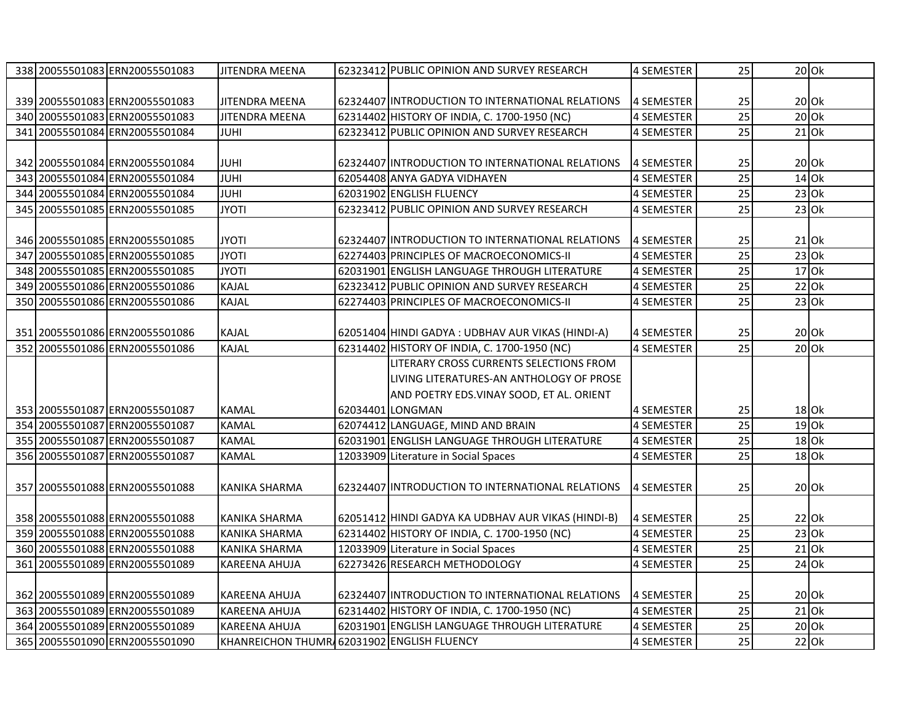|  | 338 20055501083 ERN20055501083 | JITENDRA MEENA                             | 62323412 PUBLIC OPINION AND SURVEY RESEARCH        | 4 SEMESTER        | 25              | $20$ Ok |
|--|--------------------------------|--------------------------------------------|----------------------------------------------------|-------------------|-----------------|---------|
|  |                                |                                            |                                                    |                   |                 |         |
|  | 339 20055501083 ERN20055501083 | <b>JITENDRA MEENA</b>                      | 62324407 INTRODUCTION TO INTERNATIONAL RELATIONS   | 4 SEMESTER        | 25              | 20 Ok   |
|  | 340 20055501083 ERN20055501083 | <b>JITENDRA MEENA</b>                      | 62314402 HISTORY OF INDIA, C. 1700-1950 (NC)       | 4 SEMESTER        | 25              | 20 Ok   |
|  | 341 20055501084 ERN20055501084 | <b>JUHI</b>                                | 62323412 PUBLIC OPINION AND SURVEY RESEARCH        | 4 SEMESTER        | 25              | $21$ Ok |
|  |                                |                                            |                                                    |                   |                 |         |
|  | 342 20055501084 ERN20055501084 | <b>JUHI</b>                                | 62324407 INTRODUCTION TO INTERNATIONAL RELATIONS   | 4 SEMESTER        | 25              | 20 Ok   |
|  | 343 20055501084 ERN20055501084 | <b>JUHI</b>                                | 62054408 ANYA GADYA VIDHAYEN                       | 4 SEMESTER        | 25              | $14$ Ok |
|  | 344 20055501084 ERN20055501084 | <b>JUHI</b>                                | 62031902 ENGLISH FLUENCY                           | 4 SEMESTER        | 25              | $23$ Ok |
|  | 345 20055501085 ERN20055501085 | <b>JYOTI</b>                               | 62323412 PUBLIC OPINION AND SURVEY RESEARCH        | <b>4 SEMESTER</b> | 25              | $23$ Ok |
|  |                                |                                            |                                                    |                   |                 |         |
|  | 346 20055501085 ERN20055501085 | <b>JYOTI</b>                               | 62324407 INTRODUCTION TO INTERNATIONAL RELATIONS   | 4 SEMESTER        | 25              | $21$ Ok |
|  | 347 20055501085 ERN20055501085 | <b>JYOTI</b>                               | 62274403 PRINCIPLES OF MACROECONOMICS-II           | 4 SEMESTER        | 25              | $23$ Ok |
|  | 348 20055501085 ERN20055501085 | <b>JYOTI</b>                               | 62031901 ENGLISH LANGUAGE THROUGH LITERATURE       | 4 SEMESTER        | $\overline{25}$ | $17$ Ok |
|  | 349 20055501086 ERN20055501086 | <b>KAJAL</b>                               | 62323412 PUBLIC OPINION AND SURVEY RESEARCH        | 4 SEMESTER        | 25              | $22$ Ok |
|  | 350 20055501086 ERN20055501086 | <b>KAJAL</b>                               | 62274403 PRINCIPLES OF MACROECONOMICS-II           | 4 SEMESTER        | 25              | $23$ Ok |
|  |                                |                                            |                                                    |                   |                 |         |
|  | 351 20055501086 ERN20055501086 | <b>KAJAL</b>                               | 62051404 HINDI GADYA : UDBHAV AUR VIKAS (HINDI-A)  | 4 SEMESTER        | 25              | $20$ Ok |
|  | 352 20055501086 ERN20055501086 | <b>KAJAL</b>                               | 62314402 HISTORY OF INDIA, C. 1700-1950 (NC)       | <b>4 SEMESTER</b> | 25              | $20$ Ok |
|  |                                |                                            | LITERARY CROSS CURRENTS SELECTIONS FROM            |                   |                 |         |
|  |                                |                                            | LIVING LITERATURES-AN ANTHOLOGY OF PROSE           |                   |                 |         |
|  |                                |                                            | AND POETRY EDS.VINAY SOOD, ET AL. ORIENT           |                   |                 |         |
|  | 353 20055501087 ERN20055501087 | <b>KAMAL</b>                               | 62034401 LONGMAN                                   | <b>4 SEMESTER</b> | 25              | 18 Ok   |
|  | 354 20055501087 ERN20055501087 | <b>KAMAL</b>                               | 62074412 LANGUAGE, MIND AND BRAIN                  | <b>4 SEMESTER</b> | 25              | $19$ Ok |
|  | 355 20055501087 ERN20055501087 | <b>KAMAL</b>                               | 62031901 ENGLISH LANGUAGE THROUGH LITERATURE       | <b>4 SEMESTER</b> | $\overline{25}$ | $18$ Ok |
|  | 356 20055501087 ERN20055501087 | <b>KAMAL</b>                               | 12033909 Literature in Social Spaces               | <b>4 SEMESTER</b> | $\overline{25}$ | $18$ Ok |
|  |                                |                                            |                                                    |                   |                 |         |
|  | 357 20055501088 ERN20055501088 | KANIKA SHARMA                              | 62324407 INTRODUCTION TO INTERNATIONAL RELATIONS   | 4 SEMESTER        | 25              | $20$ Ok |
|  |                                |                                            |                                                    |                   |                 |         |
|  | 358 20055501088 ERN20055501088 | <b>KANIKA SHARMA</b>                       | 62051412 HINDI GADYA KA UDBHAV AUR VIKAS (HINDI-B) | 4 SEMESTER        | 25              | $22$ Ok |
|  | 359 20055501088 ERN20055501088 | <b>KANIKA SHARMA</b>                       | 62314402 HISTORY OF INDIA, C. 1700-1950 (NC)       | 4 SEMESTER        | 25              | $23$ Ok |
|  | 360 20055501088 ERN20055501088 | <b>KANIKA SHARMA</b>                       | 12033909 Literature in Social Spaces               | 4 SEMESTER        | 25              | $21$ Ok |
|  | 361 20055501089 ERN20055501089 | <b>KAREENA AHUJA</b>                       | 62273426 RESEARCH METHODOLOGY                      | 4 SEMESTER        | 25              | $24$ Ok |
|  |                                |                                            |                                                    |                   |                 |         |
|  | 362 20055501089 ERN20055501089 | KAREENA AHUJA                              | 62324407 INTRODUCTION TO INTERNATIONAL RELATIONS   | 4 SEMESTER        | 25              | 20 Ok   |
|  | 363 20055501089 ERN20055501089 | <b>KAREENA AHUJA</b>                       | 62314402 HISTORY OF INDIA, C. 1700-1950 (NC)       | 4 SEMESTER        | 25              | $21$ Ok |
|  | 364 20055501089 ERN20055501089 | <b>KAREENA AHUJA</b>                       | 62031901 ENGLISH LANGUAGE THROUGH LITERATURE       | 4 SEMESTER        | 25              | $20$ Ok |
|  | 365 20055501090 ERN20055501090 | KHANREICHON THUMR 62031902 ENGLISH FLUENCY |                                                    | <b>4 SEMESTER</b> | 25              | $22$ Ok |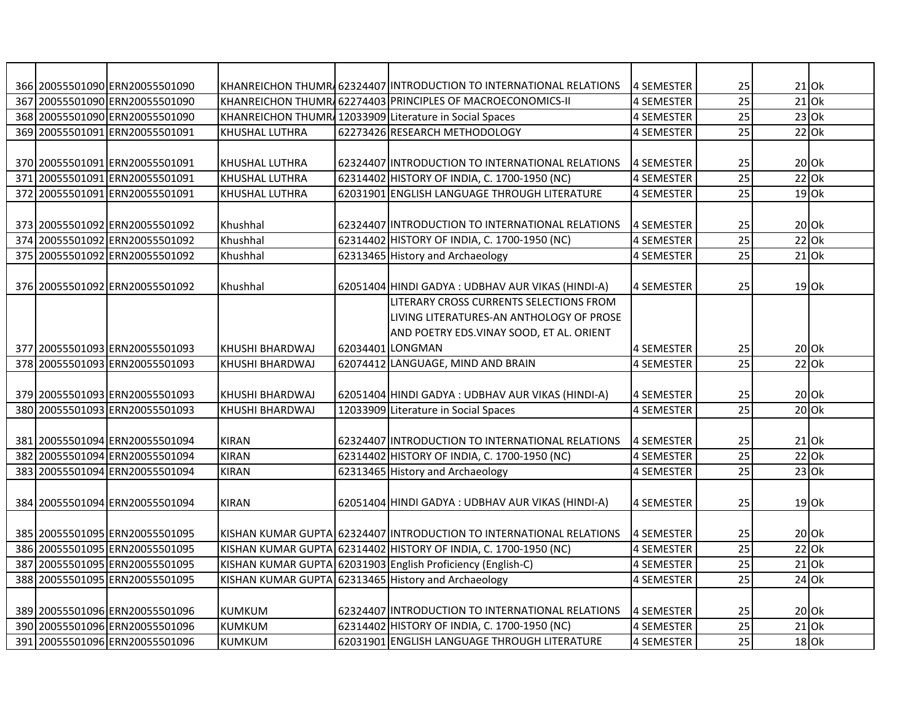|     | 366 20055501090 ERN20055501090 |                        | KHANREICHON THUMR, 62324407 INTRODUCTION TO INTERNATIONAL RELATIONS | 4 SEMESTER        | 25              | $21$ Ok               |  |
|-----|--------------------------------|------------------------|---------------------------------------------------------------------|-------------------|-----------------|-----------------------|--|
|     | 367 20055501090 ERN20055501090 |                        | KHANREICHON THUMR, 62274403 PRINCIPLES OF MACROECONOMICS-II         | 4 SEMESTER        | $\overline{25}$ | $21$ Ok               |  |
|     | 368 20055501090 ERN20055501090 |                        | KHANREICHON THUMR, 12033909 Literature in Social Spaces             | <b>4 SEMESTER</b> | $\overline{25}$ | $23$ Ok               |  |
|     | 369 20055501091 ERN20055501091 | KHUSHAL LUTHRA         | 62273426 RESEARCH METHODOLOGY                                       | 4 SEMESTER        | $\overline{25}$ | 220k                  |  |
|     |                                |                        |                                                                     |                   |                 |                       |  |
|     | 370 20055501091 ERN20055501091 | KHUSHAL LUTHRA         | 62324407 INTRODUCTION TO INTERNATIONAL RELATIONS                    | 4 SEMESTER        | 25              | 20 Ok                 |  |
|     | 371 20055501091 ERN20055501091 | <b>KHUSHAL LUTHRA</b>  | 62314402 HISTORY OF INDIA, C. 1700-1950 (NC)                        | 4 SEMESTER        | 25              | $22$ Ok               |  |
|     | 372 20055501091 ERN20055501091 | <b>KHUSHAL LUTHRA</b>  | 62031901 ENGLISH LANGUAGE THROUGH LITERATURE                        | 4 SEMESTER        | 25              | $19$ O $\overline{k}$ |  |
|     |                                |                        |                                                                     |                   |                 |                       |  |
|     | 373 20055501092 ERN20055501092 | Khushhal               | 62324407 INTRODUCTION TO INTERNATIONAL RELATIONS                    | 4 SEMESTER        | 25              | $20$ Ok               |  |
|     | 374 20055501092 ERN20055501092 | Khushhal               | 62314402 HISTORY OF INDIA, C. 1700-1950 (NC)                        | 4 SEMESTER        | 25              | $22$ Ok               |  |
|     | 375 20055501092 ERN20055501092 | Khushhal               | 62313465 History and Archaeology                                    | <b>4 SEMESTER</b> | 25              | $21$ Ok               |  |
|     |                                |                        |                                                                     |                   |                 |                       |  |
|     | 376 20055501092 ERN20055501092 | Khushhal               | 62051404 HINDI GADYA : UDBHAV AUR VIKAS (HINDI-A)                   | <b>4 SEMESTER</b> | 25              | $19$ Ok               |  |
|     |                                |                        | LITERARY CROSS CURRENTS SELECTIONS FROM                             |                   |                 |                       |  |
|     |                                |                        | LIVING LITERATURES-AN ANTHOLOGY OF PROSE                            |                   |                 |                       |  |
|     |                                |                        | AND POETRY EDS.VINAY SOOD, ET AL. ORIENT                            |                   |                 |                       |  |
|     | 377 20055501093 ERN20055501093 | KHUSHI BHARDWAJ        | 62034401 LONGMAN                                                    | 4 SEMESTER        | 25              | $20$ Ok               |  |
|     | 378 20055501093 ERN20055501093 | KHUSHI BHARDWAJ        | 62074412 LANGUAGE, MIND AND BRAIN                                   | <b>4 SEMESTER</b> | 25              | $22$ Ok               |  |
|     |                                |                        |                                                                     |                   |                 |                       |  |
|     | 379 20055501093 ERN20055501093 | <b>KHUSHI BHARDWAJ</b> | 62051404 HINDI GADYA : UDBHAV AUR VIKAS (HINDI-A)                   | 4 SEMESTER        | 25              | $20$ Ok               |  |
|     | 380 20055501093 ERN20055501093 | KHUSHI BHARDWAJ        | 12033909 Literature in Social Spaces                                | <b>4 SEMESTER</b> | $\overline{25}$ | $20$ Ok               |  |
|     |                                |                        |                                                                     |                   |                 |                       |  |
|     | 381 20055501094 ERN20055501094 | <b>KIRAN</b>           | 62324407 INTRODUCTION TO INTERNATIONAL RELATIONS                    | 4 SEMESTER        | 25              | $21$ Ok               |  |
| 382 | 20055501094 ERN20055501094     | <b>KIRAN</b>           | 62314402 HISTORY OF INDIA, C. 1700-1950 (NC)                        | <b>4 SEMESTER</b> | $\overline{25}$ | $22$ Ok               |  |
|     | 383 20055501094 ERN20055501094 | <b>KIRAN</b>           | 62313465 History and Archaeology                                    | <b>4 SEMESTER</b> | $\overline{25}$ | $23$ Ok               |  |
|     |                                |                        |                                                                     |                   |                 |                       |  |
|     | 384 20055501094 ERN20055501094 | <b>KIRAN</b>           | 62051404 HINDI GADYA : UDBHAV AUR VIKAS (HINDI-A)                   | 4 SEMESTER        | 25              | $19$ Ok               |  |
|     |                                |                        |                                                                     |                   |                 |                       |  |
|     | 385 20055501095 ERN20055501095 |                        | KISHAN KUMAR GUPTA 62324407 INTRODUCTION TO INTERNATIONAL RELATIONS | 4 SEMESTER        | 25              | $20$ Ok               |  |
|     | 386 20055501095 ERN20055501095 |                        | KISHAN KUMAR GUPTA 62314402 HISTORY OF INDIA, C. 1700-1950 (NC)     | <b>4 SEMESTER</b> | $\overline{25}$ | $22$ Ok               |  |
|     | 387 20055501095 ERN20055501095 |                        | KISHAN KUMAR GUPTA 62031903 English Proficiency (English-C)         | 4 SEMESTER        | 25              | $21$ Ok               |  |
|     | 388 20055501095 ERN20055501095 |                        | KISHAN KUMAR GUPTA 62313465 History and Archaeology                 | 4 SEMESTER        | 25              | $24$ Ok               |  |
|     |                                |                        |                                                                     |                   |                 |                       |  |
|     | 389 20055501096 ERN20055501096 | <b>KUMKUM</b>          | 62324407 INTRODUCTION TO INTERNATIONAL RELATIONS                    | 4 SEMESTER        | 25              | $20$ Ok               |  |
|     | 390 20055501096 ERN20055501096 | <b>KUMKUM</b>          | 62314402 HISTORY OF INDIA, C. 1700-1950 (NC)                        | 4 SEMESTER        | 25              | $21$ Ok               |  |
|     | 391 20055501096 ERN20055501096 | <b>KUMKUM</b>          | 62031901 ENGLISH LANGUAGE THROUGH LITERATURE                        | 4 SEMESTER        | 25              | 18 Ok                 |  |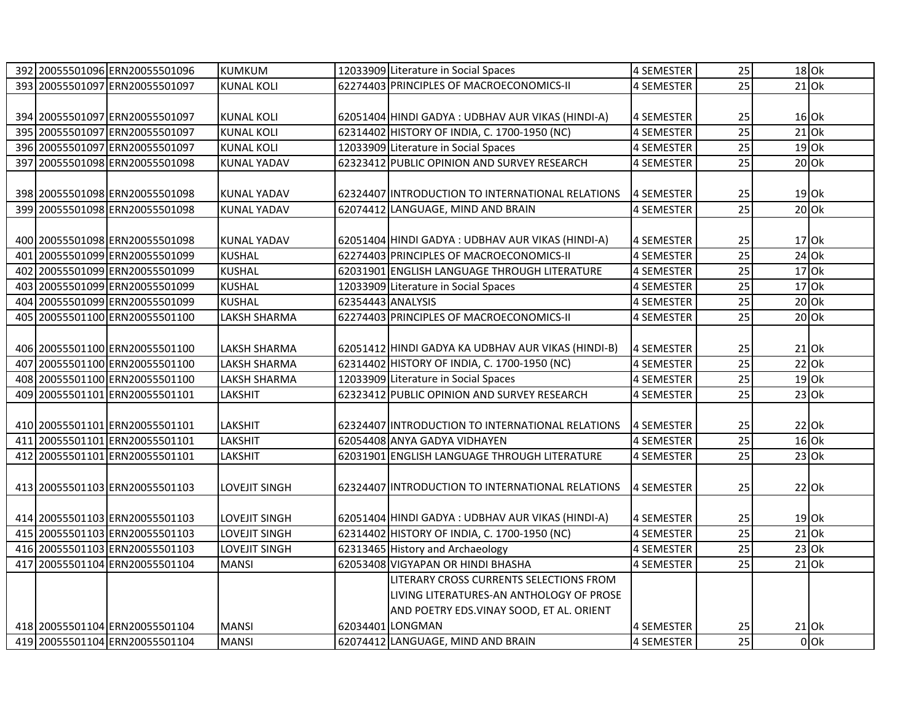|     | 392 20055501096 ERN20055501096 | <b>KUMKUM</b>        |                   | 12033909 Literature in Social Spaces               | 4 SEMESTER        | 25              |         | $18$ Ok        |
|-----|--------------------------------|----------------------|-------------------|----------------------------------------------------|-------------------|-----------------|---------|----------------|
|     | 393 20055501097 ERN20055501097 | <b>KUNAL KOLI</b>    |                   | 62274403 PRINCIPLES OF MACROECONOMICS-II           | 4 SEMESTER        | $\overline{25}$ | $21$ Ok |                |
|     |                                |                      |                   |                                                    |                   |                 |         |                |
|     | 394 20055501097 ERN20055501097 | <b>KUNAL KOLI</b>    |                   | 62051404 HINDI GADYA : UDBHAV AUR VIKAS (HINDI-A)  | 4 SEMESTER        | 25              | $16$ Ok |                |
|     | 395 20055501097 ERN20055501097 | <b>KUNAL KOLI</b>    |                   | 62314402 HISTORY OF INDIA, C. 1700-1950 (NC)       | 4 SEMESTER        | $\overline{25}$ | $21$ Ok |                |
|     | 396 20055501097 ERN20055501097 | <b>KUNAL KOLI</b>    |                   | 12033909 Literature in Social Spaces               | 4 SEMESTER        | $\overline{25}$ |         | $19$ Ok        |
|     | 397 20055501098 ERN20055501098 | <b>KUNAL YADAV</b>   |                   | 62323412 PUBLIC OPINION AND SURVEY RESEARCH        | 4 SEMESTER        | $\overline{25}$ | $20$ Ok |                |
|     |                                |                      |                   |                                                    |                   |                 |         |                |
|     | 398 20055501098 ERN20055501098 | <b>KUNAL YADAV</b>   |                   | 62324407 INTRODUCTION TO INTERNATIONAL RELATIONS   | 4 SEMESTER        | 25              | $19$ Ok |                |
|     | 399 20055501098 ERN20055501098 | <b>KUNAL YADAV</b>   |                   | 62074412 LANGUAGE, MIND AND BRAIN                  | 4 SEMESTER        | 25              |         | 20 Ok          |
|     |                                |                      |                   |                                                    |                   |                 |         |                |
|     | 400 20055501098 ERN20055501098 | <b>KUNAL YADAV</b>   |                   | 62051404 HINDI GADYA : UDBHAV AUR VIKAS (HINDI-A)  | 4 SEMESTER        | 25              | $17$ Ok |                |
|     | 401 20055501099 ERN20055501099 | <b>KUSHAL</b>        |                   | 62274403 PRINCIPLES OF MACROECONOMICS-II           | 4 SEMESTER        | 25              | $24$ Ok |                |
|     | 402 20055501099 ERN20055501099 | <b>KUSHAL</b>        |                   | 62031901 ENGLISH LANGUAGE THROUGH LITERATURE       | 4 SEMESTER        | 25              | $17$ Ok |                |
|     | 403 20055501099 ERN20055501099 | <b>KUSHAL</b>        |                   | 12033909 Literature in Social Spaces               | 4 SEMESTER        | 25              | $17$ Ok |                |
| 404 | 20055501099 ERN20055501099     | <b>KUSHAL</b>        | 62354443 ANALYSIS |                                                    | 4 SEMESTER        | 25              | $20$ Ok |                |
|     | 405 20055501100 ERN20055501100 | <b>LAKSH SHARMA</b>  |                   | 62274403 PRINCIPLES OF MACROECONOMICS-II           | 4 SEMESTER        | 25              |         | $20$ Ok        |
|     |                                |                      |                   |                                                    |                   |                 |         |                |
|     | 406 20055501100 ERN20055501100 | <b>LAKSH SHARMA</b>  |                   | 62051412 HINDI GADYA KA UDBHAV AUR VIKAS (HINDI-B) | 4 SEMESTER        | 25              | $21$ Ok |                |
|     | 407 20055501100 ERN20055501100 | <b>LAKSH SHARMA</b>  |                   | 62314402 HISTORY OF INDIA, C. 1700-1950 (NC)       | 4 SEMESTER        | 25              |         | $22$ Ok        |
|     | 408 20055501100 ERN20055501100 | LAKSH SHARMA         |                   | 12033909 Literature in Social Spaces               | 4 SEMESTER        | 25              |         | $19$ Ok        |
|     | 409 20055501101 ERN20055501101 | LAKSHIT              |                   | 62323412 PUBLIC OPINION AND SURVEY RESEARCH        | <b>4 SEMESTER</b> | 25              | $23$ Ok |                |
|     |                                |                      |                   |                                                    |                   |                 |         |                |
|     | 410 20055501101 ERN20055501101 | LAKSHIT              |                   | 62324407 INTRODUCTION TO INTERNATIONAL RELATIONS   | 4 SEMESTER        | 25              | $22$ Ok |                |
|     | 411 20055501101 ERN20055501101 | LAKSHIT              |                   | 62054408 ANYA GADYA VIDHAYEN                       | 4 SEMESTER        | 25              | $16$ Ok |                |
|     | 412 20055501101 ERN20055501101 | LAKSHIT              |                   | 62031901 ENGLISH LANGUAGE THROUGH LITERATURE       | 4 SEMESTER        | $\overline{25}$ | $23$ Ok |                |
|     |                                |                      |                   |                                                    |                   |                 |         |                |
|     | 413 20055501103 ERN20055501103 | <b>LOVEJIT SINGH</b> |                   | 62324407 INTRODUCTION TO INTERNATIONAL RELATIONS   | 4 SEMESTER        | 25              | $22$ Ok |                |
|     |                                |                      |                   |                                                    |                   |                 |         |                |
|     | 414 20055501103 ERN20055501103 | <b>LOVEJIT SINGH</b> |                   | 62051404 HINDI GADYA : UDBHAV AUR VIKAS (HINDI-A)  | 4 SEMESTER        | 25              | $19$ Ok |                |
|     | 415 20055501103 ERN20055501103 | <b>LOVEJIT SINGH</b> |                   | 62314402 HISTORY OF INDIA, C. 1700-1950 (NC)       | 4 SEMESTER        | 25              | $21$ Ok |                |
|     | 416 20055501103 ERN20055501103 | <b>LOVEJIT SINGH</b> |                   | 62313465 History and Archaeology                   | 4 SEMESTER        | 25              |         | $23$ Ok        |
|     | 417 20055501104 ERN20055501104 | <b>MANSI</b>         |                   | 62053408 VIGYAPAN OR HINDI BHASHA                  | 4 SEMESTER        | 25              | $21$ Ok |                |
|     |                                |                      |                   | LITERARY CROSS CURRENTS SELECTIONS FROM            |                   |                 |         |                |
|     |                                |                      |                   | LIVING LITERATURES-AN ANTHOLOGY OF PROSE           |                   |                 |         |                |
|     |                                |                      |                   | AND POETRY EDS.VINAY SOOD, ET AL. ORIENT           |                   |                 |         |                |
|     | 418 20055501104 ERN20055501104 | <b>MANSI</b>         |                   | 62034401 LONGMAN                                   | 4 SEMESTER        | 25              |         | 21 Ok          |
|     | 419 20055501104 ERN20055501104 | <b>MANSI</b>         |                   | 62074412 LANGUAGE, MIND AND BRAIN                  | 4 SEMESTER        | 25              |         | 0 <sub>0</sub> |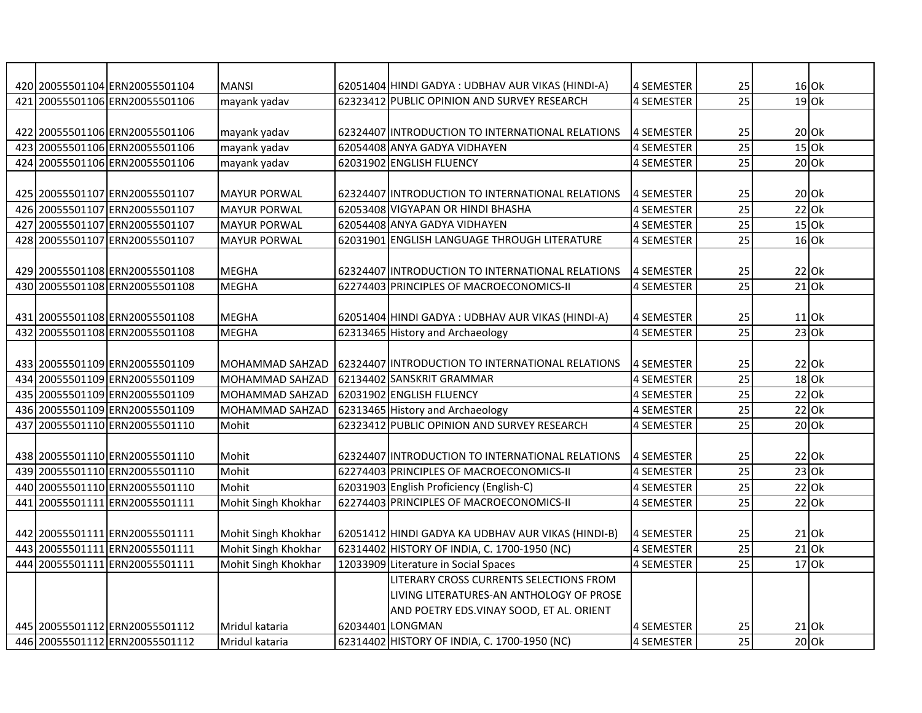|  | 420 20055501104 ERN20055501104 | <b>MANSI</b>           | 62051404 HINDI GADYA : UDBHAV AUR VIKAS (HINDI-A)  | 4 SEMESTER | 25              | $16$ Ok |
|--|--------------------------------|------------------------|----------------------------------------------------|------------|-----------------|---------|
|  | 421 20055501106 ERN20055501106 | mayank yadav           | 62323412 PUBLIC OPINION AND SURVEY RESEARCH        | 4 SEMESTER | $\overline{25}$ | $19$ Ok |
|  |                                |                        |                                                    |            |                 |         |
|  | 422 20055501106 ERN20055501106 | mayank yadav           | 62324407 INTRODUCTION TO INTERNATIONAL RELATIONS   | 4 SEMESTER | 25              | $20$ Ok |
|  | 423 20055501106 ERN20055501106 | mayank yadav           | 62054408 ANYA GADYA VIDHAYEN                       | 4 SEMESTER | $\overline{25}$ | $15$ Ok |
|  | 424 20055501106 ERN20055501106 | mayank yadav           | 62031902 ENGLISH FLUENCY                           | 4 SEMESTER | $\overline{25}$ | $20$ Ok |
|  |                                |                        |                                                    |            |                 |         |
|  | 425 20055501107 ERN20055501107 | <b>MAYUR PORWAL</b>    | 62324407 INTRODUCTION TO INTERNATIONAL RELATIONS   | 4 SEMESTER | 25              | $20$ Ok |
|  | 426 20055501107 ERN20055501107 | <b>MAYUR PORWAL</b>    | 62053408 VIGYAPAN OR HINDI BHASHA                  | 4 SEMESTER | $\overline{25}$ | $22$ Ok |
|  | 427 20055501107 ERN20055501107 | <b>MAYUR PORWAL</b>    | 62054408 ANYA GADYA VIDHAYEN                       | 4 SEMESTER | $\overline{25}$ | $15$ Ok |
|  | 428 20055501107 ERN20055501107 | <b>MAYUR PORWAL</b>    | 62031901 ENGLISH LANGUAGE THROUGH LITERATURE       | 4 SEMESTER | 25              | $16$ Ok |
|  |                                |                        |                                                    |            |                 |         |
|  | 429 20055501108 ERN20055501108 | <b>MEGHA</b>           | 62324407 INTRODUCTION TO INTERNATIONAL RELATIONS   | 4 SEMESTER | 25              | $22$ Ok |
|  | 430 20055501108 ERN20055501108 | <b>MEGHA</b>           | 62274403 PRINCIPLES OF MACROECONOMICS-II           | 4 SEMESTER | 25              | $21$ Ok |
|  |                                |                        |                                                    |            |                 |         |
|  | 431 20055501108 ERN20055501108 | <b>MEGHA</b>           | 62051404 HINDI GADYA : UDBHAV AUR VIKAS (HINDI-A)  | 4 SEMESTER | 25              | $11$ Ok |
|  | 432 20055501108 ERN20055501108 | <b>MEGHA</b>           | 62313465 History and Archaeology                   | 4 SEMESTER | 25              | $23$ Ok |
|  |                                |                        |                                                    |            |                 |         |
|  | 433 20055501109 ERN20055501109 | <b>MOHAMMAD SAHZAD</b> | 62324407 INTRODUCTION TO INTERNATIONAL RELATIONS   | 4 SEMESTER | 25              | $22$ Ok |
|  | 434 20055501109 ERN20055501109 | MOHAMMAD SAHZAD        | 62134402 SANSKRIT GRAMMAR                          | 4 SEMESTER | 25              | $18$ Ok |
|  | 435 20055501109 ERN20055501109 | MOHAMMAD SAHZAD        | 62031902 ENGLISH FLUENCY                           | 4 SEMESTER | 25              | $22$ Ok |
|  | 436 20055501109 ERN20055501109 | MOHAMMAD SAHZAD        | 62313465 History and Archaeology                   | 4 SEMESTER | 25              | $22$ Ok |
|  | 437 20055501110 ERN20055501110 | Mohit                  | 62323412 PUBLIC OPINION AND SURVEY RESEARCH        | 4 SEMESTER | 25              | $20$ Ok |
|  |                                |                        |                                                    |            |                 |         |
|  | 438 20055501110 ERN20055501110 | Mohit                  | 62324407 INTRODUCTION TO INTERNATIONAL RELATIONS   | 4 SEMESTER | 25              | $22$ Ok |
|  | 439 20055501110 ERN20055501110 | Mohit                  | 62274403 PRINCIPLES OF MACROECONOMICS-II           | 4 SEMESTER | $\overline{25}$ | $23$ Ok |
|  | 440 20055501110 ERN20055501110 | Mohit                  | 62031903 English Proficiency (English-C)           | 4 SEMESTER | 25              | $22$ Ok |
|  | 441 20055501111 ERN20055501111 | Mohit Singh Khokhar    | 62274403 PRINCIPLES OF MACROECONOMICS-II           | 4 SEMESTER | $\overline{25}$ | $22$ Ok |
|  |                                |                        |                                                    |            |                 |         |
|  | 442 20055501111 ERN20055501111 | Mohit Singh Khokhar    | 62051412 HINDI GADYA KA UDBHAV AUR VIKAS (HINDI-B) | 4 SEMESTER | 25              | $21$ Ok |
|  | 443 20055501111 ERN20055501111 | Mohit Singh Khokhar    | 62314402 HISTORY OF INDIA, C. 1700-1950 (NC)       | 4 SEMESTER | 25              | $21$ Ok |
|  | 444 20055501111 ERN20055501111 | Mohit Singh Khokhar    | 12033909 Literature in Social Spaces               | 4 SEMESTER | 25              | $17$ Ok |
|  |                                |                        | LITERARY CROSS CURRENTS SELECTIONS FROM            |            |                 |         |
|  |                                |                        | LIVING LITERATURES-AN ANTHOLOGY OF PROSE           |            |                 |         |
|  |                                |                        | AND POETRY EDS.VINAY SOOD, ET AL. ORIENT           |            |                 |         |
|  | 445 20055501112 ERN20055501112 | Mridul kataria         | 62034401 LONGMAN                                   | 4 SEMESTER | 25              | $21$ Ok |
|  | 446 20055501112 ERN20055501112 | Mridul kataria         | 62314402 HISTORY OF INDIA, C. 1700-1950 (NC)       | 4 SEMESTER | $\overline{25}$ | $20$ Ok |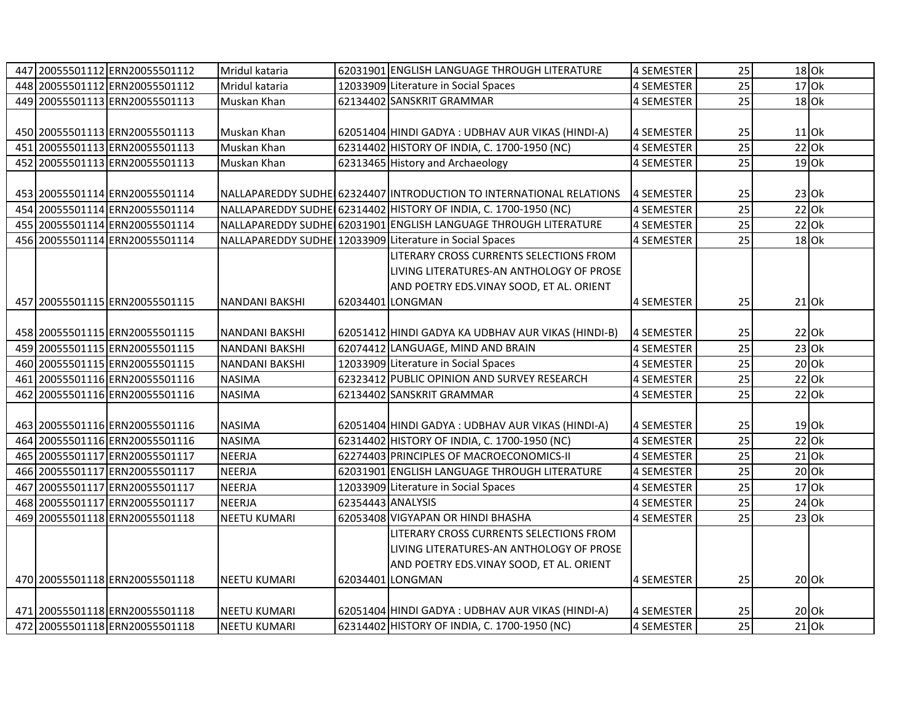|  | 447 20055501112 ERN20055501112 | Mridul kataria        |                   | 62031901 ENGLISH LANGUAGE THROUGH LITERATURE                        | <b>4 SEMESTER</b> | 25              | $18$ Ok |         |
|--|--------------------------------|-----------------------|-------------------|---------------------------------------------------------------------|-------------------|-----------------|---------|---------|
|  | 448 20055501112 ERN20055501112 | Mridul kataria        |                   | 12033909 Literature in Social Spaces                                | <b>4 SEMESTER</b> | $\overline{25}$ | $17$ Ok |         |
|  | 449 20055501113 ERN20055501113 | Muskan Khan           |                   | 62134402 SANSKRIT GRAMMAR                                           | 4 SEMESTER        | 25              | $18$ Ok |         |
|  |                                |                       |                   |                                                                     |                   |                 |         |         |
|  | 450 20055501113 ERN20055501113 | Muskan Khan           |                   | 62051404 HINDI GADYA : UDBHAV AUR VIKAS (HINDI-A)                   | <b>4 SEMESTER</b> | 25              | $11$ Ok |         |
|  | 451 20055501113 ERN20055501113 | Muskan Khan           |                   | 62314402 HISTORY OF INDIA, C. 1700-1950 (NC)                        | <b>4 SEMESTER</b> | $\overline{25}$ | $22$ Ok |         |
|  | 452 20055501113 ERN20055501113 | Muskan Khan           |                   | 62313465 History and Archaeology                                    | <b>4 SEMESTER</b> | $\overline{25}$ | $19$ Ok |         |
|  |                                |                       |                   |                                                                     |                   |                 |         |         |
|  | 453 20055501114 ERN20055501114 |                       |                   | NALLAPAREDDY SUDHE 62324407 INTRODUCTION TO INTERNATIONAL RELATIONS | 4 SEMESTER        | 25              | $23$ Ok |         |
|  | 454 20055501114 ERN20055501114 |                       |                   | NALLAPAREDDY SUDHE 62314402 HISTORY OF INDIA, C. 1700-1950 (NC)     | <b>4 SEMESTER</b> | $\overline{25}$ |         | $22$ Ok |
|  | 455 20055501114 ERN20055501114 |                       |                   | NALLAPAREDDY SUDHE 62031901 ENGLISH LANGUAGE THROUGH LITERATURE     | 4 SEMESTER        | $\overline{25}$ |         | 22 Ok   |
|  | 456 20055501114 ERN20055501114 |                       |                   | NALLAPAREDDY SUDHE 12033909 Literature in Social Spaces             | 4 SEMESTER        | 25              | $18$ Ok |         |
|  |                                |                       |                   | LITERARY CROSS CURRENTS SELECTIONS FROM                             |                   |                 |         |         |
|  |                                |                       |                   | LIVING LITERATURES-AN ANTHOLOGY OF PROSE                            |                   |                 |         |         |
|  |                                |                       |                   | AND POETRY EDS.VINAY SOOD, ET AL. ORIENT                            |                   |                 |         |         |
|  | 457 20055501115 ERN20055501115 | <b>NANDANI BAKSHI</b> |                   | 62034401 LONGMAN                                                    | 4 SEMESTER        | 25              | $21$ Ok |         |
|  |                                |                       |                   |                                                                     |                   |                 |         |         |
|  | 458 20055501115 ERN20055501115 | <b>NANDANI BAKSHI</b> |                   | 62051412 HINDI GADYA KA UDBHAV AUR VIKAS (HINDI-B)                  | <b>4 SEMESTER</b> | 25              | $22$ Ok |         |
|  | 459 20055501115 ERN20055501115 | <b>NANDANI BAKSHI</b> |                   | 62074412 LANGUAGE, MIND AND BRAIN                                   | 4 SEMESTER        | 25              |         | $23$ Ok |
|  | 460 20055501115 ERN20055501115 | <b>NANDANI BAKSHI</b> |                   | 12033909 Literature in Social Spaces                                | 4 SEMESTER        | 25              |         | $20$ Ok |
|  | 461 20055501116 ERN20055501116 | <b>NASIMA</b>         |                   | 62323412 PUBLIC OPINION AND SURVEY RESEARCH                         | <b>4 SEMESTER</b> | $\overline{25}$ | $22$ Ok |         |
|  | 462 20055501116 ERN20055501116 | <b>NASIMA</b>         |                   | 62134402 SANSKRIT GRAMMAR                                           | 4 SEMESTER        | $\overline{25}$ |         | $22$ Ok |
|  |                                |                       |                   |                                                                     |                   |                 |         |         |
|  | 463 20055501116 ERN20055501116 | <b>NASIMA</b>         |                   | 62051404 HINDI GADYA : UDBHAV AUR VIKAS (HINDI-A)                   | <b>4 SEMESTER</b> | 25              | $19$ Ok |         |
|  | 464 20055501116 ERN20055501116 | <b>NASIMA</b>         |                   | 62314402 HISTORY OF INDIA, C. 1700-1950 (NC)                        | 4 SEMESTER        | 25              | $22$ Ok |         |
|  | 465 20055501117 ERN20055501117 | <b>NEERJA</b>         |                   | 62274403 PRINCIPLES OF MACROECONOMICS-II                            | 4 SEMESTER        | 25              | $21$ Ok |         |
|  | 466 20055501117 ERN20055501117 | <b>NEERJA</b>         |                   | 62031901 ENGLISH LANGUAGE THROUGH LITERATURE                        | 4 SEMESTER        | 25              | $20$ Ok |         |
|  | 467 20055501117 ERN20055501117 | <b>NEERJA</b>         |                   | 12033909 Literature in Social Spaces                                | 4 SEMESTER        | 25              | $17$ Ok |         |
|  | 468 20055501117 ERN20055501117 | <b>NEERJA</b>         | 62354443 ANALYSIS |                                                                     | 4 SEMESTER        | 25              | $24$ Ok |         |
|  | 469 20055501118 ERN20055501118 | <b>NEETU KUMARI</b>   |                   | 62053408 VIGYAPAN OR HINDI BHASHA                                   | 4 SEMESTER        | 25              | $23$ Ok |         |
|  |                                |                       |                   | LITERARY CROSS CURRENTS SELECTIONS FROM                             |                   |                 |         |         |
|  |                                |                       |                   | LIVING LITERATURES-AN ANTHOLOGY OF PROSE                            |                   |                 |         |         |
|  |                                |                       |                   | AND POETRY EDS.VINAY SOOD, ET AL. ORIENT                            |                   |                 |         |         |
|  | 470 20055501118 ERN20055501118 | <b>NEETU KUMARI</b>   |                   | 62034401 LONGMAN                                                    | <b>4 SEMESTER</b> | 25              | $20$ Ok |         |
|  |                                |                       |                   |                                                                     |                   |                 |         |         |
|  | 471 20055501118 ERN20055501118 | <b>NEETU KUMARI</b>   |                   | 62051404 HINDI GADYA : UDBHAV AUR VIKAS (HINDI-A)                   | 4 SEMESTER        | 25              | $20$ Ok |         |
|  | 472 20055501118 ERN20055501118 | <b>NEETU KUMARI</b>   |                   | 62314402 HISTORY OF INDIA, C. 1700-1950 (NC)                        | 4 SEMESTER        | 25              | $21$ Ok |         |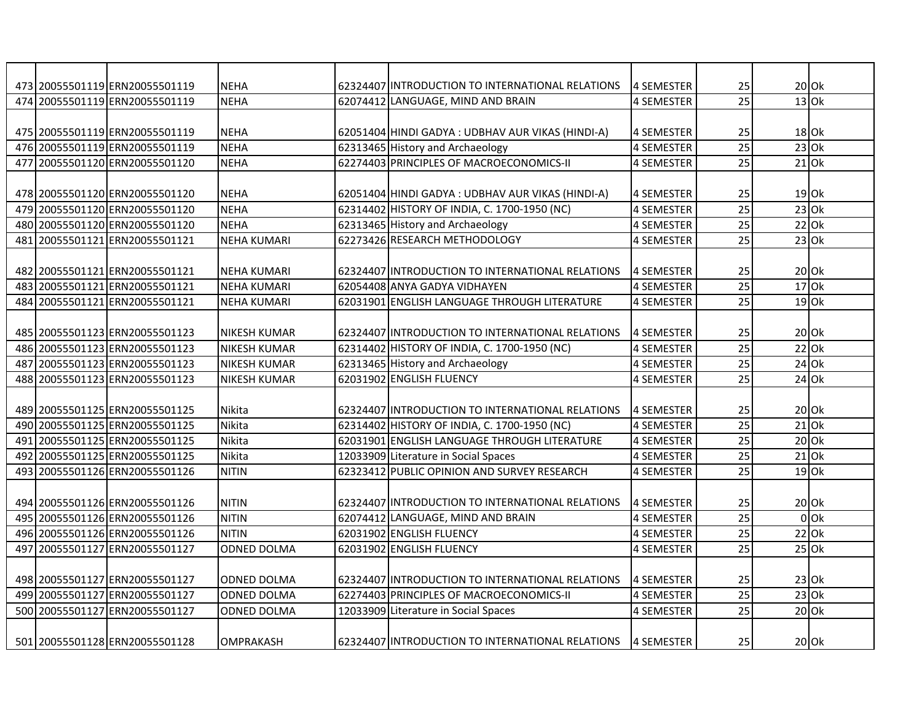|     | 473 20055501119 ERN20055501119 | <b>NEHA</b>         | 62324407 INTRODUCTION TO INTERNATIONAL RELATIONS  | 4 SEMESTER        | 25              | $20$ Ok |         |
|-----|--------------------------------|---------------------|---------------------------------------------------|-------------------|-----------------|---------|---------|
|     | 474 20055501119 ERN20055501119 | <b>NEHA</b>         | 62074412 LANGUAGE, MIND AND BRAIN                 | 4 SEMESTER        | $\overline{25}$ | $13$ Ok |         |
|     |                                |                     |                                                   |                   |                 |         |         |
|     | 475 20055501119 ERN20055501119 | <b>NEHA</b>         | 62051404 HINDI GADYA : UDBHAV AUR VIKAS (HINDI-A) | <b>4 SEMESTER</b> | 25              | 18 Ok   |         |
|     | 476 20055501119 ERN20055501119 | <b>NEHA</b>         | 62313465 History and Archaeology                  | 4 SEMESTER        | $\overline{25}$ |         | $23$ Ok |
|     | 477 20055501120 ERN20055501120 | <b>NEHA</b>         | 62274403 PRINCIPLES OF MACROECONOMICS-II          | 4 SEMESTER        | 25              |         | $21$ Ok |
|     |                                |                     |                                                   |                   |                 |         |         |
|     | 478 20055501120 ERN20055501120 | <b>NEHA</b>         | 62051404 HINDI GADYA : UDBHAV AUR VIKAS (HINDI-A) | 4 SEMESTER        | 25              | 19 Ok   |         |
|     | 479 20055501120 ERN20055501120 | <b>NEHA</b>         | 62314402 HISTORY OF INDIA, C. 1700-1950 (NC)      | 4 SEMESTER        | 25              | $23$ Ok |         |
|     | 480 20055501120 ERN20055501120 | <b>NEHA</b>         | 62313465 History and Archaeology                  | 4 SEMESTER        | 25              |         | $22$ Ok |
| 481 | 20055501121 ERN20055501121     | NEHA KUMARI         | 62273426 RESEARCH METHODOLOGY                     | <b>4 SEMESTER</b> | 25              | 23 Ok   |         |
|     |                                |                     |                                                   |                   |                 |         |         |
|     | 482 20055501121 ERN20055501121 | <b>NEHA KUMARI</b>  | 62324407 INTRODUCTION TO INTERNATIONAL RELATIONS  | 4 SEMESTER        | 25              | 20 Ok   |         |
| 483 | 20055501121 ERN20055501121     | <b>NEHA KUMARI</b>  | 62054408 ANYA GADYA VIDHAYEN                      | <b>4 SEMESTER</b> | 25              | $17$ Ok |         |
| 484 | 20055501121 ERN20055501121     | <b>NEHA KUMARI</b>  | 62031901 ENGLISH LANGUAGE THROUGH LITERATURE      | 4 SEMESTER        | 25              | $19$ Ok |         |
|     |                                |                     |                                                   |                   |                 |         |         |
|     | 485 20055501123 ERN20055501123 | <b>NIKESH KUMAR</b> | 62324407 INTRODUCTION TO INTERNATIONAL RELATIONS  | 4 SEMESTER        | 25              | $20$ Ok |         |
|     | 486 20055501123 ERN20055501123 | <b>NIKESH KUMAR</b> | 62314402 HISTORY OF INDIA, C. 1700-1950 (NC)      | <b>4 SEMESTER</b> | 25              | $22$ Ok |         |
| 487 | 20055501123 ERN20055501123     | <b>NIKESH KUMAR</b> | 62313465 History and Archaeology                  | <b>4 SEMESTER</b> | 25              | $24$ Ok |         |
|     | 488 20055501123 ERN20055501123 | <b>NIKESH KUMAR</b> | 62031902 ENGLISH FLUENCY                          | <b>4 SEMESTER</b> | 25              | $24$ Ok |         |
|     |                                |                     |                                                   |                   |                 |         |         |
|     | 489 20055501125 ERN20055501125 | <b>Nikita</b>       | 62324407 INTRODUCTION TO INTERNATIONAL RELATIONS  | <b>4 SEMESTER</b> | 25              | $20$ Ok |         |
|     | 490 20055501125 ERN20055501125 | Nikita              | 62314402 HISTORY OF INDIA, C. 1700-1950 (NC)      | 4 SEMESTER        | 25              | $21$ Ok |         |
| 491 | 20055501125 ERN20055501125     | Nikita              | 62031901 ENGLISH LANGUAGE THROUGH LITERATURE      | 4 SEMESTER        | 25              | $20$ Ok |         |
|     | 492 20055501125 ERN20055501125 | <b>Nikita</b>       | 12033909 Literature in Social Spaces              | <b>4 SEMESTER</b> | 25              | $21$ Ok |         |
| 493 | 20055501126 ERN20055501126     | <b>NITIN</b>        | 62323412 PUBLIC OPINION AND SURVEY RESEARCH       | <b>4 SEMESTER</b> | $\overline{25}$ | $19$ Ok |         |
|     |                                |                     |                                                   |                   |                 |         |         |
|     | 494 20055501126 ERN20055501126 | <b>NITIN</b>        | 62324407 INTRODUCTION TO INTERNATIONAL RELATIONS  | 4 SEMESTER        | 25              | $20$ Ok |         |
| 495 | 20055501126 ERN20055501126     | <b>NITIN</b>        | 62074412 LANGUAGE, MIND AND BRAIN                 | <b>4 SEMESTER</b> | 25              |         | $0$ Ok  |
|     | 496 20055501126 ERN20055501126 | <b>NITIN</b>        | 62031902 ENGLISH FLUENCY                          | 4 SEMESTER        | 25              | $22$ Ok |         |
| 497 | 20055501127 ERN20055501127     | <b>ODNED DOLMA</b>  | 62031902 ENGLISH FLUENCY                          | <b>4 SEMESTER</b> | 25              | $25$ Ok |         |
|     |                                |                     |                                                   |                   |                 |         |         |
|     | 498 20055501127 ERN20055501127 | <b>ODNED DOLMA</b>  | 62324407 IINTRODUCTION TO INTERNATIONAL RELATIONS | 4 SEMESTER        | 25              | 23 Ok   |         |
|     | 499 20055501127 ERN20055501127 | <b>ODNED DOLMA</b>  | 62274403 PRINCIPLES OF MACROECONOMICS-II          | 4 SEMESTER        | 25              |         | $23$ Ok |
|     | 500 20055501127 ERN20055501127 | <b>ODNED DOLMA</b>  | 12033909 Literature in Social Spaces              | 4 SEMESTER        | 25              | $20$ Ok |         |
|     |                                |                     |                                                   |                   |                 |         |         |
|     | 501 20055501128 ERN20055501128 | <b>OMPRAKASH</b>    | 62324407 INTRODUCTION TO INTERNATIONAL RELATIONS  | 4 SEMESTER        | 25              | 20 Ok   |         |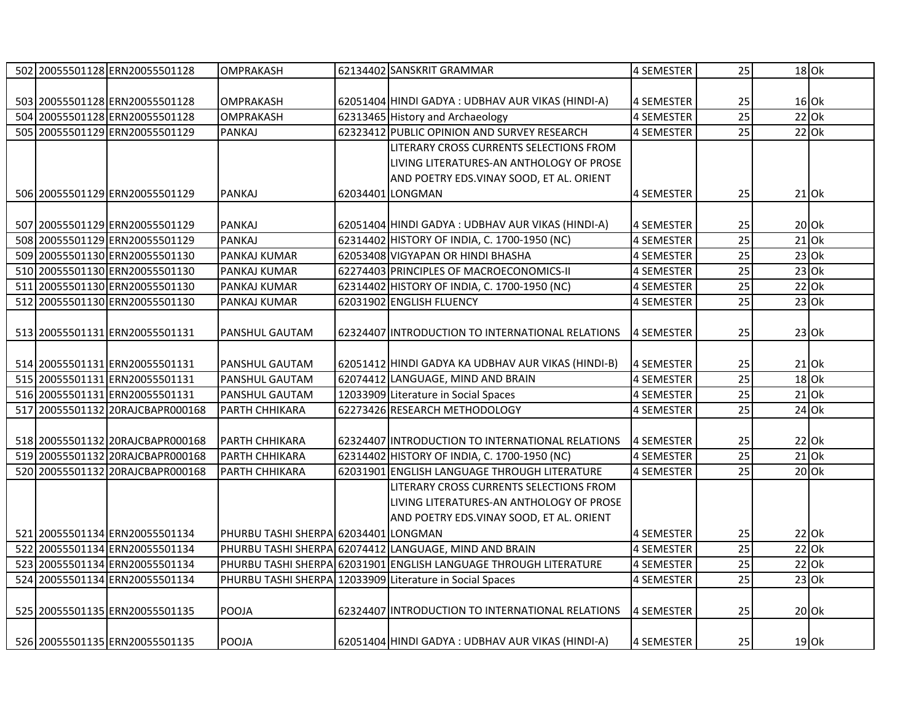|     | 502 20055501128 ERN20055501128   | <b>OMPRAKASH</b>                     | 62134402 SANSKRIT GRAMMAR                                        | 4 SEMESTER        | 25              |         | $18$ Ok |
|-----|----------------------------------|--------------------------------------|------------------------------------------------------------------|-------------------|-----------------|---------|---------|
|     |                                  |                                      |                                                                  |                   |                 |         |         |
|     | 503 20055501128 ERN20055501128   | <b>OMPRAKASH</b>                     | 62051404 HINDI GADYA : UDBHAV AUR VIKAS (HINDI-A)                | 4 SEMESTER        | 25              |         | $16$ Ok |
|     | 504 20055501128 ERN20055501128   | <b>OMPRAKASH</b>                     | 62313465 History and Archaeology                                 | 4 SEMESTER        | $\overline{25}$ |         | 220k    |
|     | 505 20055501129 ERN20055501129   | <b>PANKAJ</b>                        | 62323412 PUBLIC OPINION AND SURVEY RESEARCH                      | 4 SEMESTER        | 25              |         | $22$ Ok |
|     |                                  |                                      | LITERARY CROSS CURRENTS SELECTIONS FROM                          |                   |                 |         |         |
|     |                                  |                                      | LIVING LITERATURES-AN ANTHOLOGY OF PROSE                         |                   |                 |         |         |
|     |                                  |                                      | AND POETRY EDS.VINAY SOOD, ET AL. ORIENT                         |                   |                 |         |         |
|     | 506 20055501129 ERN20055501129   | <b>PANKAJ</b>                        | 62034401 LONGMAN                                                 | 4 SEMESTER        | 25              |         | $21$ Ok |
|     |                                  |                                      |                                                                  |                   |                 |         |         |
|     | 507 20055501129 ERN20055501129   | <b>PANKAJ</b>                        | 62051404 HINDI GADYA : UDBHAV AUR VIKAS (HINDI-A)                | 4 SEMESTER        | 25              | $20$ Ok |         |
|     | 508 20055501129 ERN20055501129   | <b>PANKAJ</b>                        | 62314402 HISTORY OF INDIA, C. 1700-1950 (NC)                     | 4 SEMESTER        | 25              |         | $21$ Ok |
|     | 509 20055501130 ERN20055501130   | PANKAJ KUMAR                         | 62053408 VIGYAPAN OR HINDI BHASHA                                | 4 SEMESTER        | 25              |         | $23$ Ok |
|     | 510 20055501130 ERN20055501130   | PANKAJ KUMAR                         | 62274403 PRINCIPLES OF MACROECONOMICS-II                         | 4 SEMESTER        | $\overline{25}$ |         | $23$ Ok |
| 511 | 20055501130 ERN20055501130       | PANKAJ KUMAR                         | 62314402 HISTORY OF INDIA, C. 1700-1950 (NC)                     | 4 SEMESTER        | 25              |         | $22$ Ok |
|     | 512 20055501130 ERN20055501130   | PANKAJ KUMAR                         | 62031902 ENGLISH FLUENCY                                         | 4 SEMESTER        | 25              |         | $23$ Ok |
|     |                                  |                                      |                                                                  |                   |                 |         |         |
|     | 513 20055501131 ERN20055501131   | PANSHUL GAUTAM                       | 62324407 INTRODUCTION TO INTERNATIONAL RELATIONS                 | 4 SEMESTER        | 25              |         | $23$ Ok |
|     |                                  |                                      |                                                                  |                   |                 |         |         |
|     | 514 20055501131 ERN20055501131   | PANSHUL GAUTAM                       | 62051412 HINDI GADYA KA UDBHAV AUR VIKAS (HINDI-B)               | 4 SEMESTER        | 25              |         | $21$ Ok |
|     | 515 20055501131 ERN20055501131   | PANSHUL GAUTAM                       | 62074412 LANGUAGE, MIND AND BRAIN                                | <b>4 SEMESTER</b> | 25              |         | $18$ Ok |
|     | 516 20055501131 ERN20055501131   | PANSHUL GAUTAM                       | 12033909 Literature in Social Spaces                             | <b>4 SEMESTER</b> | 25              |         | $21$ Ok |
|     | 517 20055501132 20RAJCBAPR000168 | PARTH CHHIKARA                       | 62273426 RESEARCH METHODOLOGY                                    | 4 SEMESTER        | 25              |         | $24$ Ok |
|     |                                  |                                      |                                                                  |                   |                 |         |         |
|     | 518 20055501132 20RAJCBAPR000168 | <b>PARTH CHHIKARA</b>                | 62324407 INTRODUCTION TO INTERNATIONAL RELATIONS                 | 4 SEMESTER        | 25              |         | $22$ Ok |
|     | 519 20055501132 20RAJCBAPR000168 | PARTH CHHIKARA                       | 62314402 HISTORY OF INDIA, C. 1700-1950 (NC)                     | 4 SEMESTER        | $\overline{25}$ |         | $21$ Ok |
|     | 520 20055501132 20RAJCBAPR000168 | PARTH CHHIKARA                       | 62031901 ENGLISH LANGUAGE THROUGH LITERATURE                     | 4 SEMESTER        | 25              |         | $20$ Ok |
|     |                                  |                                      | LITERARY CROSS CURRENTS SELECTIONS FROM                          |                   |                 |         |         |
|     |                                  |                                      | LIVING LITERATURES-AN ANTHOLOGY OF PROSE                         |                   |                 |         |         |
|     |                                  |                                      | AND POETRY EDS.VINAY SOOD, ET AL. ORIENT                         |                   |                 |         |         |
|     | 521 20055501134 ERN20055501134   | PHURBU TASHI SHERPA 62034401 LONGMAN |                                                                  | 4 SEMESTER        | 25              |         | 22 Ok   |
|     | 522 20055501134 ERN20055501134   |                                      | PHURBU TASHI SHERPA 62074412 LANGUAGE, MIND AND BRAIN            | 4 SEMESTER        | $\overline{25}$ |         | $22$ Ok |
|     | 523 20055501134 ERN20055501134   |                                      | PHURBU TASHI SHERPA 62031901 ENGLISH LANGUAGE THROUGH LITERATURE | 4 SEMESTER        | 25              |         | $22$ Ok |
|     | 524 20055501134 ERN20055501134   |                                      | PHURBU TASHI SHERPA 12033909 Literature in Social Spaces         | 4 SEMESTER        | 25              |         | $23$ Ok |
|     |                                  |                                      |                                                                  |                   |                 |         |         |
|     | 525 20055501135 ERN20055501135   | POOJA                                | 62324407 INTRODUCTION TO INTERNATIONAL RELATIONS                 | 4 SEMESTER        | 25              |         | $20$ Ok |
|     |                                  |                                      |                                                                  |                   |                 |         |         |
|     | 526 20055501135 ERN20055501135   | <b>POOJA</b>                         | 62051404 HINDI GADYA : UDBHAV AUR VIKAS (HINDI-A)                | 4 SEMESTER        | 25              | $19$ Ok |         |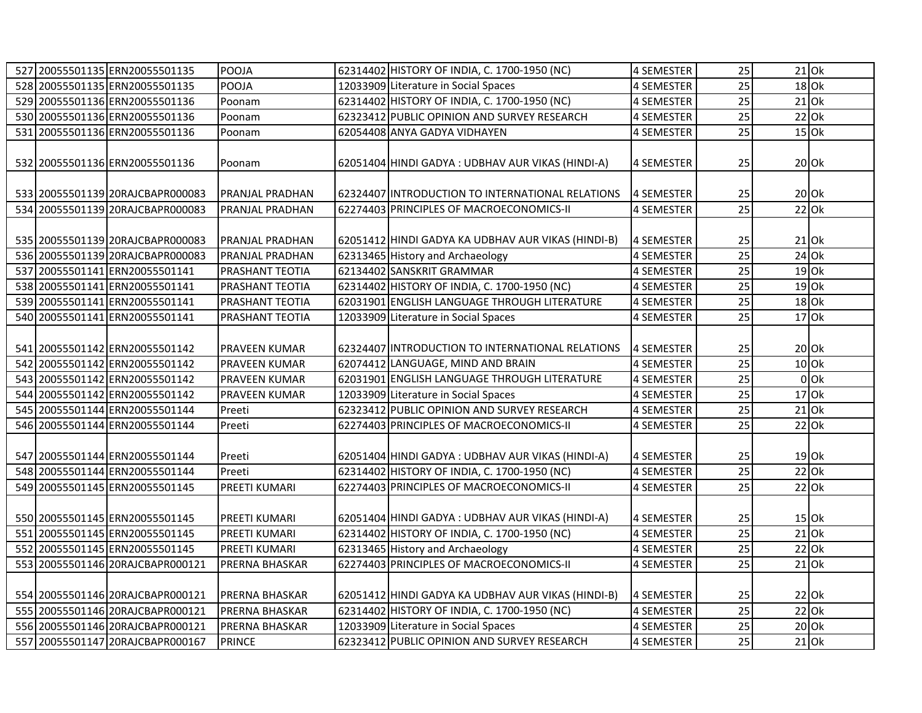|  | 527 20055501135 ERN20055501135   | POOJA                  | 62314402 HISTORY OF INDIA, C. 1700-1950 (NC)       | 4 SEMESTER        | 25              | $21$ Ok |        |
|--|----------------------------------|------------------------|----------------------------------------------------|-------------------|-----------------|---------|--------|
|  | 528 20055501135 ERN20055501135   | POOJA                  | 12033909 Literature in Social Spaces               | <b>4 SEMESTER</b> | $\overline{25}$ | $18$ Ok |        |
|  | 529 20055501136 ERN20055501136   | Poonam                 | 62314402 HISTORY OF INDIA, C. 1700-1950 (NC)       | 4 SEMESTER        | 25              | $21$ Ok |        |
|  | 530 20055501136 ERN20055501136   | Poonam                 | 62323412 PUBLIC OPINION AND SURVEY RESEARCH        | 4 SEMESTER        | 25              | $22$ Ok |        |
|  | 531 20055501136 ERN20055501136   | Poonam                 | 62054408 ANYA GADYA VIDHAYEN                       | 4 SEMESTER        | 25              | $15$ Ok |        |
|  |                                  |                        |                                                    |                   |                 |         |        |
|  | 532 20055501136 ERN20055501136   | Poonam                 | 62051404 HINDI GADYA : UDBHAV AUR VIKAS (HINDI-A)  | 4 SEMESTER        | 25              | 20 Ok   |        |
|  |                                  |                        |                                                    |                   |                 |         |        |
|  | 533 20055501139 20RAJCBAPR000083 | <b>PRANJAL PRADHAN</b> | 62324407 INTRODUCTION TO INTERNATIONAL RELATIONS   | <b>4 SEMESTER</b> | 25              | 20 Ok   |        |
|  | 534 20055501139 20RAJCBAPR000083 | <b>PRANJAL PRADHAN</b> | 62274403 PRINCIPLES OF MACROECONOMICS-II           | 4 SEMESTER        | 25              | $22$ Ok |        |
|  |                                  |                        |                                                    |                   |                 |         |        |
|  | 535 20055501139 20RAJCBAPR000083 | <b>PRANJAL PRADHAN</b> | 62051412 HINDI GADYA KA UDBHAV AUR VIKAS (HINDI-B) | 4 SEMESTER        | 25              | $21$ Ok |        |
|  | 536 20055501139 20RAJCBAPR000083 | <b>PRANJAL PRADHAN</b> | 62313465 History and Archaeology                   | <b>4 SEMESTER</b> | 25              | $24$ Ok |        |
|  | 537 20055501141 ERN20055501141   | PRASHANT TEOTIA        | 62134402 SANSKRIT GRAMMAR                          | 4 SEMESTER        | 25              | $19$ Ok |        |
|  | 538 20055501141 ERN20055501141   | PRASHANT TEOTIA        | 62314402 HISTORY OF INDIA, C. 1700-1950 (NC)       | 4 SEMESTER        | 25              | $19$ Ok |        |
|  | 539 20055501141 ERN20055501141   | PRASHANT TEOTIA        | 62031901 ENGLISH LANGUAGE THROUGH LITERATURE       | 4 SEMESTER        | $\overline{25}$ | $18$ Ok |        |
|  | 540 20055501141 ERN20055501141   | <b>PRASHANT TEOTIA</b> | 12033909 Literature in Social Spaces               | 4 SEMESTER        | 25              | $17$ Ok |        |
|  |                                  |                        |                                                    |                   |                 |         |        |
|  | 541 20055501142 ERN20055501142   | <b>PRAVEEN KUMAR</b>   | 62324407 INTRODUCTION TO INTERNATIONAL RELATIONS   | 4 SEMESTER        | 25              | $20$ Ok |        |
|  | 542 20055501142 ERN20055501142   | <b>PRAVEEN KUMAR</b>   | 62074412 LANGUAGE, MIND AND BRAIN                  | <b>4 SEMESTER</b> | 25              | $10$ Ok |        |
|  | 543 20055501142 ERN20055501142   | <b>PRAVEEN KUMAR</b>   | 62031901 ENGLISH LANGUAGE THROUGH LITERATURE       | <b>4 SEMESTER</b> | 25              |         | $0$ Ok |
|  | 544 20055501142 ERN20055501142   | PRAVEEN KUMAR          | 12033909 Literature in Social Spaces               | <b>4 SEMESTER</b> | 25              | $17$ Ok |        |
|  | 545 20055501144 ERN20055501144   | Preeti                 | 62323412 PUBLIC OPINION AND SURVEY RESEARCH        | <b>4 SEMESTER</b> | 25              | $21$ Ok |        |
|  | 546 20055501144 ERN20055501144   | Preeti                 | 62274403 PRINCIPLES OF MACROECONOMICS-II           | 4 SEMESTER        | 25              | 22 Ok   |        |
|  |                                  |                        |                                                    |                   |                 |         |        |
|  | 547 20055501144 ERN20055501144   | Preeti                 | 62051404 HINDI GADYA : UDBHAV AUR VIKAS (HINDI-A)  | 4 SEMESTER        | 25              | $19$ Ok |        |
|  | 548 20055501144 ERN20055501144   | Preeti                 | 62314402 HISTORY OF INDIA, C. 1700-1950 (NC)       | <b>4 SEMESTER</b> | $\overline{25}$ | $22$ Ok |        |
|  | 549 20055501145 ERN20055501145   | <b>PREETI KUMARI</b>   | 62274403 PRINCIPLES OF MACROECONOMICS-II           | 4 SEMESTER        | $\overline{25}$ | $22$ Ok |        |
|  |                                  |                        |                                                    |                   |                 |         |        |
|  | 550 20055501145 ERN20055501145   | <b>PREETI KUMARI</b>   | 62051404 HINDI GADYA : UDBHAV AUR VIKAS (HINDI-A)  | 4 SEMESTER        | 25              | $15$ Ok |        |
|  | 551 20055501145 ERN20055501145   | <b>PREETI KUMARI</b>   | 62314402 HISTORY OF INDIA, C. 1700-1950 (NC)       | 4 SEMESTER        | 25              | $21$ Ok |        |
|  | 552 20055501145 ERN20055501145   | <b>PREETI KUMARI</b>   | 62313465 History and Archaeology                   | 4 SEMESTER        | $\overline{25}$ | $22$ Ok |        |
|  | 553 20055501146 20RAJCBAPR000121 | <b>PRERNA BHASKAR</b>  | 62274403 PRINCIPLES OF MACROECONOMICS-II           | 4 SEMESTER        | 25              | $21$ Ok |        |
|  |                                  |                        |                                                    |                   |                 |         |        |
|  | 554 20055501146 20RAJCBAPR000121 | <b>PRERNA BHASKAR</b>  | 62051412 HINDI GADYA KA UDBHAV AUR VIKAS (HINDI-B) | 4 SEMESTER        | 25              | $22$ Ok |        |
|  | 555 20055501146 20RAJCBAPR000121 | <b>PRERNA BHASKAR</b>  | 62314402 HISTORY OF INDIA, C. 1700-1950 (NC)       | <b>4 SEMESTER</b> | 25              | $22$ Ok |        |
|  | 556 20055501146 20RAJCBAPR000121 | PRERNA BHASKAR         | 12033909 Literature in Social Spaces               | 4 SEMESTER        | 25              | $20$ Ok |        |
|  | 557 20055501147 20RAJCBAPR000167 | <b>PRINCE</b>          | 62323412 PUBLIC OPINION AND SURVEY RESEARCH        | 4 SEMESTER        | 25              | $21$ Ok |        |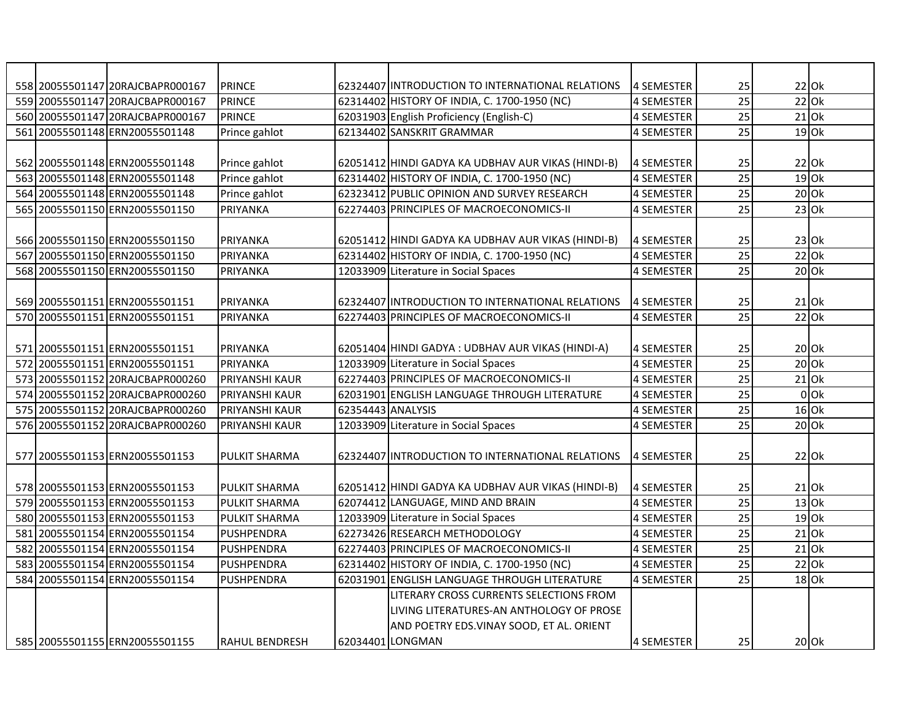|     | 558 20055501147 20RAJCBAPR000167 | <b>PRINCE</b>         |                   | 62324407 INTRODUCTION TO INTERNATIONAL RELATIONS   | 4 SEMESTER        | 25              | $22$ Ok |
|-----|----------------------------------|-----------------------|-------------------|----------------------------------------------------|-------------------|-----------------|---------|
|     | 559 20055501147 20RAJCBAPR000167 | <b>PRINCE</b>         |                   | 62314402 HISTORY OF INDIA, C. 1700-1950 (NC)       | 4 SEMESTER        | $\overline{25}$ | $22$ Ok |
|     | 560 20055501147 20RAJCBAPR000167 | <b>PRINCE</b>         |                   | 62031903 English Proficiency (English-C)           | 4 SEMESTER        | 25              | $21$ Ok |
|     | 561 20055501148 ERN20055501148   | Prince gahlot         |                   | 62134402 SANSKRIT GRAMMAR                          | 4 SEMESTER        | $\overline{25}$ | $19$ Ok |
|     |                                  |                       |                   |                                                    |                   |                 |         |
|     | 562 20055501148 ERN20055501148   | Prince gahlot         |                   | 62051412 HINDI GADYA KA UDBHAV AUR VIKAS (HINDI-B) | 4 SEMESTER        | 25              | $22$ Ok |
|     | 563 20055501148 ERN20055501148   | Prince gahlot         |                   | 62314402 HISTORY OF INDIA, C. 1700-1950 (NC)       | 4 SEMESTER        | 25              | $19$ Ok |
|     | 564 20055501148 ERN20055501148   | Prince gahlot         |                   | 62323412 PUBLIC OPINION AND SURVEY RESEARCH        | 4 SEMESTER        | 25              | $20$ Ok |
|     | 565 20055501150 ERN20055501150   | PRIYANKA              |                   | 62274403 PRINCIPLES OF MACROECONOMICS-II           | 4 SEMESTER        | 25              | $23$ Ok |
|     |                                  |                       |                   |                                                    |                   |                 |         |
|     | 566 20055501150 ERN20055501150   | PRIYANKA              |                   | 62051412 HINDI GADYA KA UDBHAV AUR VIKAS (HINDI-B) | 4 SEMESTER        | 25              | $23$ Ok |
|     | 567 20055501150 ERN20055501150   | PRIYANKA              |                   | 62314402 HISTORY OF INDIA, C. 1700-1950 (NC)       | 4 SEMESTER        | 25              | $22$ Ok |
|     | 568 20055501150 ERN20055501150   | PRIYANKA              |                   | 12033909 Literature in Social Spaces               | 4 SEMESTER        | $\overline{25}$ | $20$ Ok |
|     |                                  |                       |                   |                                                    |                   |                 |         |
|     | 569 20055501151 ERN20055501151   | PRIYANKA              |                   | 62324407 INTRODUCTION TO INTERNATIONAL RELATIONS   | 4 SEMESTER        | 25              | $21$ Ok |
|     | 570 20055501151 ERN20055501151   | PRIYANKA              |                   | 62274403 PRINCIPLES OF MACROECONOMICS-II           | <b>4 SEMESTER</b> | 25              | $22$ Ok |
|     |                                  |                       |                   |                                                    |                   |                 |         |
|     | 571 20055501151 ERN20055501151   | PRIYANKA              |                   | 62051404 HINDI GADYA : UDBHAV AUR VIKAS (HINDI-A)  | 4 SEMESTER        | 25              | $20$ Ok |
|     | 572 20055501151 ERN20055501151   | PRIYANKA              |                   | 12033909 Literature in Social Spaces               | 4 SEMESTER        | 25              | $20$ Ok |
| 573 | 20055501152 20RAJCBAPR000260     | PRIYANSHI KAUR        |                   | 62274403 PRINCIPLES OF MACROECONOMICS-II           | <b>4 SEMESTER</b> | 25              | $21$ Ok |
| 574 | 20055501152 20RAJCBAPR000260     | PRIYANSHI KAUR        |                   | 62031901 ENGLISH LANGUAGE THROUGH LITERATURE       | 4 SEMESTER        | $\overline{25}$ | $0$ Ok  |
|     | 575 20055501152 20RAJCBAPR000260 | PRIYANSHI KAUR        | 62354443 ANALYSIS |                                                    | 4 SEMESTER        | 25              | $16$ Ok |
|     | 576 20055501152 20RAJCBAPR000260 | PRIYANSHI KAUR        |                   | 12033909 Literature in Social Spaces               | <b>4 SEMESTER</b> | 25              | $20$ Ok |
|     |                                  |                       |                   |                                                    |                   |                 |         |
|     | 577 20055501153 ERN20055501153   | PULKIT SHARMA         |                   | 62324407 INTRODUCTION TO INTERNATIONAL RELATIONS   | 4 SEMESTER        | 25              | $22$ Ok |
|     |                                  |                       |                   |                                                    |                   |                 |         |
|     | 578 20055501153 ERN20055501153   | PULKIT SHARMA         |                   | 62051412 HINDI GADYA KA UDBHAV AUR VIKAS (HINDI-B) | 4 SEMESTER        | 25              | $21$ Ok |
|     | 579 20055501153 ERN20055501153   | PULKIT SHARMA         |                   | 62074412 LANGUAGE, MIND AND BRAIN                  | 4 SEMESTER        | 25              | $13$ Ok |
|     | 580 20055501153 ERN20055501153   | PULKIT SHARMA         |                   | 12033909 Literature in Social Spaces               | <b>4 SEMESTER</b> | 25              | $19$ Ok |
|     | 581 20055501154 ERN20055501154   | PUSHPENDRA            |                   | 62273426 RESEARCH METHODOLOGY                      | 4 SEMESTER        | 25              | $21$ Ok |
|     | 582 20055501154 ERN20055501154   | PUSHPENDRA            |                   | 62274403 PRINCIPLES OF MACROECONOMICS-II           | 4 SEMESTER        | 25              | $21$ Ok |
|     | 583 20055501154 ERN20055501154   | PUSHPENDRA            |                   | 62314402 HISTORY OF INDIA, C. 1700-1950 (NC)       | 4 SEMESTER        | $\overline{25}$ | $22$ Ok |
| 584 | 20055501154 ERN20055501154       | PUSHPENDRA            |                   | 62031901 ENGLISH LANGUAGE THROUGH LITERATURE       | 4 SEMESTER        | $\overline{25}$ | $18$ Ok |
|     |                                  |                       |                   | LITERARY CROSS CURRENTS SELECTIONS FROM            |                   |                 |         |
|     |                                  |                       |                   | LIVING LITERATURES-AN ANTHOLOGY OF PROSE           |                   |                 |         |
|     |                                  |                       |                   | AND POETRY EDS. VINAY SOOD, ET AL. ORIENT          |                   |                 |         |
|     | 585 20055501155 ERN20055501155   | <b>RAHUL BENDRESH</b> |                   | 62034401 LONGMAN                                   | 4 SEMESTER        | 25              | $20$ Ok |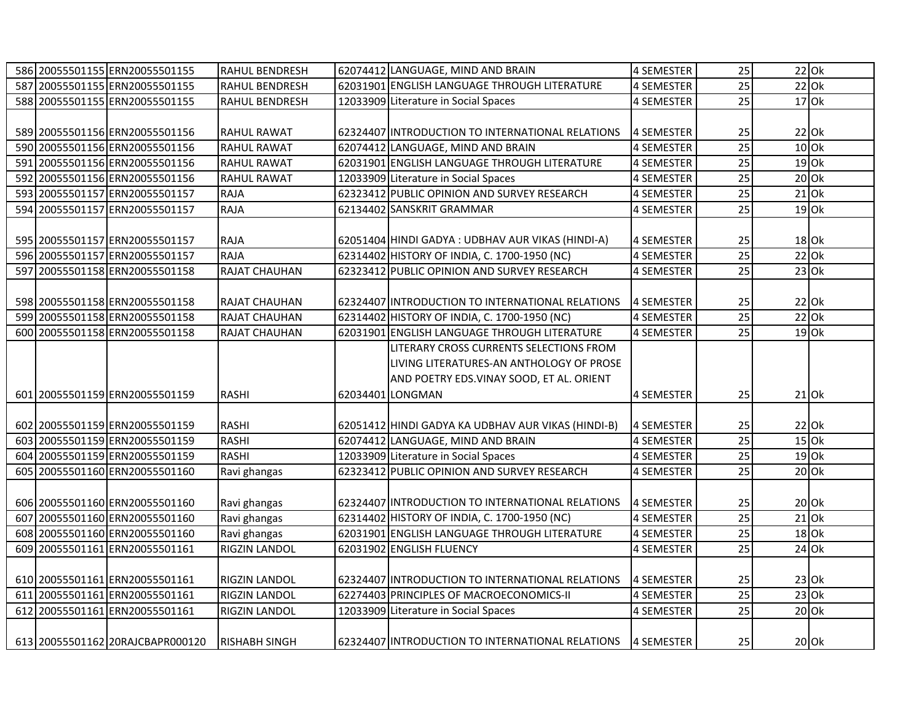|     | 586 20055501155 ERN20055501155   | <b>RAHUL BENDRESH</b> | 62074412 LANGUAGE, MIND AND BRAIN                  | 4 SEMESTER        | 25              |         | $22$ Ok           |
|-----|----------------------------------|-----------------------|----------------------------------------------------|-------------------|-----------------|---------|-------------------|
|     | 587 20055501155 ERN20055501155   | <b>RAHUL BENDRESH</b> | 62031901 ENGLISH LANGUAGE THROUGH LITERATURE       | <b>4 SEMESTER</b> | $\overline{25}$ |         | $22$ Ok           |
|     | 588 20055501155 ERN20055501155   | RAHUL BENDRESH        | 12033909 Literature in Social Spaces               | <b>4 SEMESTER</b> | $\overline{25}$ |         | $17$ Ok           |
|     |                                  |                       |                                                    |                   |                 |         |                   |
|     | 589 20055501156 ERN20055501156   | <b>RAHUL RAWAT</b>    | 62324407 INTRODUCTION TO INTERNATIONAL RELATIONS   | 4 SEMESTER        | 25              |         | $22$ Ok           |
|     | 590 20055501156 ERN20055501156   | <b>RAHUL RAWAT</b>    | 62074412 LANGUAGE, MIND AND BRAIN                  | 4 SEMESTER        | $\overline{25}$ |         | $10$ Ok           |
|     | 591 20055501156 ERN20055501156   | <b>RAHUL RAWAT</b>    | 62031901 ENGLISH LANGUAGE THROUGH LITERATURE       | 4 SEMESTER        | 25              |         | $19$ Ok           |
|     | 592 20055501156 ERN20055501156   | <b>RAHUL RAWAT</b>    | 12033909 Literature in Social Spaces               | 4 SEMESTER        | 25              |         | $20$ Ok           |
|     | 593 20055501157 ERN20055501157   | <b>RAJA</b>           | 62323412 PUBLIC OPINION AND SURVEY RESEARCH        | 4 SEMESTER        | 25              |         | 21 O <sub>k</sub> |
|     | 594 20055501157 ERN20055501157   | <b>RAJA</b>           | 62134402 SANSKRIT GRAMMAR                          | 4 SEMESTER        | 25              |         | $19$ Ok           |
|     |                                  |                       |                                                    |                   |                 |         |                   |
|     | 595 20055501157 ERN20055501157   | <b>RAJA</b>           | 62051404 HINDI GADYA : UDBHAV AUR VIKAS (HINDI-A)  | 4 SEMESTER        | 25              | 18 Ok   |                   |
|     | 596 20055501157 ERN20055501157   | RAJA                  | 62314402 HISTORY OF INDIA, C. 1700-1950 (NC)       | <b>4 SEMESTER</b> | 25              |         | $22$ Ok           |
|     | 597 20055501158 ERN20055501158   | <b>RAJAT CHAUHAN</b>  | 62323412 PUBLIC OPINION AND SURVEY RESEARCH        | 4 SEMESTER        | 25              |         | $23$ Ok           |
|     |                                  |                       |                                                    |                   |                 |         |                   |
|     | 598 20055501158 ERN20055501158   | <b>RAJAT CHAUHAN</b>  | 62324407 INTRODUCTION TO INTERNATIONAL RELATIONS   | 4 SEMESTER        | 25              |         | $22$ Ok           |
|     | 599 20055501158 ERN20055501158   | RAJAT CHAUHAN         | 62314402 HISTORY OF INDIA, C. 1700-1950 (NC)       | <b>4 SEMESTER</b> | $\overline{25}$ |         | $22$ Ok           |
|     | 600 20055501158 ERN20055501158   | <b>RAJAT CHAUHAN</b>  | 62031901 ENGLISH LANGUAGE THROUGH LITERATURE       | <b>4 SEMESTER</b> | 25              |         | $19$ Ok           |
|     |                                  |                       | LITERARY CROSS CURRENTS SELECTIONS FROM            |                   |                 |         |                   |
|     |                                  |                       | LIVING LITERATURES-AN ANTHOLOGY OF PROSE           |                   |                 |         |                   |
|     |                                  |                       | AND POETRY EDS.VINAY SOOD, ET AL. ORIENT           |                   |                 |         |                   |
|     | 601 20055501159 ERN20055501159   | <b>RASHI</b>          | 62034401 LONGMAN                                   | <b>4 SEMESTER</b> | 25              | 21 Ok   |                   |
|     |                                  |                       |                                                    |                   |                 |         |                   |
|     | 602 20055501159 ERN20055501159   | <b>RASHI</b>          | 62051412 HINDI GADYA KA UDBHAV AUR VIKAS (HINDI-B) | 4 SEMESTER        | 25              | $22$ Ok |                   |
|     | 603 20055501159 ERN20055501159   | <b>RASHI</b>          | 62074412 LANGUAGE, MIND AND BRAIN                  | 4 SEMESTER        | 25              |         | $15$ Ok           |
|     | 604 20055501159 ERN20055501159   | <b>RASHI</b>          | 12033909 Literature in Social Spaces               | 4 SEMESTER        | $\overline{25}$ |         | $19$ Ok           |
|     | 605 20055501160 ERN20055501160   | Ravi ghangas          | 62323412 PUBLIC OPINION AND SURVEY RESEARCH        | 4 SEMESTER        | $\overline{25}$ | 20 Ok   |                   |
|     |                                  |                       |                                                    |                   |                 |         |                   |
|     | 606 20055501160 ERN20055501160   | Ravi ghangas          | 62324407 INTRODUCTION TO INTERNATIONAL RELATIONS   | 4 SEMESTER        | 25              |         | $20$ Ok           |
| 607 | 20055501160 ERN20055501160       | Ravi ghangas          | 62314402 HISTORY OF INDIA, C. 1700-1950 (NC)       | 4 SEMESTER        | $\overline{25}$ |         | $21$ Ok           |
|     | 608 20055501160 ERN20055501160   | Ravi ghangas          | 62031901 ENGLISH LANGUAGE THROUGH LITERATURE       | 4 SEMESTER        | 25              |         | $18$ Ok           |
|     | 609 20055501161 ERN20055501161   | RIGZIN LANDOL         | 62031902 ENGLISH FLUENCY                           | 4 SEMESTER        | $\overline{25}$ |         | $24$ Ok           |
|     |                                  |                       |                                                    |                   |                 |         |                   |
|     | 610 20055501161 ERN20055501161   | RIGZIN LANDOL         | 62324407 IINTRODUCTION TO INTERNATIONAL RELATIONS  | 4 SEMESTER        | 25              |         | $23$ Ok           |
|     | 611 20055501161 ERN20055501161   | <b>RIGZIN LANDOL</b>  | 62274403 PRINCIPLES OF MACROECONOMICS-II           | 4 SEMESTER        | 25              |         | $23$ Ok           |
|     | 612 20055501161 ERN20055501161   | <b>RIGZIN LANDOL</b>  | 12033909 Literature in Social Spaces               | <b>4 SEMESTER</b> | 25              |         | $20$ Ok           |
|     |                                  |                       |                                                    |                   |                 |         |                   |
|     | 613 20055501162 20RAJCBAPR000120 | <b>RISHABH SINGH</b>  | 62324407 INTRODUCTION TO INTERNATIONAL RELATIONS   | 4 SEMESTER        | 25              | 20 Ok   |                   |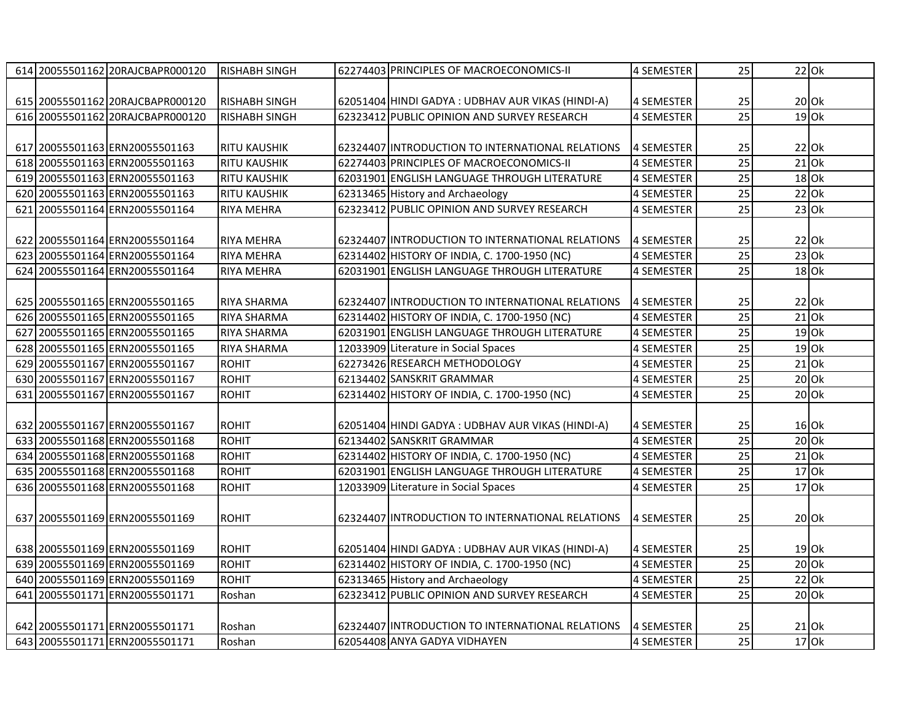|     | 614 20055501162 20RAJCBAPR000120 | <b>RISHABH SINGH</b> | 62274403 PRINCIPLES OF MACROECONOMICS-II          | 4 SEMESTER        | 25              | $22$ Ok               |
|-----|----------------------------------|----------------------|---------------------------------------------------|-------------------|-----------------|-----------------------|
|     |                                  |                      |                                                   |                   |                 |                       |
|     | 615 20055501162 20RAJCBAPR000120 | <b>RISHABH SINGH</b> | 62051404 HINDI GADYA : UDBHAV AUR VIKAS (HINDI-A) | 4 SEMESTER        | 25              | $20$ Ok               |
|     | 616 20055501162 20RAJCBAPR000120 | <b>RISHABH SINGH</b> | 62323412 PUBLIC OPINION AND SURVEY RESEARCH       | 4 SEMESTER        | 25              | $19$ Ok               |
|     |                                  |                      |                                                   |                   |                 |                       |
|     | 617 20055501163 ERN20055501163   | <b>RITU KAUSHIK</b>  | 62324407 INTRODUCTION TO INTERNATIONAL RELATIONS  | 4 SEMESTER        | 25              | 22 Ok                 |
|     | 618 20055501163 ERN20055501163   | <b>RITU KAUSHIK</b>  | 62274403 PRINCIPLES OF MACROECONOMICS-II          | 4 SEMESTER        | $\overline{25}$ | $21$ Ok               |
|     | 619 20055501163 ERN20055501163   | <b>RITU KAUSHIK</b>  | 62031901 ENGLISH LANGUAGE THROUGH LITERATURE      | 4 SEMESTER        | 25              | $18$ O $\overline{k}$ |
|     | 620 20055501163 ERN20055501163   | <b>RITU KAUSHIK</b>  | 62313465 History and Archaeology                  | 4 SEMESTER        | 25              | $22$ Ok               |
|     | 621 20055501164 ERN20055501164   | <b>RIYA MEHRA</b>    | 62323412 PUBLIC OPINION AND SURVEY RESEARCH       | <b>4 SEMESTER</b> | 25              | $23$ Ok               |
|     |                                  |                      |                                                   |                   |                 |                       |
|     | 622 20055501164 ERN20055501164   | <b>RIYA MEHRA</b>    | 62324407 INTRODUCTION TO INTERNATIONAL RELATIONS  | 4 SEMESTER        | 25              | 22 Ok                 |
|     | 623 20055501164 ERN20055501164   | <b>RIYA MEHRA</b>    | 62314402 HISTORY OF INDIA, C. 1700-1950 (NC)      | 4 SEMESTER        | 25              | $23$ Ok               |
|     | 624 20055501164 ERN20055501164   | <b>RIYA MEHRA</b>    | 62031901 ENGLISH LANGUAGE THROUGH LITERATURE      | <b>4 SEMESTER</b> | 25              | $18$ Ok               |
|     |                                  |                      |                                                   |                   |                 |                       |
|     | 625 20055501165 ERN20055501165   | <b>RIYA SHARMA</b>   | 62324407 INTRODUCTION TO INTERNATIONAL RELATIONS  | 4 SEMESTER        | 25              | $22$ Ok               |
|     | 626 20055501165 ERN20055501165   | <b>RIYA SHARMA</b>   | 62314402 HISTORY OF INDIA, C. 1700-1950 (NC)      | 4 SEMESTER        | $\overline{25}$ | $21$ Ok               |
| 627 | 20055501165 ERN20055501165       | <b>RIYA SHARMA</b>   | 62031901 ENGLISH LANGUAGE THROUGH LITERATURE      | 4 SEMESTER        | 25              | $19$ Ok               |
|     | 628 20055501165 ERN20055501165   | <b>RIYA SHARMA</b>   | 12033909 Literature in Social Spaces              | <b>4 SEMESTER</b> | 25              | $19$ Ok               |
|     | 629 20055501167 ERN20055501167   | <b>ROHIT</b>         | 62273426 RESEARCH METHODOLOGY                     | <b>4 SEMESTER</b> | 25              | $21$ Ok               |
|     | 630 20055501167 ERN20055501167   | <b>ROHIT</b>         | 62134402 SANSKRIT GRAMMAR                         | 4 SEMESTER        | 25              | $20$ Ok               |
|     | 631 20055501167 ERN20055501167   | <b>ROHIT</b>         | 62314402 HISTORY OF INDIA, C. 1700-1950 (NC)      | 4 SEMESTER        | $\overline{25}$ | $20$ Ok               |
|     |                                  |                      |                                                   |                   |                 |                       |
|     | 632 20055501167 ERN20055501167   | <b>ROHIT</b>         | 62051404 HINDI GADYA : UDBHAV AUR VIKAS (HINDI-A) | 4 SEMESTER        | 25              | 16 Ok                 |
|     | 633 20055501168 ERN20055501168   | <b>ROHIT</b>         | 62134402 SANSKRIT GRAMMAR                         | <b>4 SEMESTER</b> | 25              | $20$ Ok               |
|     | 634 20055501168 ERN20055501168   | <b>ROHIT</b>         | 62314402 HISTORY OF INDIA, C. 1700-1950 (NC)      | 4 SEMESTER        | 25              | $21$ Ok               |
|     | 635 20055501168 ERN20055501168   | <b>ROHIT</b>         | 62031901 ENGLISH LANGUAGE THROUGH LITERATURE      | <b>4 SEMESTER</b> | $\overline{25}$ | $17$ Ok               |
|     | 636 20055501168 ERN20055501168   | <b>ROHIT</b>         | 12033909 Literature in Social Spaces              | <b>4 SEMESTER</b> | $\overline{25}$ | 17 Ok                 |
|     |                                  |                      |                                                   |                   |                 |                       |
|     | 637 20055501169 ERN20055501169   | <b>ROHIT</b>         | 62324407 INTRODUCTION TO INTERNATIONAL RELATIONS  | <b>4 SEMESTER</b> | 25              | 20 Ok                 |
|     |                                  |                      |                                                   |                   |                 |                       |
|     | 638 20055501169 ERN20055501169   | <b>ROHIT</b>         | 62051404 HINDI GADYA : UDBHAV AUR VIKAS (HINDI-A) | <b>4 SEMESTER</b> | 25              | 19 Ok                 |
|     | 639 20055501169 ERN20055501169   | <b>ROHIT</b>         | 62314402 HISTORY OF INDIA, C. 1700-1950 (NC)      | <b>4 SEMESTER</b> | 25              | $20$ Ok               |
|     | 640 20055501169 ERN20055501169   | <b>ROHIT</b>         | 62313465 History and Archaeology                  | <b>4 SEMESTER</b> | $\overline{25}$ | $22$ Ok               |
| 641 | 20055501171 ERN20055501171       | Roshan               | 62323412 PUBLIC OPINION AND SURVEY RESEARCH       | <b>4 SEMESTER</b> | $\overline{25}$ | $20$ Ok               |
|     |                                  |                      |                                                   |                   |                 |                       |
|     | 642 20055501171 ERN20055501171   | Roshan               | 62324407 INTRODUCTION TO INTERNATIONAL RELATIONS  | 4 SEMESTER        | 25              | $21$ Ok               |
|     | 643 20055501171 ERN20055501171   | Roshan               | 62054408 ANYA GADYA VIDHAYEN                      | 4 SEMESTER        | 25              | $17$ Ok               |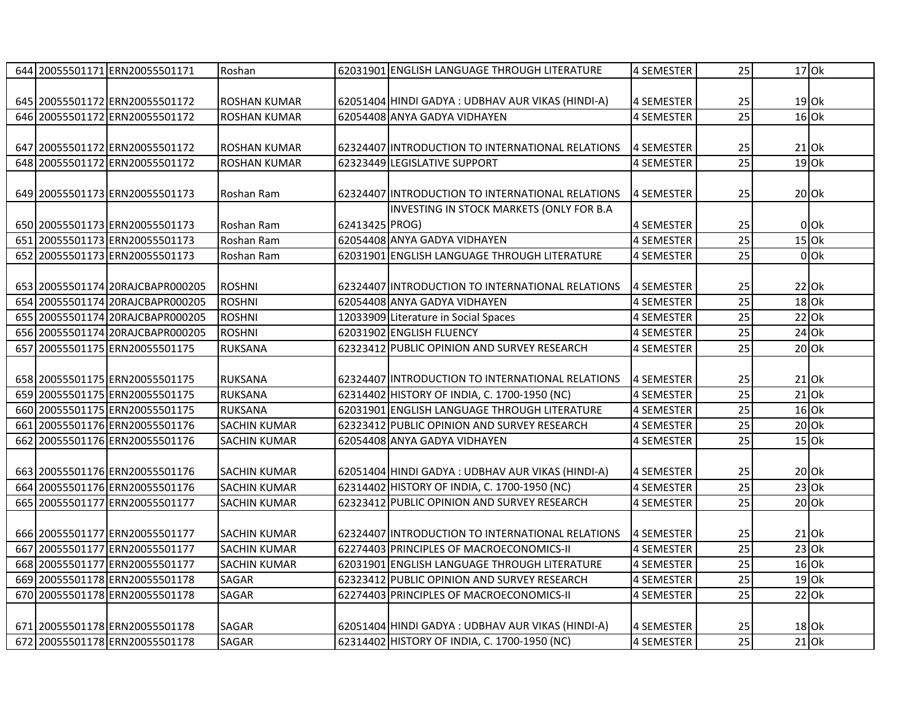|      | 644 20055501171 ERN20055501171   | Roshan              |                | 62031901 ENGLISH LANGUAGE THROUGH LITERATURE      | 4 SEMESTER        | 25              |         | $17$ Ok |
|------|----------------------------------|---------------------|----------------|---------------------------------------------------|-------------------|-----------------|---------|---------|
|      |                                  |                     |                |                                                   |                   |                 |         |         |
|      | 645 20055501172 ERN20055501172   | <b>ROSHAN KUMAR</b> |                | 62051404 HINDI GADYA : UDBHAV AUR VIKAS (HINDI-A) | 4 SEMESTER        | 25              |         | $19$ Ok |
|      | 646 20055501172 ERN20055501172   | <b>ROSHAN KUMAR</b> |                | 62054408 ANYA GADYA VIDHAYEN                      | <b>4 SEMESTER</b> | 25              | $16$ Ok |         |
|      |                                  |                     |                |                                                   |                   |                 |         |         |
|      | 647 20055501172 ERN20055501172   | <b>ROSHAN KUMAR</b> |                | 62324407 INTRODUCTION TO INTERNATIONAL RELATIONS  | <b>4 SEMESTER</b> | 25              |         | $21$ Ok |
|      | 648 20055501172 ERN20055501172   | <b>ROSHAN KUMAR</b> |                | 62323449 LEGISLATIVE SUPPORT                      | <b>4 SEMESTER</b> | $\overline{25}$ |         | $19$ Ok |
|      |                                  |                     |                |                                                   |                   |                 |         |         |
|      | 649 20055501173 ERN20055501173   | Roshan Ram          |                | 62324407 INTRODUCTION TO INTERNATIONAL RELATIONS  | 4 SEMESTER        | 25              | 20 Ok   |         |
|      |                                  |                     |                | INVESTING IN STOCK MARKETS (ONLY FOR B.A          |                   |                 |         |         |
|      | 650 20055501173 ERN20055501173   | Roshan Ram          | 62413425 PROG) |                                                   | 4 SEMESTER        | 25              |         | $0$ Ok  |
|      | 651 20055501173 ERN20055501173   | Roshan Ram          |                | 62054408 ANYA GADYA VIDHAYEN                      | <b>4 SEMESTER</b> | 25              | $15$ Ok |         |
|      | 652 20055501173 ERN20055501173   | Roshan Ram          |                | 62031901 ENGLISH LANGUAGE THROUGH LITERATURE      | 4 SEMESTER        | 25              |         | $0$ Ok  |
|      |                                  |                     |                |                                                   |                   |                 |         |         |
|      | 653 20055501174 20RAJCBAPR000205 | <b>ROSHNI</b>       |                | 62324407 INTRODUCTION TO INTERNATIONAL RELATIONS  | 4 SEMESTER        | 25              |         | $22$ Ok |
| 6541 | 20055501174 20RAJCBAPR000205     | <b>ROSHNI</b>       |                | 62054408 ANYA GADYA VIDHAYEN                      | 4 SEMESTER        | 25              |         | $18$ Ok |
|      | 655 20055501174 20RAJCBAPR000205 | <b>ROSHNI</b>       |                | 12033909 Literature in Social Spaces              | 4 SEMESTER        | 25              |         | $22$ Ok |
|      | 656 20055501174 20RAJCBAPR000205 | <b>ROSHNI</b>       |                | 62031902 ENGLISH FLUENCY                          | 4 SEMESTER        | 25              |         | $24$ Ok |
|      | 657 20055501175 ERN20055501175   | <b>RUKSANA</b>      |                | 62323412 PUBLIC OPINION AND SURVEY RESEARCH       | 4 SEMESTER        | 25              |         | $20$ Ok |
|      |                                  |                     |                |                                                   |                   |                 |         |         |
|      | 658 20055501175 ERN20055501175   | <b>RUKSANA</b>      |                | 62324407 INTRODUCTION TO INTERNATIONAL RELATIONS  | 4 SEMESTER        | 25              |         | $21$ Ok |
|      | 659 20055501175 ERN20055501175   | <b>RUKSANA</b>      |                | 62314402 HISTORY OF INDIA, C. 1700-1950 (NC)      | 4 SEMESTER        | 25              |         | $21$ Ok |
|      | 660 20055501175 ERN20055501175   | <b>RUKSANA</b>      |                | 62031901 ENGLISH LANGUAGE THROUGH LITERATURE      | 4 SEMESTER        | 25              | $16$ Ok |         |
|      | 661 20055501176 ERN20055501176   | <b>SACHIN KUMAR</b> |                | 62323412 PUBLIC OPINION AND SURVEY RESEARCH       | 4 SEMESTER        | 25              | $20$ Ok |         |
| 662  | 20055501176 ERN20055501176       | SACHIN KUMAR        |                | 62054408 ANYA GADYA VIDHAYEN                      | 4 SEMESTER        | 25              | $15$ Ok |         |
|      |                                  |                     |                |                                                   |                   |                 |         |         |
|      | 663 20055501176 ERN20055501176   | <b>SACHIN KUMAR</b> |                | 62051404 HINDI GADYA : UDBHAV AUR VIKAS (HINDI-A) | 4 SEMESTER        | 25              |         | $20$ Ok |
|      | 664 20055501176 ERN20055501176   | <b>SACHIN KUMAR</b> |                | 62314402 HISTORY OF INDIA, C. 1700-1950 (NC)      | 4 SEMESTER        | $\overline{25}$ | $23$ Ok |         |
|      | 665 20055501177 ERN20055501177   | <b>SACHIN KUMAR</b> |                | 62323412 PUBLIC OPINION AND SURVEY RESEARCH       | 4 SEMESTER        | $\overline{25}$ | $20$ Ok |         |
|      |                                  |                     |                |                                                   |                   |                 |         |         |
|      | 666 20055501177 ERN20055501177   | SACHIN KUMAR        |                | 62324407 INTRODUCTION TO INTERNATIONAL RELATIONS  | 4 SEMESTER        | 25              |         | $21$ Ok |
|      | 667 20055501177 ERN20055501177   | <b>SACHIN KUMAR</b> |                | 62274403 PRINCIPLES OF MACROECONOMICS-II          | 4 SEMESTER        | $\overline{25}$ | $23$ Ok |         |
|      | 668 20055501177 ERN20055501177   | <b>SACHIN KUMAR</b> |                | 62031901 ENGLISH LANGUAGE THROUGH LITERATURE      | 4 SEMESTER        | 25              | $16$ Ok |         |
|      | 669 20055501178 ERN20055501178   | <b>SAGAR</b>        |                | 62323412 PUBLIC OPINION AND SURVEY RESEARCH       | <b>4 SEMESTER</b> | $\overline{25}$ | $19$ Ok |         |
|      | 670 20055501178 ERN20055501178   | <b>SAGAR</b>        |                | 62274403 PRINCIPLES OF MACROECONOMICS-II          | 4 SEMESTER        | $\overline{25}$ | $22$ Ok |         |
|      |                                  |                     |                |                                                   |                   |                 |         |         |
|      | 671 20055501178 ERN20055501178   | SAGAR               |                | 62051404 HINDI GADYA : UDBHAV AUR VIKAS (HINDI-A) | 4 SEMESTER        | 25              |         | $18$ Ok |
|      | 672 20055501178 ERN20055501178   | <b>SAGAR</b>        |                | 62314402 HISTORY OF INDIA, C. 1700-1950 (NC)      | 4 SEMESTER        | 25              |         | $21$ Ok |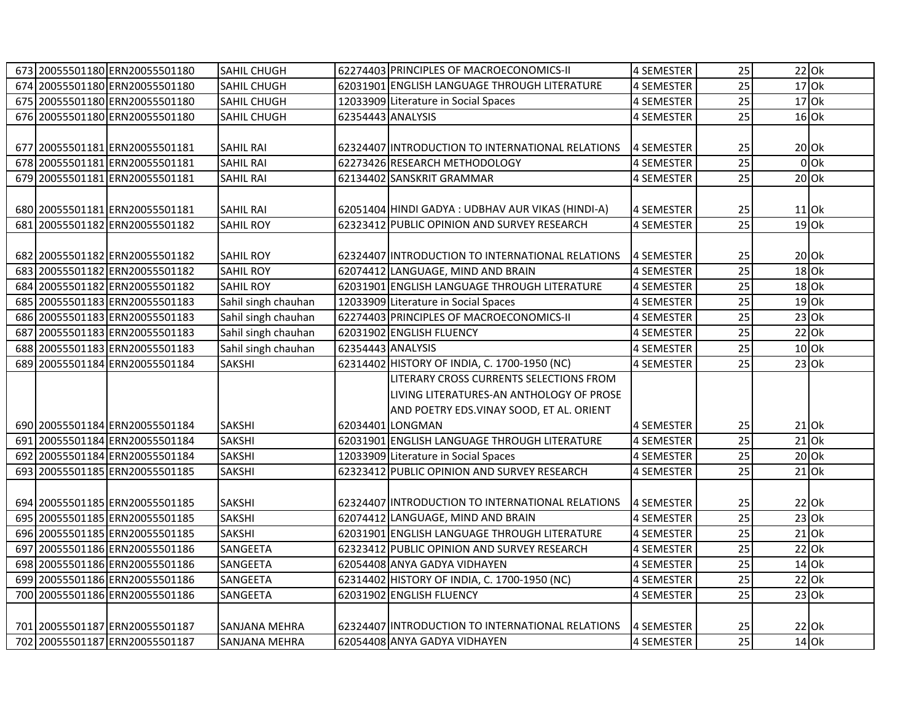|     | 673 20055501180 ERN20055501180 | SAHIL CHUGH          |                   | 62274403 PRINCIPLES OF MACROECONOMICS-II          | 4 SEMESTER        | 25              | $22$ Ok               |
|-----|--------------------------------|----------------------|-------------------|---------------------------------------------------|-------------------|-----------------|-----------------------|
|     | 674 20055501180 ERN20055501180 | SAHIL CHUGH          |                   | 62031901 ENGLISH LANGUAGE THROUGH LITERATURE      | 4 SEMESTER        | $\overline{25}$ | $17$ Ok               |
|     | 675 20055501180 ERN20055501180 | SAHIL CHUGH          |                   | 12033909 Literature in Social Spaces              | 4 SEMESTER        | 25              | $17$ Ok               |
|     | 676 20055501180 ERN20055501180 | <b>SAHIL CHUGH</b>   | 62354443 ANALYSIS |                                                   | <b>4 SEMESTER</b> | 25              | $16$ O $\overline{k}$ |
|     |                                |                      |                   |                                                   |                   |                 |                       |
|     | 677 20055501181 ERN20055501181 | <b>SAHIL RAI</b>     |                   | 62324407 INTRODUCTION TO INTERNATIONAL RELATIONS  | 4 SEMESTER        | 25              | 20 Ok                 |
|     | 678 20055501181 ERN20055501181 | <b>SAHIL RAI</b>     |                   | 62273426 RESEARCH METHODOLOGY                     | 4 SEMESTER        | $\overline{25}$ | $0$ Ok                |
|     | 679 20055501181 ERN20055501181 | <b>SAHIL RAI</b>     |                   | 62134402 SANSKRIT GRAMMAR                         | 4 SEMESTER        | 25              | $20$ Ok               |
|     |                                |                      |                   |                                                   |                   |                 |                       |
|     | 680 20055501181 ERN20055501181 | <b>SAHIL RAI</b>     |                   | 62051404 HINDI GADYA : UDBHAV AUR VIKAS (HINDI-A) | 4 SEMESTER        | 25              | 11 Ok                 |
|     | 681 20055501182 ERN20055501182 | <b>SAHIL ROY</b>     |                   | 62323412 PUBLIC OPINION AND SURVEY RESEARCH       | 4 SEMESTER        | 25              | $19$ Ok               |
|     |                                |                      |                   |                                                   |                   |                 |                       |
|     | 682 20055501182 ERN20055501182 | <b>SAHIL ROY</b>     |                   | 62324407 INTRODUCTION TO INTERNATIONAL RELATIONS  | 4 SEMESTER        | 25              | 20 Ok                 |
|     | 683 20055501182 ERN20055501182 | <b>SAHIL ROY</b>     |                   | 62074412 LANGUAGE, MIND AND BRAIN                 | <b>4 SEMESTER</b> | 25              | $18$ Ok               |
| 684 | 20055501182 ERN20055501182     | <b>SAHIL ROY</b>     |                   | 62031901 ENGLISH LANGUAGE THROUGH LITERATURE      | <b>4 SEMESTER</b> | 25              | $18$ Ok               |
|     | 685 20055501183 ERN20055501183 | Sahil singh chauhan  |                   | 12033909 Literature in Social Spaces              | <b>4 SEMESTER</b> | 25              | $19$ Ok               |
|     | 686 20055501183 ERN20055501183 | Sahil singh chauhan  |                   | 62274403 PRINCIPLES OF MACROECONOMICS-II          | <b>4 SEMESTER</b> | $\overline{25}$ | $23$ Ok               |
| 687 | 20055501183 ERN20055501183     | Sahil singh chauhan  |                   | 62031902 ENGLISH FLUENCY                          | <b>4 SEMESTER</b> | $\overline{25}$ | $22$ Ok               |
|     | 688 20055501183 ERN20055501183 | Sahil singh chauhan  | 62354443 ANALYSIS |                                                   | 4 SEMESTER        | 25              | $10$ Ok               |
|     | 689 20055501184 ERN20055501184 | <b>SAKSHI</b>        |                   | 62314402 HISTORY OF INDIA, C. 1700-1950 (NC)      | 4 SEMESTER        | 25              | $23$ Ok               |
|     |                                |                      |                   | LITERARY CROSS CURRENTS SELECTIONS FROM           |                   |                 |                       |
|     |                                |                      |                   | LIVING LITERATURES-AN ANTHOLOGY OF PROSE          |                   |                 |                       |
|     |                                |                      |                   | AND POETRY EDS.VINAY SOOD, ET AL. ORIENT          |                   |                 |                       |
|     | 690 20055501184 ERN20055501184 | <b>SAKSHI</b>        |                   | 62034401 LONGMAN                                  | <b>4 SEMESTER</b> | 25              | $21$ Ok               |
| 691 | 20055501184 ERN20055501184     | <b>SAKSHI</b>        |                   | 62031901 ENGLISH LANGUAGE THROUGH LITERATURE      | <b>4 SEMESTER</b> | $\overline{25}$ | $21$ Ok               |
|     | 692 20055501184 ERN20055501184 | <b>SAKSHI</b>        |                   | 12033909 Literature in Social Spaces              | 4 SEMESTER        | 25              | $20$ Ok               |
|     | 693 20055501185 ERN20055501185 | <b>SAKSHI</b>        |                   | 62323412 PUBLIC OPINION AND SURVEY RESEARCH       | <b>4 SEMESTER</b> | 25              | $21$ Ok               |
|     |                                |                      |                   |                                                   |                   |                 |                       |
|     | 694 20055501185 ERN20055501185 | <b>SAKSHI</b>        |                   | 62324407 INTRODUCTION TO INTERNATIONAL RELATIONS  | 4 SEMESTER        | 25              | $22$ Ok               |
|     | 695 20055501185 ERN20055501185 | <b>SAKSHI</b>        |                   | 62074412 LANGUAGE, MIND AND BRAIN                 | <b>4 SEMESTER</b> | $\overline{25}$ | $23$ Ok               |
|     | 696 20055501185 ERN20055501185 | <b>SAKSHI</b>        |                   | 62031901 ENGLISH LANGUAGE THROUGH LITERATURE      | <b>4 SEMESTER</b> | 25              | $21$ Ok               |
| 697 | 20055501186 ERN20055501186     | SANGEETA             |                   | 62323412 PUBLIC OPINION AND SURVEY RESEARCH       | <b>4 SEMESTER</b> | $\overline{25}$ | $22$ Ok               |
|     | 698 20055501186 ERN20055501186 | SANGEETA             |                   | 62054408 ANYA GADYA VIDHAYEN                      | <b>4 SEMESTER</b> | $\overline{25}$ | $14$ Ok               |
|     | 699 20055501186 ERN20055501186 | SANGEETA             |                   | 62314402 HISTORY OF INDIA, C. 1700-1950 (NC)      | 4 SEMESTER        | 25              | $22$ Ok               |
|     | 700 20055501186 ERN20055501186 | SANGEETA             |                   | 62031902 ENGLISH FLUENCY                          | 4 SEMESTER        | $\overline{25}$ | $23$ Ok               |
|     |                                |                      |                   |                                                   |                   |                 |                       |
|     | 701 20055501187 ERN20055501187 | <b>SANJANA MEHRA</b> |                   | 62324407 IINTRODUCTION TO INTERNATIONAL RELATIONS | 4 SEMESTER        | 25              | $22$ Ok               |
|     | 702 20055501187 ERN20055501187 | <b>SANJANA MEHRA</b> |                   | 62054408 ANYA GADYA VIDHAYEN                      | 4 SEMESTER        | 25              | $14$ Ok               |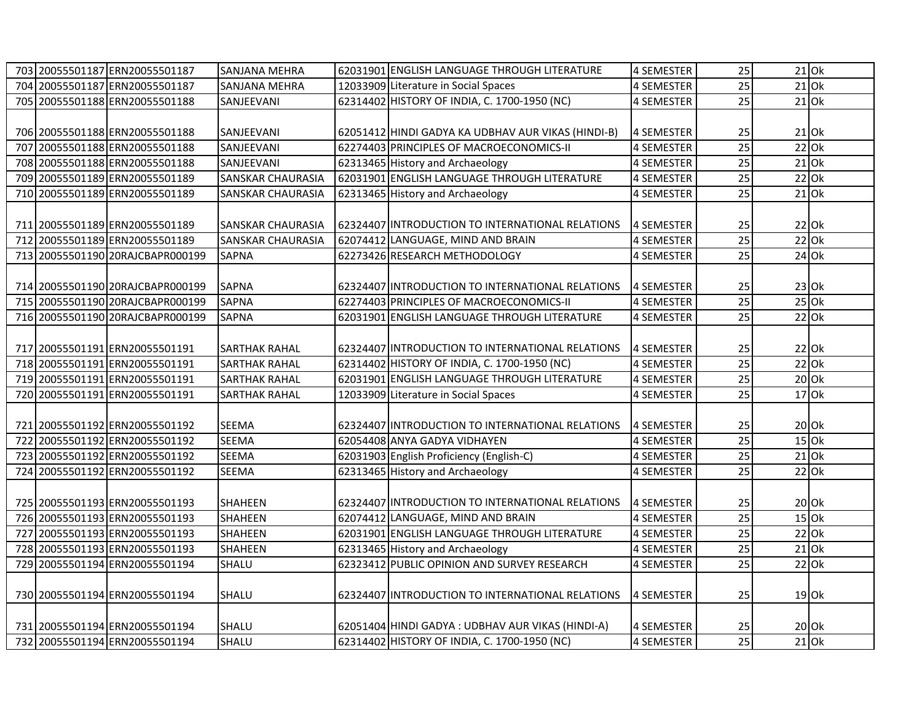|  | 703 20055501187 ERN20055501187   | <b>SANJANA MEHRA</b>     | 62031901 ENGLISH LANGUAGE THROUGH LITERATURE       | 4 SEMESTER        | 25              |         | $21$ Ok             |
|--|----------------------------------|--------------------------|----------------------------------------------------|-------------------|-----------------|---------|---------------------|
|  | 704 20055501187 ERN20055501187   | SANJANA MEHRA            | 12033909 Literature in Social Spaces               | 4 SEMESTER        | $\overline{25}$ |         | $21$ Ok             |
|  | 705 20055501188 ERN20055501188   | SANJEEVANI               | 62314402 HISTORY OF INDIA, C. 1700-1950 (NC)       | 4 SEMESTER        | 25              |         | $21$ Ok             |
|  |                                  |                          |                                                    |                   |                 |         |                     |
|  | 706 20055501188 ERN20055501188   | SANJEEVANI               | 62051412 HINDI GADYA KA UDBHAV AUR VIKAS (HINDI-B) | <b>4 SEMESTER</b> | 25              |         | $21$ Ok             |
|  | 707 20055501188 ERN20055501188   | SANJEEVANI               | 62274403 PRINCIPLES OF MACROECONOMICS-II           | <b>4 SEMESTER</b> | $\overline{25}$ | $22$ Ok |                     |
|  | 708 20055501188 ERN20055501188   | SANJEEVANI               | 62313465 History and Archaeology                   | <b>4 SEMESTER</b> | 25              | $21$ Ok |                     |
|  | 709 20055501189 ERN20055501189   | <b>SANSKAR CHAURASIA</b> | 62031901 ENGLISH LANGUAGE THROUGH LITERATURE       | 4 SEMESTER        | 25              |         | $22$ O <sub>k</sub> |
|  | 710 20055501189 ERN20055501189   | <b>SANSKAR CHAURASIA</b> | 62313465 History and Archaeology                   | 4 SEMESTER        | 25              | $21$ Ok |                     |
|  |                                  |                          |                                                    |                   |                 |         |                     |
|  | 711 20055501189 ERN20055501189   | SANSKAR CHAURASIA        | 62324407 INTRODUCTION TO INTERNATIONAL RELATIONS   | 4 SEMESTER        | 25              |         | $22$ Ok             |
|  | 712 20055501189 ERN20055501189   | <b>SANSKAR CHAURASIA</b> | 62074412 LANGUAGE, MIND AND BRAIN                  | 4 SEMESTER        | 25              | $22$ Ok |                     |
|  | 713 20055501190 20RAJCBAPR000199 | <b>SAPNA</b>             | 62273426 RESEARCH METHODOLOGY                      | <b>4 SEMESTER</b> | 25              |         | $24$ Ok             |
|  |                                  |                          |                                                    |                   |                 |         |                     |
|  | 714 20055501190 20RAJCBAPR000199 | <b>SAPNA</b>             | 62324407 INTRODUCTION TO INTERNATIONAL RELATIONS   | 4 SEMESTER        | 25              |         | $23$ Ok             |
|  | 715 20055501190 20RAJCBAPR000199 | <b>SAPNA</b>             | 62274403 PRINCIPLES OF MACROECONOMICS-II           | 4 SEMESTER        | 25              |         | $25$ Ok             |
|  | 716 20055501190 20RAJCBAPR000199 | <b>SAPNA</b>             | 62031901 ENGLISH LANGUAGE THROUGH LITERATURE       | 4 SEMESTER        | 25              |         | $22$ Ok             |
|  |                                  |                          |                                                    |                   |                 |         |                     |
|  | 717 20055501191 ERN20055501191   | <b>SARTHAK RAHAL</b>     | 62324407 INTRODUCTION TO INTERNATIONAL RELATIONS   | 4 SEMESTER        | 25              |         | $22$ Ok             |
|  | 718 20055501191 ERN20055501191   | <b>SARTHAK RAHAL</b>     | 62314402 HISTORY OF INDIA, C. 1700-1950 (NC)       | 4 SEMESTER        | 25              |         | $22$ Ok             |
|  | 719 20055501191 ERN20055501191   | <b>SARTHAK RAHAL</b>     | 62031901 ENGLISH LANGUAGE THROUGH LITERATURE       | 4 SEMESTER        | 25              |         | $20$ Ok             |
|  | 720 20055501191 ERN20055501191   | <b>SARTHAK RAHAL</b>     | 12033909 Literature in Social Spaces               | <b>4 SEMESTER</b> | 25              | $17$ Ok |                     |
|  |                                  |                          |                                                    |                   |                 |         |                     |
|  | 721 20055501192 ERN20055501192   | SEEMA                    | 62324407 INTRODUCTION TO INTERNATIONAL RELATIONS   | 4 SEMESTER        | 25              |         | $20$ Ok             |
|  | 722 20055501192 ERN20055501192   | <b>SEEMA</b>             | 62054408 ANYA GADYA VIDHAYEN                       | 4 SEMESTER        | $\overline{25}$ | $15$ Ok |                     |
|  | 723 20055501192 ERN20055501192   | SEEMA                    | 62031903 English Proficiency (English-C)           | 4 SEMESTER        | 25              | $21$ Ok |                     |
|  | 724 20055501192 ERN20055501192   | SEEMA                    | 62313465 History and Archaeology                   | 4 SEMESTER        | $\overline{25}$ | 22 Ok   |                     |
|  |                                  |                          |                                                    |                   |                 |         |                     |
|  | 725 20055501193 ERN20055501193   | <b>SHAHEEN</b>           | 62324407 INTRODUCTION TO INTERNATIONAL RELATIONS   | 4 SEMESTER        | 25              |         | $20$ Ok             |
|  | 726 20055501193 ERN20055501193   | <b>SHAHEEN</b>           | 62074412 LANGUAGE, MIND AND BRAIN                  | 4 SEMESTER        | 25              | $15$ Ok |                     |
|  | 727 20055501193 ERN20055501193   | <b>SHAHEEN</b>           | 62031901 ENGLISH LANGUAGE THROUGH LITERATURE       | 4 SEMESTER        | 25              |         | $22$ Ok             |
|  | 728 20055501193 ERN20055501193   | <b>SHAHEEN</b>           | 62313465 History and Archaeology                   | <b>4 SEMESTER</b> | $\overline{25}$ |         | $21$ Ok             |
|  | 729 20055501194 ERN20055501194   | SHALU                    | 62323412 PUBLIC OPINION AND SURVEY RESEARCH        | 4 SEMESTER        | $\overline{25}$ |         | $22$ Ok             |
|  |                                  |                          |                                                    |                   |                 |         |                     |
|  | 730 20055501194 ERN20055501194   | SHALU                    | 62324407 INTRODUCTION TO INTERNATIONAL RELATIONS   | 4 SEMESTER        | 25              |         | $19$ Ok             |
|  |                                  |                          |                                                    |                   |                 |         |                     |
|  | 731 20055501194 ERN20055501194   | <b>SHALU</b>             | 62051404 HINDI GADYA : UDBHAV AUR VIKAS (HINDI-A)  | 4 SEMESTER        | 25              |         | $20$ Ok             |
|  | 732 20055501194 ERN20055501194   | <b>SHALU</b>             | 62314402 HISTORY OF INDIA, C. 1700-1950 (NC)       | 4 SEMESTER        | 25              | $21$ Ok |                     |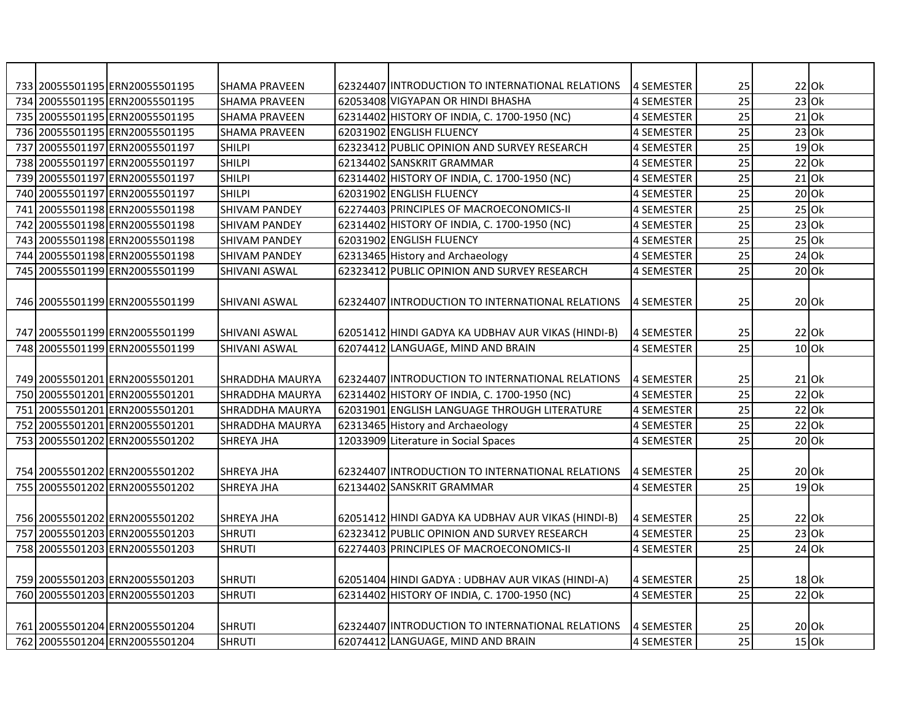|  | 733 20055501195 ERN20055501195 | <b>SHAMA PRAVEEN</b>   | 62324407 INTRODUCTION TO INTERNATIONAL RELATIONS   | 4 SEMESTER        | 25              | $22$ Ok |  |
|--|--------------------------------|------------------------|----------------------------------------------------|-------------------|-----------------|---------|--|
|  | 734 20055501195 ERN20055501195 | <b>SHAMA PRAVEEN</b>   | 62053408 VIGYAPAN OR HINDI BHASHA                  | <b>4 SEMESTER</b> | $\overline{25}$ | $23$ Ok |  |
|  | 735 20055501195 ERN20055501195 | <b>SHAMA PRAVEEN</b>   | 62314402 HISTORY OF INDIA, C. 1700-1950 (NC)       | 4 SEMESTER        | $\overline{25}$ | $21$ Ok |  |
|  | 736 20055501195 ERN20055501195 | <b>SHAMA PRAVEEN</b>   | 62031902 ENGLISH FLUENCY                           | <b>4 SEMESTER</b> | $\overline{25}$ | $23$ Ok |  |
|  | 737 20055501197 ERN20055501197 | <b>SHILPI</b>          | 62323412 PUBLIC OPINION AND SURVEY RESEARCH        | 4 SEMESTER        | 25              | $19$ Ok |  |
|  | 738 20055501197 ERN20055501197 | <b>SHILPI</b>          | 62134402 SANSKRIT GRAMMAR                          | 4 SEMESTER        | $\overline{25}$ | $22$ Ok |  |
|  | 739 20055501197 ERN20055501197 | <b>SHILPI</b>          | 62314402 HISTORY OF INDIA, C. 1700-1950 (NC)       | 4 SEMESTER        | 25              | $21$ Ok |  |
|  | 740 20055501197 ERN20055501197 | <b>SHILPI</b>          | 62031902 ENGLISH FLUENCY                           | 4 SEMESTER        | 25              | $20$ Ok |  |
|  | 741 20055501198 ERN20055501198 | <b>SHIVAM PANDEY</b>   | 62274403 PRINCIPLES OF MACROECONOMICS-II           | 4 SEMESTER        | 25              | $25$ Ok |  |
|  | 742 20055501198 ERN20055501198 | <b>SHIVAM PANDEY</b>   | 62314402 HISTORY OF INDIA, C. 1700-1950 (NC)       | <b>4 SEMESTER</b> | 25              | $23$ Ok |  |
|  | 743 20055501198 ERN20055501198 | <b>SHIVAM PANDEY</b>   | 62031902 ENGLISH FLUENCY                           | 4 SEMESTER        | 25              | $25$ Ok |  |
|  | 744 20055501198 ERN20055501198 | <b>SHIVAM PANDEY</b>   | 62313465 History and Archaeology                   | 4 SEMESTER        | 25              | 24 Ok   |  |
|  | 745 20055501199 ERN20055501199 | <b>SHIVANI ASWAL</b>   | 62323412 PUBLIC OPINION AND SURVEY RESEARCH        | 4 SEMESTER        | 25              | $20$ Ok |  |
|  |                                |                        |                                                    |                   |                 |         |  |
|  | 746 20055501199 ERN20055501199 | <b>SHIVANI ASWAL</b>   | 62324407 INTRODUCTION TO INTERNATIONAL RELATIONS   | <b>4 SEMESTER</b> | 25              | $20$ Ok |  |
|  |                                |                        |                                                    |                   |                 |         |  |
|  | 747 20055501199 ERN20055501199 | <b>SHIVANI ASWAL</b>   | 62051412 HINDI GADYA KA UDBHAV AUR VIKAS (HINDI-B) | 4 SEMESTER        | 25              | $22$ Ok |  |
|  | 748 20055501199 ERN20055501199 | <b>SHIVANI ASWAL</b>   | 62074412 LANGUAGE, MIND AND BRAIN                  | <b>4 SEMESTER</b> | $\overline{25}$ | $10$ Ok |  |
|  |                                |                        |                                                    |                   |                 |         |  |
|  | 749 20055501201 ERN20055501201 | <b>SHRADDHA MAURYA</b> | 62324407 INTRODUCTION TO INTERNATIONAL RELATIONS   | 4 SEMESTER        | 25              | $21$ Ok |  |
|  | 750 20055501201 ERN20055501201 | SHRADDHA MAURYA        | 62314402 HISTORY OF INDIA, C. 1700-1950 (NC)       | <b>4 SEMESTER</b> | 25              | $22$ Ok |  |
|  | 751 20055501201 ERN20055501201 | SHRADDHA MAURYA        | 62031901 ENGLISH LANGUAGE THROUGH LITERATURE       | <b>4 SEMESTER</b> | 25              | $22$ Ok |  |
|  | 752 20055501201 ERN20055501201 | SHRADDHA MAURYA        | 62313465 History and Archaeology                   | <b>4 SEMESTER</b> | 25              | $22$ Ok |  |
|  | 753 20055501202 ERN20055501202 | SHREYA JHA             | 12033909 Literature in Social Spaces               | 4 SEMESTER        | 25              | $20$ Ok |  |
|  |                                |                        |                                                    |                   |                 |         |  |
|  | 754 20055501202 ERN20055501202 | <b>SHREYA JHA</b>      | 62324407 INTRODUCTION TO INTERNATIONAL RELATIONS   | 4 SEMESTER        | 25              | 20 Ok   |  |
|  | 755 20055501202 ERN20055501202 | SHREYA JHA             | 62134402 SANSKRIT GRAMMAR                          | 4 SEMESTER        | $\overline{25}$ | $19$ Ok |  |
|  |                                |                        |                                                    |                   |                 |         |  |
|  | 756 20055501202 ERN20055501202 | <b>SHREYA JHA</b>      | 62051412 HINDI GADYA KA UDBHAV AUR VIKAS (HINDI-B) | 4 SEMESTER        | 25              | $22$ Ok |  |
|  | 757 20055501203 ERN20055501203 | <b>SHRUTI</b>          | 62323412 PUBLIC OPINION AND SURVEY RESEARCH        | <b>4 SEMESTER</b> | $\overline{25}$ | $23$ Ok |  |
|  | 758 20055501203 ERN20055501203 | <b>SHRUTI</b>          | 62274403 PRINCIPLES OF MACROECONOMICS-II           | 4 SEMESTER        | 25              | $24$ Ok |  |
|  |                                |                        |                                                    |                   |                 |         |  |
|  | 759 20055501203 ERN20055501203 | <b>SHRUTI</b>          | 62051404 HINDI GADYA : UDBHAV AUR VIKAS (HINDI-A)  | 4 SEMESTER        | 25              | 18 Ok   |  |
|  | 760 20055501203 ERN20055501203 | <b>SHRUTI</b>          | 62314402 HISTORY OF INDIA, C. 1700-1950 (NC)       | 4 SEMESTER        | 25              | $22$ Ok |  |
|  |                                |                        |                                                    |                   |                 |         |  |
|  | 761 20055501204 ERN20055501204 | <b>SHRUTI</b>          | 62324407 IINTRODUCTION TO INTERNATIONAL RELATIONS  | 4 SEMESTER        | 25              | $20$ Ok |  |
|  | 762 20055501204 ERN20055501204 | <b>SHRUTI</b>          | 62074412 LANGUAGE, MIND AND BRAIN                  | <b>4 SEMESTER</b> | 25              | $15$ Ok |  |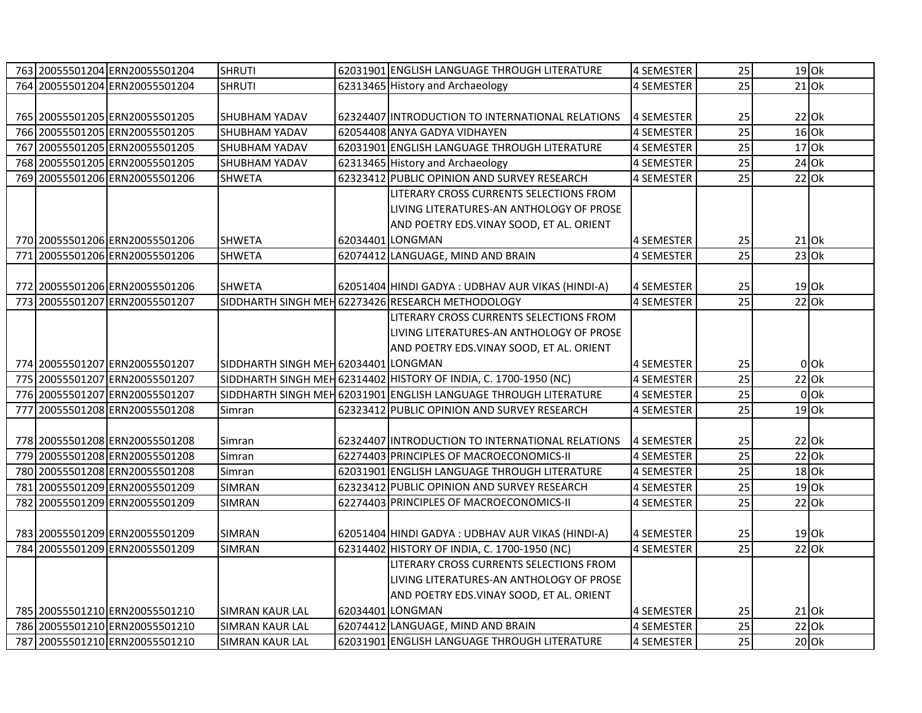|     | 763 20055501204 ERN20055501204 | <b>SHRUTI</b>                        | 62031901 ENGLISH LANGUAGE THROUGH LITERATURE                     | 4 SEMESTER        | 25              | $19$ Ok |        |
|-----|--------------------------------|--------------------------------------|------------------------------------------------------------------|-------------------|-----------------|---------|--------|
|     | 764 20055501204 ERN20055501204 | <b>SHRUTI</b>                        | 62313465 History and Archaeology                                 | <b>4 SEMESTER</b> | 25              | $21$ Ok |        |
|     |                                |                                      |                                                                  |                   |                 |         |        |
|     | 765 20055501205 ERN20055501205 | <b>SHUBHAM YADAV</b>                 | 62324407 INTRODUCTION TO INTERNATIONAL RELATIONS                 | <b>4 SEMESTER</b> | 25              | 22 Ok   |        |
|     | 766 20055501205 ERN20055501205 | <b>SHUBHAM YADAV</b>                 | 62054408 ANYA GADYA VIDHAYEN                                     | 4 SEMESTER        | 25              | $16$ Ok |        |
|     | 767 20055501205 ERN20055501205 | <b>SHUBHAM YADAV</b>                 | 62031901 ENGLISH LANGUAGE THROUGH LITERATURE                     | 4 SEMESTER        | 25              | $17$ Ok |        |
|     | 768 20055501205 ERN20055501205 | SHUBHAM YADAV                        | 62313465 History and Archaeology                                 | <b>4 SEMESTER</b> | 25              | $24$ Ok |        |
|     | 769 20055501206 ERN20055501206 | <b>SHWETA</b>                        | 62323412 PUBLIC OPINION AND SURVEY RESEARCH                      | 4 SEMESTER        | 25              | $22$ Ok |        |
|     |                                |                                      | LITERARY CROSS CURRENTS SELECTIONS FROM                          |                   |                 |         |        |
|     |                                |                                      | LIVING LITERATURES-AN ANTHOLOGY OF PROSE                         |                   |                 |         |        |
|     |                                |                                      | AND POETRY EDS. VINAY SOOD, ET AL. ORIENT                        |                   |                 |         |        |
|     | 770 20055501206 ERN20055501206 | <b>SHWETA</b>                        | 62034401 LONGMAN                                                 | <b>4 SEMESTER</b> | 25              | $21$ Ok |        |
| 771 | 20055501206 ERN20055501206     | <b>SHWETA</b>                        | 62074412 LANGUAGE, MIND AND BRAIN                                | 4 SEMESTER        | 25              | $23$ Ok |        |
|     |                                |                                      |                                                                  |                   |                 |         |        |
|     | 772 20055501206 ERN20055501206 | <b>SHWETA</b>                        | 62051404 HINDI GADYA : UDBHAV AUR VIKAS (HINDI-A)                | <b>4 SEMESTER</b> | 25              | $19$ Ok |        |
|     | 773 20055501207 ERN20055501207 |                                      | SIDDHARTH SINGH MEH 62273426 RESEARCH METHODOLOGY                | 4 SEMESTER        | 25              | $22$ Ok |        |
|     |                                |                                      | LITERARY CROSS CURRENTS SELECTIONS FROM                          |                   |                 |         |        |
|     |                                |                                      | LIVING LITERATURES-AN ANTHOLOGY OF PROSE                         |                   |                 |         |        |
|     |                                |                                      | AND POETRY EDS.VINAY SOOD, ET AL. ORIENT                         |                   |                 |         |        |
|     | 774 20055501207 ERN20055501207 | SIDDHARTH SINGH MEH 62034401 LONGMAN |                                                                  | <b>4 SEMESTER</b> | 25              |         | $0$ Ok |
|     | 775 20055501207 ERN20055501207 |                                      | SIDDHARTH SINGH MEH 62314402 HISTORY OF INDIA, C. 1700-1950 (NC) | <b>4 SEMESTER</b> | 25              | $22$ Ok |        |
|     | 776 20055501207 ERN20055501207 |                                      | SIDDHARTH SINGH MEH 62031901 ENGLISH LANGUAGE THROUGH LITERATURE | <b>4 SEMESTER</b> | $\overline{25}$ |         | $0$ Ok |
|     | 777 20055501208 ERN20055501208 | Simran                               | 62323412 PUBLIC OPINION AND SURVEY RESEARCH                      | 4 SEMESTER        | $\overline{25}$ | $19$ Ok |        |
|     |                                |                                      |                                                                  |                   |                 |         |        |
|     | 778 20055501208 ERN20055501208 | Simran                               | 62324407 INTRODUCTION TO INTERNATIONAL RELATIONS                 | 4 SEMESTER        | 25              | $22$ Ok |        |
|     | 779 20055501208 ERN20055501208 | Simran                               | 62274403 PRINCIPLES OF MACROECONOMICS-II                         | <b>4 SEMESTER</b> | $\overline{25}$ | $22$ Ok |        |
|     | 780 20055501208 ERN20055501208 | Simran                               | 62031901 ENGLISH LANGUAGE THROUGH LITERATURE                     | <b>4 SEMESTER</b> | 25              | $18$ Ok |        |
|     | 781 20055501209 ERN20055501209 | <b>SIMRAN</b>                        | 62323412 PUBLIC OPINION AND SURVEY RESEARCH                      | 4 SEMESTER        | 25              | $19$ Ok |        |
|     | 782 20055501209 ERN20055501209 | <b>SIMRAN</b>                        | 62274403 PRINCIPLES OF MACROECONOMICS-II                         | 4 SEMESTER        | $\overline{25}$ | $22$ Ok |        |
|     |                                |                                      |                                                                  |                   |                 |         |        |
|     | 783 20055501209 ERN20055501209 | <b>SIMRAN</b>                        | 62051404 HINDI GADYA : UDBHAV AUR VIKAS (HINDI-A)                | <b>4 SEMESTER</b> | 25              | $19$ Ok |        |
|     | 784 20055501209 ERN20055501209 | <b>SIMRAN</b>                        | 62314402 HISTORY OF INDIA, C. 1700-1950 (NC)                     | <b>4 SEMESTER</b> | $\overline{25}$ | $22$ Ok |        |
|     |                                |                                      | LITERARY CROSS CURRENTS SELECTIONS FROM                          |                   |                 |         |        |
|     |                                |                                      | LIVING LITERATURES-AN ANTHOLOGY OF PROSE                         |                   |                 |         |        |
|     |                                |                                      | AND POETRY EDS.VINAY SOOD, ET AL. ORIENT                         |                   |                 |         |        |
|     | 785 20055501210 ERN20055501210 | <b>SIMRAN KAUR LAL</b>               | 62034401 LONGMAN                                                 | 4 SEMESTER        | 25              | $21$ Ok |        |
|     | 786 20055501210 ERN20055501210 | <b>SIMRAN KAUR LAL</b>               | 62074412 LANGUAGE, MIND AND BRAIN                                | 4 SEMESTER        | 25              | $22$ Ok |        |
|     | 787 20055501210 ERN20055501210 | <b>SIMRAN KAUR LAL</b>               | 62031901 ENGLISH LANGUAGE THROUGH LITERATURE                     | <b>4 SEMESTER</b> | 25              | $20$ Ok |        |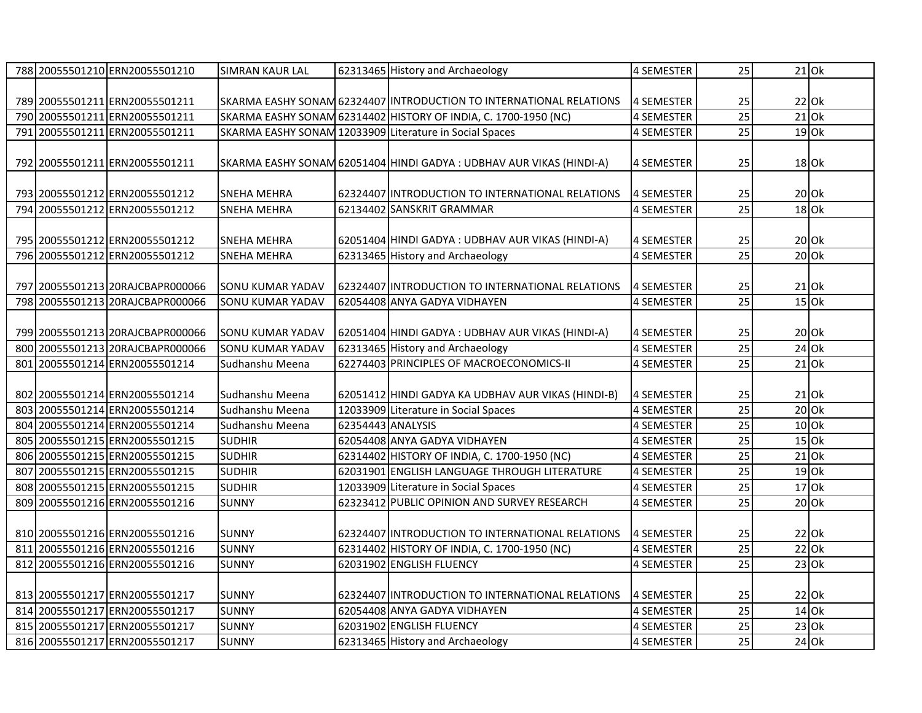|  | 788 20055501210 ERN20055501210   | <b>SIMRAN KAUR LAL</b>  |                   | 62313465 History and Archaeology                                     | 4 SEMESTER        | 25              | $21$ Ok |  |
|--|----------------------------------|-------------------------|-------------------|----------------------------------------------------------------------|-------------------|-----------------|---------|--|
|  |                                  |                         |                   |                                                                      |                   |                 |         |  |
|  | 789 20055501211 ERN20055501211   |                         |                   | SKARMA EASHY SONAM 62324407 INTRODUCTION TO INTERNATIONAL RELATIONS  | 4 SEMESTER        | 25              | $22$ Ok |  |
|  | 790 20055501211 ERN20055501211   |                         |                   | SKARMA EASHY SONAM 62314402 HISTORY OF INDIA, C. 1700-1950 (NC)      | 4 SEMESTER        | $\overline{25}$ | $21$ Ok |  |
|  | 791 20055501211 ERN20055501211   |                         |                   | SKARMA EASHY SONAM 12033909 Literature in Social Spaces              | 4 SEMESTER        | 25              | $19$ Ok |  |
|  |                                  |                         |                   |                                                                      |                   |                 |         |  |
|  | 792 20055501211 ERN20055501211   |                         |                   | SKARMA EASHY SONAM 62051404 HINDI GADYA : UDBHAV AUR VIKAS (HINDI-A) | 4 SEMESTER        | 25              | 18 Ok   |  |
|  |                                  |                         |                   |                                                                      |                   |                 |         |  |
|  | 793 20055501212 ERN20055501212   | <b>SNEHA MEHRA</b>      |                   | 62324407 INTRODUCTION TO INTERNATIONAL RELATIONS                     | <b>4 SEMESTER</b> | 25              | $20$ Ok |  |
|  | 794 20055501212 ERN20055501212   | <b>SNEHA MEHRA</b>      |                   | 62134402 SANSKRIT GRAMMAR                                            | 4 SEMESTER        | 25              | $18$ Ok |  |
|  |                                  |                         |                   |                                                                      |                   |                 |         |  |
|  | 795 20055501212 ERN20055501212   | <b>SNEHA MEHRA</b>      |                   | 62051404 HINDI GADYA : UDBHAV AUR VIKAS (HINDI-A)                    | 4 SEMESTER        | 25              | $20$ Ok |  |
|  | 796 20055501212 ERN20055501212   | <b>SNEHA MEHRA</b>      |                   | 62313465 History and Archaeology                                     | 4 SEMESTER        | 25              | $20$ Ok |  |
|  |                                  |                         |                   |                                                                      |                   |                 |         |  |
|  | 797 20055501213 20RAJCBAPR000066 | SONU KUMAR YADAV        |                   | 62324407 INTRODUCTION TO INTERNATIONAL RELATIONS                     | 4 SEMESTER        | 25              | $21$ Ok |  |
|  | 798 20055501213 20RAJCBAPR000066 | <b>SONU KUMAR YADAV</b> |                   | 62054408 ANYA GADYA VIDHAYEN                                         | 4 SEMESTER        | $\overline{25}$ | $15$ Ok |  |
|  |                                  |                         |                   |                                                                      |                   |                 |         |  |
|  | 799 20055501213 20RAJCBAPR000066 | SONU KUMAR YADAV        |                   | 62051404 HINDI GADYA : UDBHAV AUR VIKAS (HINDI-A)                    | 4 SEMESTER        | 25              | $20$ Ok |  |
|  | 800 20055501213 20RAJCBAPR000066 | SONU KUMAR YADAV        |                   | 62313465 History and Archaeology                                     | 4 SEMESTER        | 25              | $24$ Ok |  |
|  | 801 20055501214 ERN20055501214   | Sudhanshu Meena         |                   | 62274403 PRINCIPLES OF MACROECONOMICS-II                             | <b>4 SEMESTER</b> | 25              | $21$ Ok |  |
|  |                                  |                         |                   |                                                                      |                   |                 |         |  |
|  | 802 20055501214 ERN20055501214   | Sudhanshu Meena         |                   | 62051412 HINDI GADYA KA UDBHAV AUR VIKAS (HINDI-B)                   | 4 SEMESTER        | 25              | $21$ Ok |  |
|  | 803 20055501214 ERN20055501214   | Sudhanshu Meena         |                   | 12033909 Literature in Social Spaces                                 | 4 SEMESTER        | 25              | $20$ Ok |  |
|  | 804 20055501214 ERN20055501214   | Sudhanshu Meena         | 62354443 ANALYSIS |                                                                      | 4 SEMESTER        | 25              | $10$ Ok |  |
|  | 805 20055501215 ERN20055501215   | <b>SUDHIR</b>           |                   | 62054408 ANYA GADYA VIDHAYEN                                         | 4 SEMESTER        | $\overline{25}$ | $15$ Ok |  |
|  | 806 20055501215 ERN20055501215   | <b>SUDHIR</b>           |                   | 62314402 HISTORY OF INDIA, C. 1700-1950 (NC)                         | 4 SEMESTER        | $\overline{25}$ | $21$ Ok |  |
|  | 807 20055501215 ERN20055501215   | <b>SUDHIR</b>           |                   | 62031901 ENGLISH LANGUAGE THROUGH LITERATURE                         | <b>4 SEMESTER</b> | $\overline{25}$ | $19$ Ok |  |
|  | 808 20055501215 ERN20055501215   | <b>SUDHIR</b>           |                   | 12033909 Literature in Social Spaces                                 | 4 SEMESTER        | $\overline{25}$ | $17$ Ok |  |
|  | 809 20055501216 ERN20055501216   | <b>SUNNY</b>            |                   | 62323412 PUBLIC OPINION AND SURVEY RESEARCH                          | 4 SEMESTER        | $\overline{25}$ | $20$ Ok |  |
|  |                                  |                         |                   |                                                                      |                   |                 |         |  |
|  | 810 20055501216 ERN20055501216   | <b>SUNNY</b>            |                   | 62324407 INTRODUCTION TO INTERNATIONAL RELATIONS                     | 4 SEMESTER        | 25              | $22$ Ok |  |
|  | 811 20055501216 ERN20055501216   | <b>SUNNY</b>            |                   | 62314402 HISTORY OF INDIA, C. 1700-1950 (NC)                         | 4 SEMESTER        | $\overline{25}$ | $22$ Ok |  |
|  | 812 20055501216 ERN20055501216   | <b>SUNNY</b>            |                   | 62031902 ENGLISH FLUENCY                                             | 4 SEMESTER        | 25              | $23$ Ok |  |
|  |                                  |                         |                   |                                                                      |                   |                 |         |  |
|  | 813 20055501217 ERN20055501217   | <b>SUNNY</b>            |                   | 62324407 INTRODUCTION TO INTERNATIONAL RELATIONS                     | 4 SEMESTER        | 25              | $22$ Ok |  |
|  | 814 20055501217 ERN20055501217   | <b>SUNNY</b>            |                   | 62054408 ANYA GADYA VIDHAYEN                                         | 4 SEMESTER        | 25              | 14 Ok   |  |
|  | 815 20055501217 ERN20055501217   | <b>SUNNY</b>            |                   | 62031902 ENGLISH FLUENCY                                             | 4 SEMESTER        | 25              | $23$ Ok |  |
|  | 816 20055501217 ERN20055501217   | <b>SUNNY</b>            |                   | 62313465 History and Archaeology                                     | 4 SEMESTER        | 25              | 24 Ok   |  |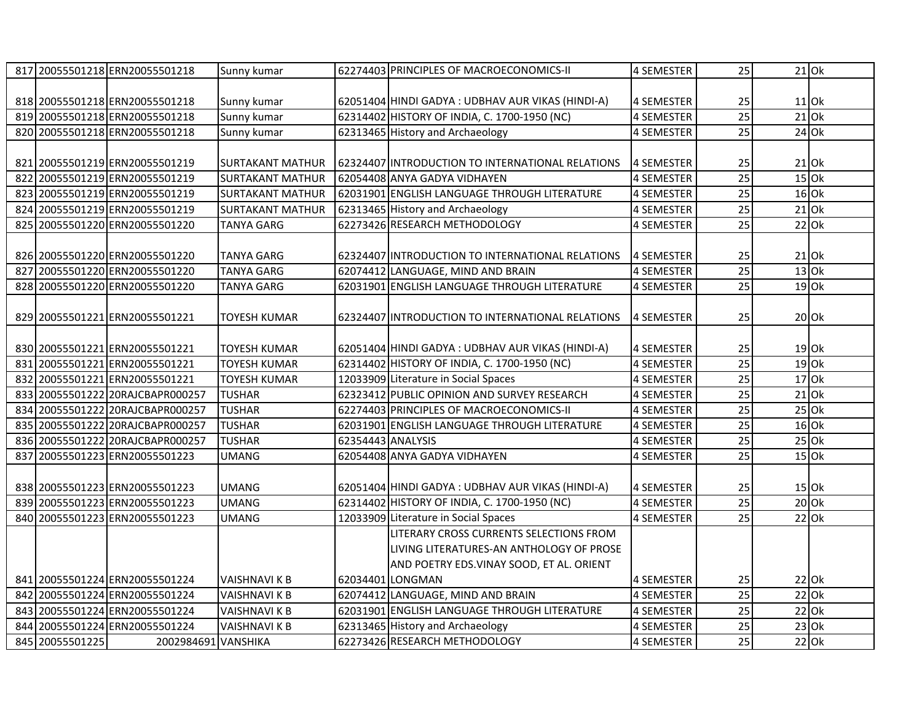|     |                 | 817 20055501218 ERN20055501218   | Sunny kumar             |                   | 62274403 PRINCIPLES OF MACROECONOMICS-II          | 4 SEMESTER        | 25              | $21$ Ok |
|-----|-----------------|----------------------------------|-------------------------|-------------------|---------------------------------------------------|-------------------|-----------------|---------|
|     |                 |                                  |                         |                   |                                                   |                   |                 |         |
|     |                 | 818 20055501218 ERN20055501218   | Sunny kumar             |                   | 62051404 HINDI GADYA : UDBHAV AUR VIKAS (HINDI-A) | 4 SEMESTER        | 25              | $11$ Ok |
|     |                 | 819 20055501218 ERN20055501218   | Sunny kumar             |                   | 62314402 HISTORY OF INDIA, C. 1700-1950 (NC)      | 4 SEMESTER        | 25              | $21$ Ok |
|     |                 | 820 20055501218 ERN20055501218   | Sunny kumar             |                   | 62313465 History and Archaeology                  | 4 SEMESTER        | 25              | $24$ Ok |
|     |                 |                                  |                         |                   |                                                   |                   |                 |         |
|     |                 | 821 20055501219 ERN20055501219   | <b>SURTAKANT MATHUR</b> |                   | 62324407 INTRODUCTION TO INTERNATIONAL RELATIONS  | 4 SEMESTER        | 25              | 21 Ok   |
|     |                 | 822 20055501219 ERN20055501219   | <b>SURTAKANT MATHUR</b> |                   | 62054408 ANYA GADYA VIDHAYEN                      | <b>4 SEMESTER</b> | $\overline{25}$ | $15$ Ok |
|     |                 | 823 20055501219 ERN20055501219   | <b>SURTAKANT MATHUR</b> |                   | 62031901 ENGLISH LANGUAGE THROUGH LITERATURE      | 4 SEMESTER        | 25              | $16$ Ok |
|     |                 | 824 20055501219 ERN20055501219   | <b>SURTAKANT MATHUR</b> |                   | 62313465 History and Archaeology                  | 4 SEMESTER        | 25              | $21$ Ok |
|     |                 | 825 20055501220 ERN20055501220   | <b>TANYA GARG</b>       |                   | 62273426 RESEARCH METHODOLOGY                     | <b>4 SEMESTER</b> | 25              | $22$ Ok |
|     |                 |                                  |                         |                   |                                                   |                   |                 |         |
|     |                 | 826 20055501220 ERN20055501220   | TANYA GARG              |                   | 62324407 INTRODUCTION TO INTERNATIONAL RELATIONS  | 4 SEMESTER        | 25              | 21 Ok   |
| 827 |                 | 20055501220 ERN20055501220       | <b>TANYA GARG</b>       |                   | 62074412 LANGUAGE, MIND AND BRAIN                 | <b>4 SEMESTER</b> | $\overline{25}$ | $13$ Ok |
|     |                 | 828 20055501220 ERN20055501220   | <b>TANYA GARG</b>       |                   | 62031901 ENGLISH LANGUAGE THROUGH LITERATURE      | <b>4 SEMESTER</b> | $\overline{25}$ | $19$ Ok |
|     |                 |                                  |                         |                   |                                                   |                   |                 |         |
|     |                 | 829 20055501221 ERN20055501221   | <b>TOYESH KUMAR</b>     |                   | 62324407 INTRODUCTION TO INTERNATIONAL RELATIONS  | 4 SEMESTER        | 25              | $20$ Ok |
|     |                 |                                  |                         |                   |                                                   |                   |                 |         |
|     |                 | 830 20055501221 ERN20055501221   | TOYESH KUMAR            |                   | 62051404 HINDI GADYA : UDBHAV AUR VIKAS (HINDI-A) | 4 SEMESTER        | 25              | 19 Ok   |
|     |                 | 831 20055501221 ERN20055501221   | TOYESH KUMAR            |                   | 62314402 HISTORY OF INDIA, C. 1700-1950 (NC)      | <b>4 SEMESTER</b> | 25              | $19$ Ok |
|     |                 | 832 20055501221 ERN20055501221   | TOYESH KUMAR            |                   | 12033909 Literature in Social Spaces              | <b>4 SEMESTER</b> | 25              | $17$ Ok |
|     |                 | 833 20055501222 20RAJCBAPR000257 | <b>TUSHAR</b>           |                   | 62323412 PUBLIC OPINION AND SURVEY RESEARCH       | 4 SEMESTER        | 25              | $21$ Ok |
|     |                 | 834 20055501222 20RAJCBAPR000257 | <b>TUSHAR</b>           |                   | 62274403 PRINCIPLES OF MACROECONOMICS-II          | <b>4 SEMESTER</b> | $\overline{25}$ | $25$ Ok |
|     |                 | 835 20055501222 20RAJCBAPR000257 | <b>TUSHAR</b>           |                   | 62031901 ENGLISH LANGUAGE THROUGH LITERATURE      | <b>4 SEMESTER</b> | $\overline{25}$ | $16$ Ok |
|     |                 | 836 20055501222 20RAJCBAPR000257 | <b>TUSHAR</b>           | 62354443 ANALYSIS |                                                   | <b>4 SEMESTER</b> | 25              | $25$ Ok |
|     |                 | 837 20055501223 ERN20055501223   | <b>UMANG</b>            |                   | 62054408 ANYA GADYA VIDHAYEN                      | <b>4 SEMESTER</b> | $\overline{25}$ | $15$ Ok |
|     |                 |                                  |                         |                   |                                                   |                   |                 |         |
|     |                 | 838 20055501223 ERN20055501223   | <b>UMANG</b>            |                   | 62051404 HINDI GADYA : UDBHAV AUR VIKAS (HINDI-A) | 4 SEMESTER        | 25              | $15$ Ok |
|     |                 | 839 20055501223 ERN20055501223   | <b>UMANG</b>            |                   | 62314402 HISTORY OF INDIA, C. 1700-1950 (NC)      | <b>4 SEMESTER</b> | $\overline{25}$ | $20$ Ok |
|     |                 | 840 20055501223 ERN20055501223   | <b>UMANG</b>            |                   | 12033909 Literature in Social Spaces              | 4 SEMESTER        | $\overline{25}$ | $22$ Ok |
|     |                 |                                  |                         |                   | LITERARY CROSS CURRENTS SELECTIONS FROM           |                   |                 |         |
|     |                 |                                  |                         |                   | LIVING LITERATURES-AN ANTHOLOGY OF PROSE          |                   |                 |         |
|     |                 |                                  |                         |                   | AND POETRY EDS. VINAY SOOD, ET AL. ORIENT         |                   |                 |         |
|     |                 | 841 20055501224 ERN20055501224   | <b>VAISHNAVI K B</b>    |                   | 62034401 LONGMAN                                  | 4 SEMESTER        | 25              | $22$ Ok |
|     |                 | 842 20055501224 ERN20055501224   | <b>VAISHNAVI K B</b>    |                   | 62074412 LANGUAGE, MIND AND BRAIN                 | 4 SEMESTER        | 25              | $22$ Ok |
|     |                 | 843 20055501224 ERN20055501224   | <b>VAISHNAVI K B</b>    |                   | 62031901 ENGLISH LANGUAGE THROUGH LITERATURE      | 4 SEMESTER        | 25              | $22$ Ok |
|     |                 | 844 20055501224 ERN20055501224   | <b>VAISHNAVI K B</b>    |                   | 62313465 History and Archaeology                  | 4 SEMESTER        | 25              | $23$ Ok |
|     | 845 20055501225 | 2002984691 VANSHIKA              |                         |                   | 62273426 RESEARCH METHODOLOGY                     | <b>4 SEMESTER</b> | 25              | $22$ Ok |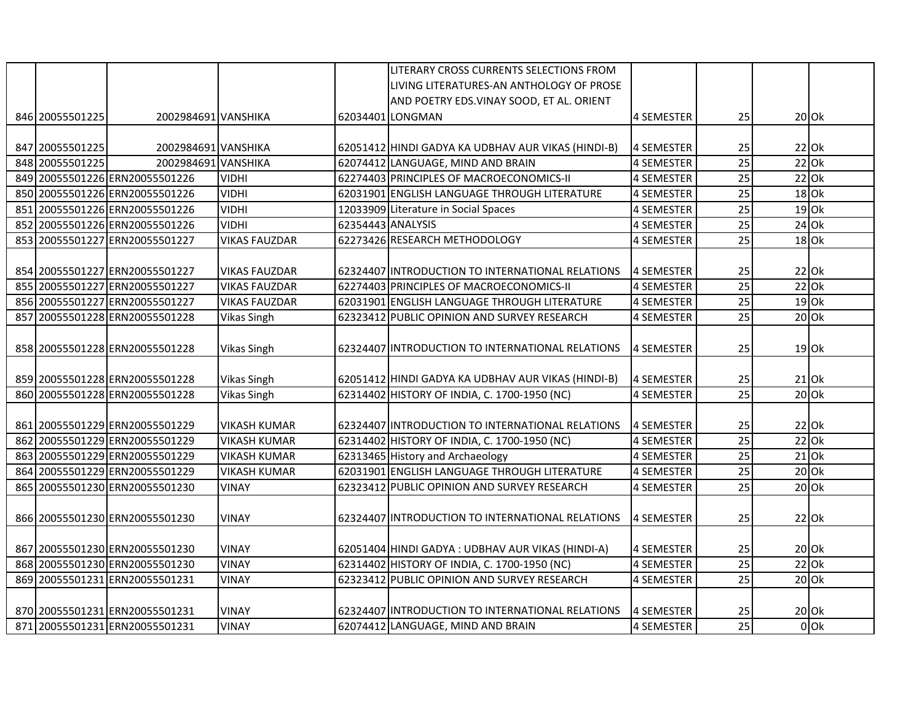|                 |                                |                      |                   | LITERARY CROSS CURRENTS SELECTIONS FROM            |                   |                 |         |         |
|-----------------|--------------------------------|----------------------|-------------------|----------------------------------------------------|-------------------|-----------------|---------|---------|
|                 |                                |                      |                   | LIVING LITERATURES-AN ANTHOLOGY OF PROSE           |                   |                 |         |         |
|                 |                                |                      |                   | AND POETRY EDS.VINAY SOOD, ET AL. ORIENT           |                   |                 |         |         |
| 846 20055501225 | 2002984691 VANSHIKA            |                      |                   | 62034401 LONGMAN                                   | <b>4 SEMESTER</b> | 25              |         | $20$ Ok |
|                 |                                |                      |                   |                                                    |                   |                 |         |         |
| 847 20055501225 | 2002984691 VANSHIKA            |                      |                   | 62051412 HINDI GADYA KA UDBHAV AUR VIKAS (HINDI-B) | 4 SEMESTER        | 25              |         | $22$ Ok |
| 848 20055501225 | 2002984691 VANSHIKA            |                      |                   | 62074412 LANGUAGE, MIND AND BRAIN                  | <b>4 SEMESTER</b> | $\overline{25}$ | $22$ Ok |         |
|                 | 849 20055501226 ERN20055501226 | <b>VIDHI</b>         |                   | 62274403 PRINCIPLES OF MACROECONOMICS-II           | 4 SEMESTER        | 25              |         | $22$ Ok |
|                 | 850 20055501226 ERN20055501226 | <b>VIDHI</b>         |                   | 62031901 ENGLISH LANGUAGE THROUGH LITERATURE       | <b>4 SEMESTER</b> | 25              | $18$ Ok |         |
|                 | 851 20055501226 ERN20055501226 | <b>VIDHI</b>         |                   | 12033909 Literature in Social Spaces               | 4 SEMESTER        | 25              | $19$ Ok |         |
|                 | 852 20055501226 ERN20055501226 | <b>VIDHI</b>         | 62354443 ANALYSIS |                                                    | 4 SEMESTER        | 25              |         | $24$ Ok |
|                 | 853 20055501227 ERN20055501227 | <b>VIKAS FAUZDAR</b> |                   | 62273426 RESEARCH METHODOLOGY                      | 4 SEMESTER        | 25              | $18$ Ok |         |
|                 |                                |                      |                   |                                                    |                   |                 |         |         |
|                 | 854 20055501227 ERN20055501227 | <b>VIKAS FAUZDAR</b> |                   | 62324407 INTRODUCTION TO INTERNATIONAL RELATIONS   | 4 SEMESTER        | 25              |         | $22$ Ok |
|                 | 855 20055501227 ERN20055501227 | <b>VIKAS FAUZDAR</b> |                   | 62274403 PRINCIPLES OF MACROECONOMICS-II           | <b>4 SEMESTER</b> | 25              |         | $22$ Ok |
|                 | 856 20055501227 ERN20055501227 | <b>VIKAS FAUZDAR</b> |                   | 62031901 ENGLISH LANGUAGE THROUGH LITERATURE       | <b>4 SEMESTER</b> | 25              |         | $19$ Ok |
|                 | 857 20055501228 ERN20055501228 | <b>Vikas Singh</b>   |                   | 62323412 PUBLIC OPINION AND SURVEY RESEARCH        | <b>4 SEMESTER</b> | $\overline{25}$ |         | $20$ Ok |
|                 |                                |                      |                   |                                                    |                   |                 |         |         |
|                 | 858 20055501228 ERN20055501228 | <b>Vikas Singh</b>   |                   | 62324407 INTRODUCTION TO INTERNATIONAL RELATIONS   | 4 SEMESTER        | 25              | 19 Ok   |         |
|                 |                                |                      |                   |                                                    |                   |                 |         |         |
|                 | 859 20055501228 ERN20055501228 | <b>Vikas Singh</b>   |                   | 62051412 HINDI GADYA KA UDBHAV AUR VIKAS (HINDI-B) | 4 SEMESTER        | 25              | $21$ Ok |         |
|                 | 860 20055501228 ERN20055501228 | <b>Vikas Singh</b>   |                   | 62314402 HISTORY OF INDIA, C. 1700-1950 (NC)       | 4 SEMESTER        | $\overline{25}$ | $20$ Ok |         |
|                 |                                |                      |                   |                                                    |                   |                 |         |         |
|                 | 861 20055501229 ERN20055501229 | <b>VIKASH KUMAR</b>  |                   | 62324407 INTRODUCTION TO INTERNATIONAL RELATIONS   | 4 SEMESTER        | 25              |         | $22$ Ok |
|                 | 862 20055501229 ERN20055501229 | <b>VIKASH KUMAR</b>  |                   | 62314402 HISTORY OF INDIA, C. 1700-1950 (NC)       | 4 SEMESTER        | $\overline{25}$ | $22$ Ok |         |
|                 | 863 20055501229 ERN20055501229 | <b>VIKASH KUMAR</b>  |                   | 62313465 History and Archaeology                   | 4 SEMESTER        | 25              | $21$ Ok |         |
|                 | 864 20055501229 ERN20055501229 | <b>VIKASH KUMAR</b>  |                   | 62031901 ENGLISH LANGUAGE THROUGH LITERATURE       | <b>4 SEMESTER</b> | 25              | $20$ Ok |         |
|                 | 865 20055501230 ERN20055501230 | <b>VINAY</b>         |                   | 62323412 PUBLIC OPINION AND SURVEY RESEARCH        | 4 SEMESTER        | 25              | $20$ Ok |         |
|                 |                                |                      |                   |                                                    |                   |                 |         |         |
|                 | 866 20055501230 ERN20055501230 | <b>VINAY</b>         |                   | 62324407 INTRODUCTION TO INTERNATIONAL RELATIONS   | <b>4 SEMESTER</b> | 25              |         | $22$ Ok |
|                 |                                |                      |                   |                                                    |                   |                 |         |         |
|                 | 867 20055501230 ERN20055501230 | <b>VINAY</b>         |                   | 62051404 HINDI GADYA : UDBHAV AUR VIKAS (HINDI-A)  | 4 SEMESTER        | 25              | 20 Ok   |         |
|                 | 868 20055501230 ERN20055501230 | <b>VINAY</b>         |                   | 62314402 HISTORY OF INDIA, C. 1700-1950 (NC)       | <b>4 SEMESTER</b> | 25              | 22 Ok   |         |
|                 | 869 20055501231 ERN20055501231 | <b>VINAY</b>         |                   | 62323412 PUBLIC OPINION AND SURVEY RESEARCH        | 4 SEMESTER        | 25              |         | $20$ Ok |
|                 |                                |                      |                   |                                                    |                   |                 |         |         |
|                 | 870 20055501231 ERN20055501231 | <b>VINAY</b>         |                   | 62324407 INTRODUCTION TO INTERNATIONAL RELATIONS   | <b>4 SEMESTER</b> | 25              |         | $20$ Ok |
|                 | 871 20055501231 ERN20055501231 | <b>VINAY</b>         |                   | 62074412 LANGUAGE, MIND AND BRAIN                  | <b>4 SEMESTER</b> | $\overline{25}$ |         | $0$ Ok  |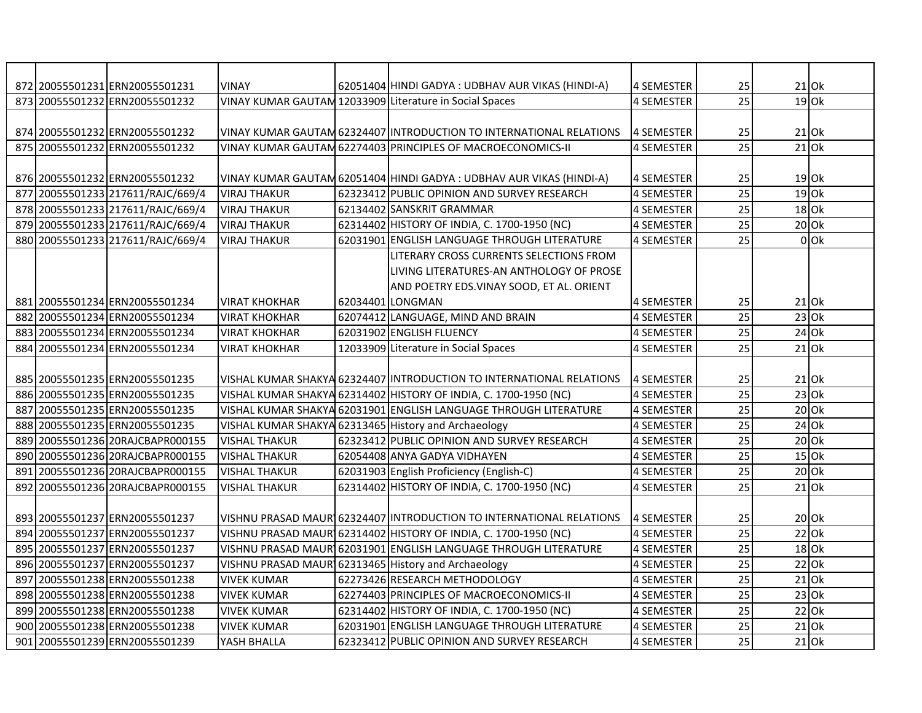|     | 872 20055501231 ERN20055501231    | <b>VINAY</b>         | 62051404 HINDI GADYA : UDBHAV AUR VIKAS (HINDI-A)                    | 4 SEMESTER        | 25              |                     | $21$ Ok |
|-----|-----------------------------------|----------------------|----------------------------------------------------------------------|-------------------|-----------------|---------------------|---------|
|     | 873 20055501232 ERN20055501232    |                      | VINAY KUMAR GAUTAM 12033909 Literature in Social Spaces              | <b>4 SEMESTER</b> | $\overline{25}$ |                     | $19$ Ok |
|     |                                   |                      |                                                                      |                   |                 |                     |         |
|     | 874 20055501232 ERN20055501232    |                      | VINAY KUMAR GAUTAM 62324407 INTRODUCTION TO INTERNATIONAL RELATIONS  | 4 SEMESTER        | 25              |                     | $21$ Ok |
|     | 875 20055501232 ERN20055501232    |                      | VINAY KUMAR GAUTAM 62274403 PRINCIPLES OF MACROECONOMICS-II          | 4 SEMESTER        | 25              | $21$ Ok             |         |
|     |                                   |                      |                                                                      |                   |                 |                     |         |
|     | 876 20055501232 ERN20055501232    |                      | VINAY KUMAR GAUTAM 62051404 HINDI GADYA : UDBHAV AUR VIKAS (HINDI-A) | 4 SEMESTER        | 25              | 19 Ok               |         |
|     | 877 20055501233 217611/RAJC/669/4 | <b>VIRAJ THAKUR</b>  | 62323412 PUBLIC OPINION AND SURVEY RESEARCH                          | 4 SEMESTER        | 25              | $19$ Ok             |         |
|     | 878 20055501233 217611/RAJC/669/4 | <b>VIRAJ THAKUR</b>  | 62134402 SANSKRIT GRAMMAR                                            | 4 SEMESTER        | 25              | 18 Ok               |         |
|     | 879 20055501233 217611/RAJC/669/4 | <b>VIRAJ THAKUR</b>  | 62314402 HISTORY OF INDIA, C. 1700-1950 (NC)                         | 4 SEMESTER        | 25              | $20$ Ok             |         |
|     | 880 20055501233 217611/RAJC/669/4 | <b>VIRAJ THAKUR</b>  | 62031901 ENGLISH LANGUAGE THROUGH LITERATURE                         | <b>4 SEMESTER</b> | 25              |                     | $0$ Ok  |
|     |                                   |                      | LITERARY CROSS CURRENTS SELECTIONS FROM                              |                   |                 |                     |         |
|     |                                   |                      | LIVING LITERATURES-AN ANTHOLOGY OF PROSE                             |                   |                 |                     |         |
|     |                                   |                      | AND POETRY EDS.VINAY SOOD, ET AL. ORIENT                             |                   |                 |                     |         |
|     | 881 20055501234 ERN20055501234    | <b>VIRAT KHOKHAR</b> | 62034401 LONGMAN                                                     | 4 SEMESTER        | 25              |                     | $21$ Ok |
|     | 882 20055501234 ERN20055501234    | <b>VIRAT KHOKHAR</b> | 62074412 LANGUAGE, MIND AND BRAIN                                    | <b>4 SEMESTER</b> | 25              |                     | $23$ Ok |
|     | 883 20055501234 ERN20055501234    | <b>VIRAT KHOKHAR</b> | 62031902 ENGLISH FLUENCY                                             | <b>4 SEMESTER</b> | 25              |                     | $24$ Ok |
|     | 884 20055501234 ERN20055501234    | <b>VIRAT KHOKHAR</b> | 12033909 Literature in Social Spaces                                 | <b>4 SEMESTER</b> | 25              | $21$ Ok             |         |
|     |                                   |                      |                                                                      |                   |                 |                     |         |
|     | 885 20055501235 ERN20055501235    |                      | VISHAL KUMAR SHAKYA 62324407 INTRODUCTION TO INTERNATIONAL RELATIONS | 4 SEMESTER        | 25              |                     | $21$ Ok |
|     | 886 20055501235 ERN20055501235    |                      | VISHAL KUMAR SHAKYA 62314402 HISTORY OF INDIA, C. 1700-1950 (NC)     | 4 SEMESTER        | 25              | $23$ Ok             |         |
|     | 887 20055501235 ERN20055501235    |                      | VISHAL KUMAR SHAKYA 62031901 ENGLISH LANGUAGE THROUGH LITERATURE     | <b>4 SEMESTER</b> | 25              | $20$ Ok             |         |
|     | 888 20055501235 ERN20055501235    |                      | VISHAL KUMAR SHAKYA 62313465 History and Archaeology                 | <b>4 SEMESTER</b> | 25              | $24$ Ok             |         |
|     | 889 20055501236 20RAJCBAPR000155  | <b>VISHAL THAKUR</b> | 62323412 PUBLIC OPINION AND SURVEY RESEARCH                          | 4 SEMESTER        | $\overline{25}$ | $20$ Ok             |         |
|     | 890 20055501236 20RAJCBAPR000155  | <b>VISHAL THAKUR</b> | 62054408 ANYA GADYA VIDHAYEN                                         | 4 SEMESTER        | $\overline{25}$ | $15$ Ok             |         |
|     | 891 20055501236 20RAJCBAPR000155  | <b>VISHAL THAKUR</b> | 62031903 English Proficiency (English-C)                             | 4 SEMESTER        | 25              | $20$ Ok             |         |
| 892 | 20055501236 20RAJCBAPR000155      | <b>VISHAL THAKUR</b> | 62314402 HISTORY OF INDIA, C. 1700-1950 (NC)                         | <b>4 SEMESTER</b> | $\overline{25}$ | $21$ Ok             |         |
|     |                                   |                      |                                                                      |                   |                 |                     |         |
|     | 893 20055501237 ERN20055501237    |                      | VISHNU PRASAD MAUR 62324407 INTRODUCTION TO INTERNATIONAL RELATIONS  | 4 SEMESTER        | 25              | $20$ Ok             |         |
|     | 894 20055501237 ERN20055501237    |                      | VISHNU PRASAD MAUR 62314402 HISTORY OF INDIA, C. 1700-1950 (NC)      | 4 SEMESTER        | $\overline{25}$ | $22$ Ok             |         |
|     | 895 20055501237 ERN20055501237    |                      | VISHNU PRASAD MAUR 62031901 ENGLISH LANGUAGE THROUGH LITERATURE      | <b>4 SEMESTER</b> | $\overline{25}$ | $18$ Ok             |         |
|     | 896 20055501237 ERN20055501237    |                      | VISHNU PRASAD MAUR 62313465 History and Archaeology                  | <b>4 SEMESTER</b> | $\overline{25}$ | $22$ Ok             |         |
|     | 897 20055501238 ERN20055501238    | <b>VIVEK KUMAR</b>   | 62273426 RESEARCH METHODOLOGY                                        | <b>4 SEMESTER</b> | 25              | $21$ Ok             |         |
|     | 898 20055501238 ERN20055501238    | <b>VIVEK KUMAR</b>   | 62274403 PRINCIPLES OF MACROECONOMICS-II                             | 4 SEMESTER        | 25              | $23$ Ok             |         |
|     | 899 20055501238 ERN20055501238    | <b>VIVEK KUMAR</b>   | 62314402 HISTORY OF INDIA, C. 1700-1950 (NC)                         | 4 SEMESTER        | 25              | $22$ O <sub>k</sub> |         |
|     | 900 20055501238 ERN20055501238    | <b>VIVEK KUMAR</b>   | 62031901 ENGLISH LANGUAGE THROUGH LITERATURE                         | 4 SEMESTER        | 25              | $21$ Ok             |         |
|     | 901 20055501239 ERN20055501239    | YASH BHALLA          | 62323412 PUBLIC OPINION AND SURVEY RESEARCH                          | 4 SEMESTER        | 25              | $21$ Ok             |         |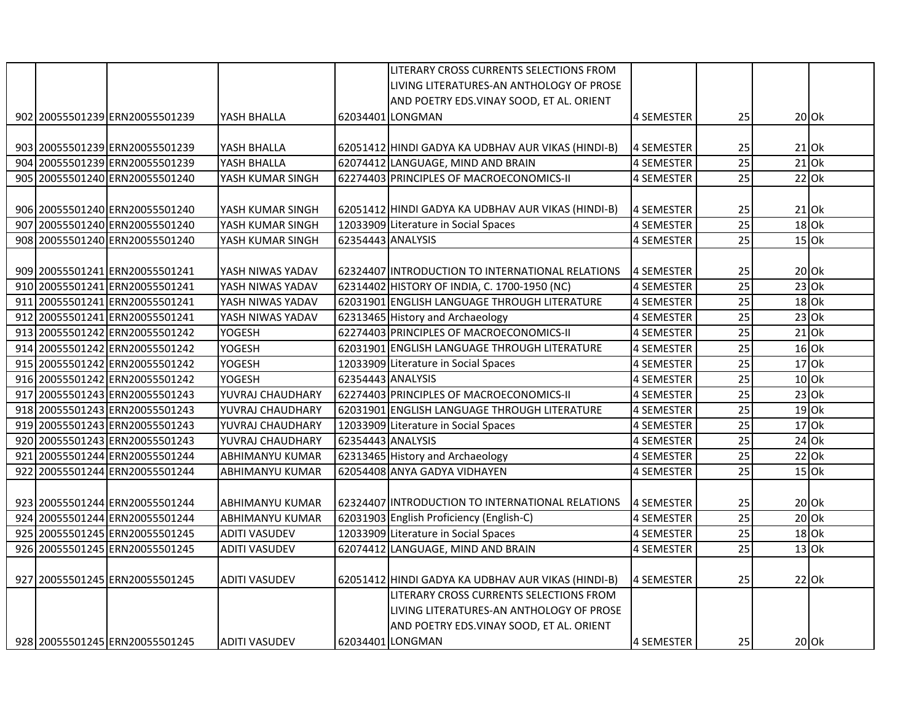|  |                                |                      |                   | LITERARY CROSS CURRENTS SELECTIONS FROM            |                   |                 |         |                                                                       |
|--|--------------------------------|----------------------|-------------------|----------------------------------------------------|-------------------|-----------------|---------|-----------------------------------------------------------------------|
|  |                                |                      |                   | LIVING LITERATURES-AN ANTHOLOGY OF PROSE           |                   |                 |         |                                                                       |
|  |                                |                      |                   | AND POETRY EDS. VINAY SOOD, ET AL. ORIENT          |                   |                 |         |                                                                       |
|  | 902 20055501239 ERN20055501239 | YASH BHALLA          |                   | 62034401 LONGMAN                                   | <b>4 SEMESTER</b> | 25              |         | $20$ Ok                                                               |
|  |                                |                      |                   |                                                    |                   |                 |         |                                                                       |
|  | 903 20055501239 ERN20055501239 | YASH BHALLA          |                   | 62051412 HINDI GADYA KA UDBHAV AUR VIKAS (HINDI-B) | 4 SEMESTER        | 25              | $21$ Ok |                                                                       |
|  | 904 20055501239 ERN20055501239 | YASH BHALLA          |                   | 62074412 LANGUAGE, MIND AND BRAIN                  | <b>4 SEMESTER</b> | $\overline{25}$ |         | $21$ Ok                                                               |
|  | 905 20055501240 ERN20055501240 | YASH KUMAR SINGH     |                   | 62274403 PRINCIPLES OF MACROECONOMICS-II           | <b>4 SEMESTER</b> | 25              |         | $22$ Ok                                                               |
|  |                                |                      |                   |                                                    |                   |                 |         |                                                                       |
|  | 906 20055501240 ERN20055501240 | YASH KUMAR SINGH     |                   | 62051412 HINDI GADYA KA UDBHAV AUR VIKAS (HINDI-B) | 4 SEMESTER        | 25              |         | $21$ Ok                                                               |
|  | 907 20055501240 ERN20055501240 | YASH KUMAR SINGH     |                   | 12033909 Literature in Social Spaces               | 4 SEMESTER        | $\overline{25}$ |         | $18$ Ok                                                               |
|  | 908 20055501240 ERN20055501240 | YASH KUMAR SINGH     | 62354443 ANALYSIS |                                                    | 4 SEMESTER        | $\overline{25}$ |         | $15$ Ok                                                               |
|  |                                |                      |                   |                                                    |                   |                 |         |                                                                       |
|  | 909 20055501241 ERN20055501241 | YASH NIWAS YADAV     |                   | 62324407 INTRODUCTION TO INTERNATIONAL RELATIONS   | 4 SEMESTER        | 25              |         | $20$ Ok                                                               |
|  | 910 20055501241 ERN20055501241 | YASH NIWAS YADAV     |                   | 62314402 HISTORY OF INDIA, C. 1700-1950 (NC)       | 4 SEMESTER        | 25              |         | $23$ Ok                                                               |
|  | 911 20055501241 ERN20055501241 | YASH NIWAS YADAV     |                   | 62031901 ENGLISH LANGUAGE THROUGH LITERATURE       | 4 SEMESTER        | 25              |         | $18$ O $\overline{k}$                                                 |
|  | 912 20055501241 ERN20055501241 | YASH NIWAS YADAV     |                   | 62313465 History and Archaeology                   | 4 SEMESTER        | 25              |         | $23$ Ok                                                               |
|  | 913 20055501242 ERN20055501242 | <b>YOGESH</b>        |                   | 62274403 PRINCIPLES OF MACROECONOMICS-II           | 4 SEMESTER        | 25              |         | $21$ O $\overline{\overline{\phantom{0}}}$ O $\overline{\phantom{0}}$ |
|  | 914 20055501242 ERN20055501242 | <b>YOGESH</b>        |                   | 62031901 ENGLISH LANGUAGE THROUGH LITERATURE       | 4 SEMESTER        | 25              |         | $16$ Ok                                                               |
|  | 915 20055501242 ERN20055501242 | <b>YOGESH</b>        |                   | 12033909 Literature in Social Spaces               | 4 SEMESTER        | 25              |         | $17$ Ok                                                               |
|  | 916 20055501242 ERN20055501242 | <b>YOGESH</b>        | 62354443 ANALYSIS |                                                    | 4 SEMESTER        | 25              |         | $10$ Ok                                                               |
|  | 917 20055501243 ERN20055501243 | YUVRAJ CHAUDHARY     |                   | 62274403 PRINCIPLES OF MACROECONOMICS-II           | <b>4 SEMESTER</b> | $\overline{25}$ |         | $23$ Ok                                                               |
|  | 918 20055501243 ERN20055501243 | YUVRAJ CHAUDHARY     |                   | 62031901 ENGLISH LANGUAGE THROUGH LITERATURE       | 4 SEMESTER        | 25              |         | $19$ Ok                                                               |
|  | 919 20055501243 ERN20055501243 | YUVRAJ CHAUDHARY     |                   | 12033909 Literature in Social Spaces               | 4 SEMESTER        | 25              |         | $17$ Ok                                                               |
|  | 920 20055501243 ERN20055501243 | YUVRAJ CHAUDHARY     | 62354443 ANALYSIS |                                                    | 4 SEMESTER        | $\overline{25}$ |         | $24$ Ok                                                               |
|  | 921 20055501244 ERN20055501244 | ABHIMANYU KUMAR      |                   | 62313465 History and Archaeology                   | <b>4 SEMESTER</b> | $\overline{25}$ |         | $22$ Ok                                                               |
|  | 922 20055501244 ERN20055501244 | ABHIMANYU KUMAR      |                   | 62054408 ANYA GADYA VIDHAYEN                       | 4 SEMESTER        | $\overline{25}$ |         | $15$ Ok                                                               |
|  |                                |                      |                   |                                                    |                   |                 |         |                                                                       |
|  | 923 20055501244 ERN20055501244 | ABHIMANYU KUMAR      |                   | 62324407 INTRODUCTION TO INTERNATIONAL RELATIONS   | 4 SEMESTER        | 25              |         | $20$ Ok                                                               |
|  | 924 20055501244 ERN20055501244 | ABHIMANYU KUMAR      |                   | 62031903 English Proficiency (English-C)           | 4 SEMESTER        | $\overline{25}$ |         | $20$ Ok                                                               |
|  | 925 20055501245 ERN20055501245 | <b>ADITI VASUDEV</b> |                   | 12033909 Literature in Social Spaces               | 4 SEMESTER        | $\overline{25}$ |         | $18$ Ok                                                               |
|  | 926 20055501245 ERN20055501245 | <b>ADITI VASUDEV</b> |                   | 62074412 LANGUAGE, MIND AND BRAIN                  | <b>4 SEMESTER</b> | 25              |         | $13$ Ok                                                               |
|  |                                |                      |                   |                                                    |                   |                 |         |                                                                       |
|  | 927 20055501245 ERN20055501245 | <b>ADITI VASUDEV</b> |                   | 62051412 HINDI GADYA KA UDBHAV AUR VIKAS (HINDI-B) | 4 SEMESTER        | 25              |         | $22$ Ok                                                               |
|  |                                |                      |                   | LITERARY CROSS CURRENTS SELECTIONS FROM            |                   |                 |         |                                                                       |
|  |                                |                      |                   | LIVING LITERATURES-AN ANTHOLOGY OF PROSE           |                   |                 |         |                                                                       |
|  |                                |                      |                   | AND POETRY EDS.VINAY SOOD, ET AL. ORIENT           |                   |                 |         |                                                                       |
|  | 928 20055501245 ERN20055501245 | <b>ADITI VASUDEV</b> |                   | 62034401 LONGMAN                                   | 4 SEMESTER        | 25              |         | $20$ Ok                                                               |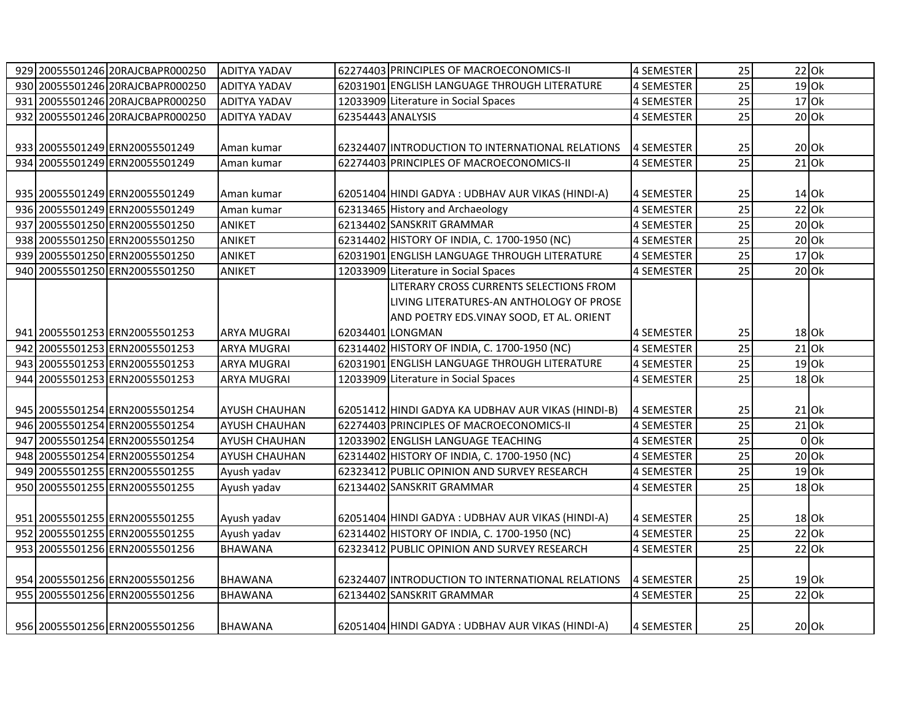|  | 929 20055501246 20RAJCBAPR000250 | <b>ADITYA YADAV</b>  |                   | 62274403 PRINCIPLES OF MACROECONOMICS-II           | 4 SEMESTER        | 25              | $22$ Ok |        |
|--|----------------------------------|----------------------|-------------------|----------------------------------------------------|-------------------|-----------------|---------|--------|
|  | 930 20055501246 20RAJCBAPR000250 | <b>ADITYA YADAV</b>  |                   | 62031901 ENGLISH LANGUAGE THROUGH LITERATURE       | <b>4 SEMESTER</b> | $\overline{25}$ | $19$ Ok |        |
|  | 931 20055501246 20RAJCBAPR000250 | <b>ADITYA YADAV</b>  |                   | 12033909 Literature in Social Spaces               | 4 SEMESTER        | $\overline{25}$ | $17$ Ok |        |
|  | 932 20055501246 20RAJCBAPR000250 | <b>ADITYA YADAV</b>  | 62354443 ANALYSIS |                                                    | <b>4 SEMESTER</b> | $\overline{25}$ | $20$ Ok |        |
|  |                                  |                      |                   |                                                    |                   |                 |         |        |
|  | 933 20055501249 ERN20055501249   | Aman kumar           |                   | 62324407 INTRODUCTION TO INTERNATIONAL RELATIONS   | 4 SEMESTER        | 25              | $20$ Ok |        |
|  | 934 20055501249 ERN20055501249   | Aman kumar           |                   | 62274403 PRINCIPLES OF MACROECONOMICS-II           | <b>4 SEMESTER</b> | $\overline{25}$ | $21$ Ok |        |
|  |                                  |                      |                   |                                                    |                   |                 |         |        |
|  | 935 20055501249 ERN20055501249   | Aman kumar           |                   | 62051404 HINDI GADYA : UDBHAV AUR VIKAS (HINDI-A)  | <b>4 SEMESTER</b> | 25              | 14 Ok   |        |
|  | 936 20055501249 ERN20055501249   | Aman kumar           |                   | 62313465 History and Archaeology                   | <b>4 SEMESTER</b> | $\overline{25}$ | $22$ Ok |        |
|  | 937 20055501250 ERN20055501250   | ANIKET               |                   | 62134402 SANSKRIT GRAMMAR                          | <b>4 SEMESTER</b> | $\overline{25}$ | $20$ Ok |        |
|  | 938 20055501250 ERN20055501250   | ANIKET               |                   | 62314402 HISTORY OF INDIA, C. 1700-1950 (NC)       | <b>4 SEMESTER</b> | $\overline{25}$ | $20$ Ok |        |
|  | 939 20055501250 ERN20055501250   | ANIKET               |                   | 62031901 ENGLISH LANGUAGE THROUGH LITERATURE       | 4 SEMESTER        | 25              | $17$ Ok |        |
|  | 940 20055501250 ERN20055501250   | ANIKET               |                   | 12033909 Literature in Social Spaces               | <b>4 SEMESTER</b> | 25              | $20$ Ok |        |
|  |                                  |                      |                   | LITERARY CROSS CURRENTS SELECTIONS FROM            |                   |                 |         |        |
|  |                                  |                      |                   | LIVING LITERATURES-AN ANTHOLOGY OF PROSE           |                   |                 |         |        |
|  |                                  |                      |                   | AND POETRY EDS.VINAY SOOD, ET AL. ORIENT           |                   |                 |         |        |
|  | 941 20055501253 ERN20055501253   | <b>ARYA MUGRAI</b>   |                   | 62034401 LONGMAN                                   | 4 SEMESTER        | 25              | $18$ Ok |        |
|  | 942 20055501253 ERN20055501253   | <b>ARYA MUGRAI</b>   |                   | 62314402 HISTORY OF INDIA, C. 1700-1950 (NC)       | <b>4 SEMESTER</b> | 25              | $21$ Ok |        |
|  | 943 20055501253 ERN20055501253   | <b>ARYA MUGRAI</b>   |                   | 62031901 ENGLISH LANGUAGE THROUGH LITERATURE       | <b>4 SEMESTER</b> | 25              | $19$ Ok |        |
|  | 944 20055501253 ERN20055501253   | <b>ARYA MUGRAI</b>   |                   | 12033909 Literature in Social Spaces               | <b>4 SEMESTER</b> | $\overline{25}$ | $18$ Ok |        |
|  |                                  |                      |                   |                                                    |                   |                 |         |        |
|  | 945 20055501254 ERN20055501254   | <b>AYUSH CHAUHAN</b> |                   | 62051412 HINDI GADYA KA UDBHAV AUR VIKAS (HINDI-B) | 4 SEMESTER        | 25              | $21$ Ok |        |
|  | 946 20055501254 ERN20055501254   | <b>AYUSH CHAUHAN</b> |                   | 62274403 PRINCIPLES OF MACROECONOMICS-II           | 4 SEMESTER        | $\overline{25}$ | $21$ Ok |        |
|  | 947 20055501254 ERN20055501254   | <b>AYUSH CHAUHAN</b> |                   | 12033902 ENGLISH LANGUAGE TEACHING                 | 4 SEMESTER        | 25              |         | $0$ Ok |
|  | 948 20055501254 ERN20055501254   | <b>AYUSH CHAUHAN</b> |                   | 62314402 HISTORY OF INDIA, C. 1700-1950 (NC)       | 4 SEMESTER        | 25              | $20$ Ok |        |
|  | 949 20055501255 ERN20055501255   | Ayush yadav          |                   | 62323412 PUBLIC OPINION AND SURVEY RESEARCH        | 4 SEMESTER        | $\overline{25}$ | $19$ Ok |        |
|  | 950 20055501255 ERN20055501255   | Ayush yadav          |                   | 62134402 SANSKRIT GRAMMAR                          | 4 SEMESTER        | $\overline{25}$ | 18 Ok   |        |
|  |                                  |                      |                   |                                                    |                   |                 |         |        |
|  | 951 20055501255 ERN20055501255   | Ayush yadav          |                   | 62051404 HINDI GADYA : UDBHAV AUR VIKAS (HINDI-A)  | 4 SEMESTER        | 25              | 18 Ok   |        |
|  | 952 20055501255 ERN20055501255   | Ayush yadav          |                   | 62314402 HISTORY OF INDIA, C. 1700-1950 (NC)       | 4 SEMESTER        | 25              | $22$ Ok |        |
|  | 953 20055501256 ERN20055501256   | <b>BHAWANA</b>       |                   | 62323412 PUBLIC OPINION AND SURVEY RESEARCH        | 4 SEMESTER        | 25              | $22$ Ok |        |
|  |                                  |                      |                   |                                                    |                   |                 |         |        |
|  | 954 20055501256 ERN20055501256   | <b>BHAWANA</b>       |                   | 62324407 INTRODUCTION TO INTERNATIONAL RELATIONS   | 4 SEMESTER        | 25              | $19$ Ok |        |
|  | 955 20055501256 ERN20055501256   | <b>BHAWANA</b>       |                   | 62134402 SANSKRIT GRAMMAR                          | <b>4 SEMESTER</b> | 25              | $22$ Ok |        |
|  |                                  |                      |                   |                                                    |                   |                 |         |        |
|  | 956 20055501256 ERN20055501256   | <b>BHAWANA</b>       |                   | 62051404 HINDI GADYA : UDBHAV AUR VIKAS (HINDI-A)  | 4 SEMESTER        | 25              | $20$ Ok |        |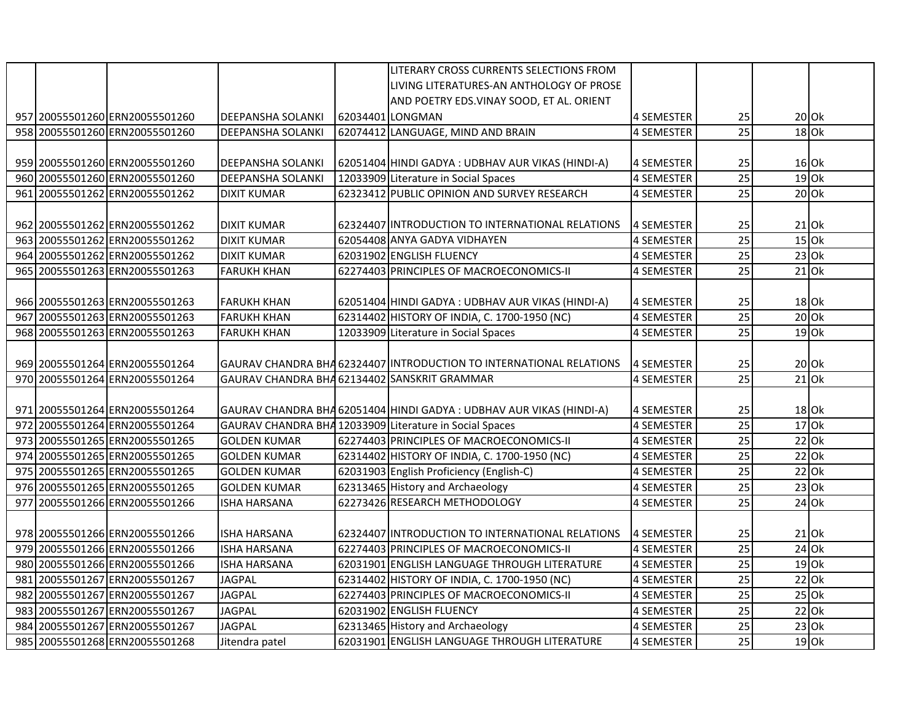|  |                                |                                              | LITERARY CROSS CURRENTS SELECTIONS FROM                              |                   |                 |         |  |
|--|--------------------------------|----------------------------------------------|----------------------------------------------------------------------|-------------------|-----------------|---------|--|
|  |                                |                                              | LIVING LITERATURES-AN ANTHOLOGY OF PROSE                             |                   |                 |         |  |
|  |                                |                                              | AND POETRY EDS. VINAY SOOD, ET AL. ORIENT                            |                   |                 |         |  |
|  | 957 20055501260 ERN20055501260 | <b>DEEPANSHA SOLANKI</b>                     | 62034401 LONGMAN                                                     | 4 SEMESTER        | 25              | $20$ Ok |  |
|  | 958 20055501260 ERN20055501260 | <b>DEEPANSHA SOLANKI</b>                     | 62074412 LANGUAGE, MIND AND BRAIN                                    | <b>4 SEMESTER</b> | $\overline{25}$ | $18$ Ok |  |
|  |                                |                                              |                                                                      |                   |                 |         |  |
|  | 959 20055501260 ERN20055501260 | <b>DEEPANSHA SOLANKI</b>                     | 62051404 HINDI GADYA : UDBHAV AUR VIKAS (HINDI-A)                    | 4 SEMESTER        | 25              | $16$ Ok |  |
|  | 960 20055501260 ERN20055501260 | <b>DEEPANSHA SOLANKI</b>                     | 12033909 Literature in Social Spaces                                 | 4 SEMESTER        | 25              | $19$ Ok |  |
|  | 961 20055501262 ERN20055501262 | <b>DIXIT KUMAR</b>                           | 62323412 PUBLIC OPINION AND SURVEY RESEARCH                          | <b>4 SEMESTER</b> | 25              | $20$ Ok |  |
|  |                                |                                              |                                                                      |                   |                 |         |  |
|  | 962 20055501262 ERN20055501262 | <b>DIXIT KUMAR</b>                           | 62324407 INTRODUCTION TO INTERNATIONAL RELATIONS                     | <b>4 SEMESTER</b> | 25              | $21$ Ok |  |
|  | 963 20055501262 ERN20055501262 | <b>DIXIT KUMAR</b>                           | 62054408 ANYA GADYA VIDHAYEN                                         | 4 SEMESTER        | 25              | $15$ Ok |  |
|  | 964 20055501262 ERN20055501262 | <b>DIXIT KUMAR</b>                           | 62031902 ENGLISH FLUENCY                                             | <b>4 SEMESTER</b> | 25              | $23$ Ok |  |
|  | 965 20055501263 ERN20055501263 | <b>FARUKH KHAN</b>                           | 62274403 PRINCIPLES OF MACROECONOMICS-II                             | 4 SEMESTER        | 25              | $21$ Ok |  |
|  |                                |                                              |                                                                      |                   |                 |         |  |
|  | 966 20055501263 ERN20055501263 | <b>FARUKH KHAN</b>                           | 62051404 HINDI GADYA : UDBHAV AUR VIKAS (HINDI-A)                    | 4 SEMESTER        | 25              | $18$ Ok |  |
|  | 967 20055501263 ERN20055501263 | <b>FARUKH KHAN</b>                           | 62314402 HISTORY OF INDIA, C. 1700-1950 (NC)                         | <b>4 SEMESTER</b> | 25              | $20$ Ok |  |
|  | 968 20055501263 ERN20055501263 | <b>FARUKH KHAN</b>                           | 12033909 Literature in Social Spaces                                 | 4 SEMESTER        | 25              | $19$ Ok |  |
|  |                                |                                              |                                                                      |                   |                 |         |  |
|  | 969 20055501264 ERN20055501264 |                                              | GAURAV CHANDRA BHA 62324407 INTRODUCTION TO INTERNATIONAL RELATIONS  | 4 SEMESTER        | 25              | $20$ Ok |  |
|  | 970 20055501264 ERN20055501264 | GAURAV CHANDRA BHA 62134402 SANSKRIT GRAMMAR |                                                                      | 4 SEMESTER        | 25              | $21$ Ok |  |
|  |                                |                                              |                                                                      |                   |                 |         |  |
|  | 971 20055501264 ERN20055501264 |                                              | GAURAV CHANDRA BHA 62051404 HINDI GADYA : UDBHAV AUR VIKAS (HINDI-A) | 4 SEMESTER        | 25              | $18$ Ok |  |
|  | 972 20055501264 ERN20055501264 |                                              | GAURAV CHANDRA BHA 12033909 Literature in Social Spaces              | <b>4 SEMESTER</b> | 25              | $17$ Ok |  |
|  | 973 20055501265 ERN20055501265 | <b>GOLDEN KUMAR</b>                          | 62274403 PRINCIPLES OF MACROECONOMICS-II                             | 4 SEMESTER        | 25              | $22$ Ok |  |
|  | 974 20055501265 ERN20055501265 | <b>GOLDEN KUMAR</b>                          | 62314402 HISTORY OF INDIA, C. 1700-1950 (NC)                         | 4 SEMESTER        | 25              | $22$ Ok |  |
|  | 975 20055501265 ERN20055501265 | <b>GOLDEN KUMAR</b>                          | 62031903 English Proficiency (English-C)                             | 4 SEMESTER        | $\overline{25}$ | $22$ Ok |  |
|  | 976 20055501265 ERN20055501265 | <b>GOLDEN KUMAR</b>                          | 62313465 History and Archaeology                                     | 4 SEMESTER        | $\overline{25}$ | $23$ Ok |  |
|  | 977 20055501266 ERN20055501266 | <b>ISHA HARSANA</b>                          | 62273426 RESEARCH METHODOLOGY                                        | 4 SEMESTER        | $\overline{25}$ | $24$ Ok |  |
|  |                                |                                              |                                                                      |                   |                 |         |  |
|  | 978 20055501266 ERN20055501266 | <b>ISHA HARSANA</b>                          | 62324407 INTRODUCTION TO INTERNATIONAL RELATIONS                     | 4 SEMESTER        | 25              | $21$ Ok |  |
|  | 979 20055501266 ERN20055501266 | <b>ISHA HARSANA</b>                          | 62274403 PRINCIPLES OF MACROECONOMICS-II                             | <b>4 SEMESTER</b> | $\overline{25}$ | $24$ Ok |  |
|  | 980 20055501266 ERN20055501266 | <b>ISHA HARSANA</b>                          | 62031901 ENGLISH LANGUAGE THROUGH LITERATURE                         | <b>4 SEMESTER</b> | $\overline{25}$ | $19$ Ok |  |
|  | 981 20055501267 ERN20055501267 | <b>JAGPAL</b>                                | 62314402 HISTORY OF INDIA, C. 1700-1950 (NC)                         | 4 SEMESTER        | 25              | $22$ Ok |  |
|  | 982 20055501267 ERN20055501267 | <b>JAGPAL</b>                                | 62274403 PRINCIPLES OF MACROECONOMICS-II                             | 4 SEMESTER        | $\overline{25}$ | $25$ Ok |  |
|  | 983 20055501267 ERN20055501267 | <b>JAGPAL</b>                                | 62031902 ENGLISH FLUENCY                                             | 4 SEMESTER        | 25              | 22 Ok   |  |
|  | 984 20055501267 ERN20055501267 | <b>JAGPAL</b>                                | 62313465 History and Archaeology                                     | 4 SEMESTER        | 25              | $23$ Ok |  |
|  | 985 20055501268 ERN20055501268 | Jitendra patel                               | 62031901 ENGLISH LANGUAGE THROUGH LITERATURE                         | 4 SEMESTER        | 25              | $19$ Ok |  |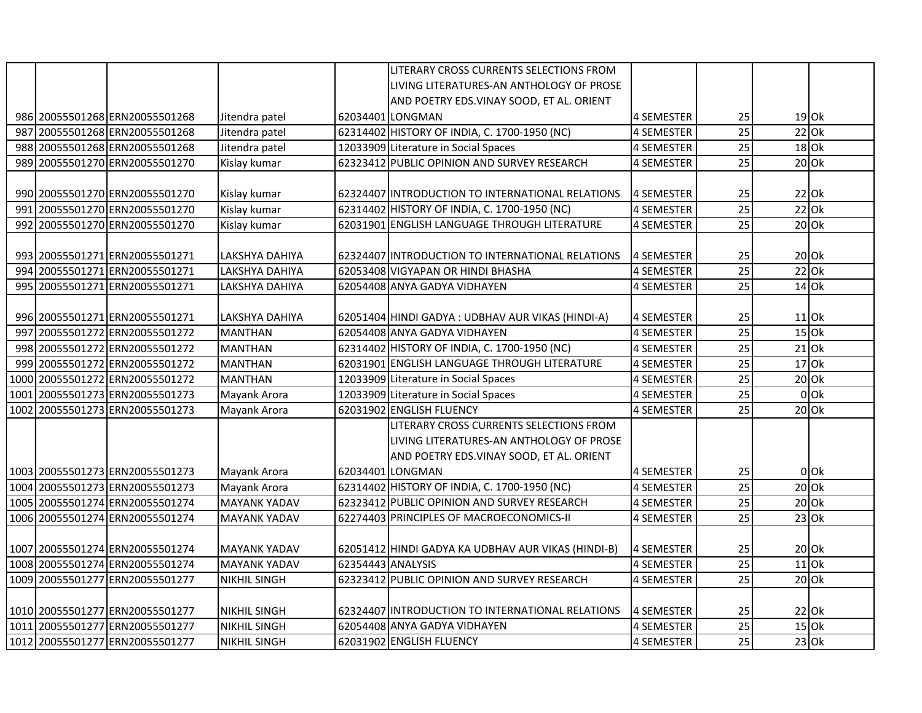|     |                                 |                     |                   | LITERARY CROSS CURRENTS SELECTIONS FROM            |                   |                 |         |         |
|-----|---------------------------------|---------------------|-------------------|----------------------------------------------------|-------------------|-----------------|---------|---------|
|     |                                 |                     |                   | LIVING LITERATURES-AN ANTHOLOGY OF PROSE           |                   |                 |         |         |
|     |                                 |                     |                   | AND POETRY EDS. VINAY SOOD, ET AL. ORIENT          |                   |                 |         |         |
|     | 986 20055501268 ERN20055501268  | Jitendra patel      |                   | 62034401 LONGMAN                                   | <b>4 SEMESTER</b> | 25              |         | $19$ Ok |
|     | 987 20055501268 ERN20055501268  | Jitendra patel      |                   | 62314402 HISTORY OF INDIA, C. 1700-1950 (NC)       | 4 SEMESTER        | 25              |         | $22$ Ok |
|     | 988 20055501268 ERN20055501268  | Jitendra patel      |                   | 12033909 Literature in Social Spaces               | 4 SEMESTER        | $\overline{25}$ |         | $18$ Ok |
|     | 989 20055501270 ERN20055501270  | Kislay kumar        |                   | 62323412 PUBLIC OPINION AND SURVEY RESEARCH        | 4 SEMESTER        | $\overline{25}$ |         | $20$ Ok |
|     |                                 |                     |                   |                                                    |                   |                 |         |         |
|     | 990 20055501270 ERN20055501270  | Kislay kumar        |                   | 62324407 INTRODUCTION TO INTERNATIONAL RELATIONS   | 4 SEMESTER        | 25              |         | $22$ Ok |
|     | 991 20055501270 ERN20055501270  | Kislay kumar        |                   | 62314402 HISTORY OF INDIA, C. 1700-1950 (NC)       | 4 SEMESTER        | $\overline{25}$ |         | $22$ Ok |
|     | 992 20055501270 ERN20055501270  | Kislay kumar        |                   | 62031901 ENGLISH LANGUAGE THROUGH LITERATURE       | 4 SEMESTER        | 25              |         | $20$ Ok |
|     |                                 |                     |                   |                                                    |                   |                 |         |         |
|     | 993 20055501271 ERN20055501271  | LAKSHYA DAHIYA      |                   | 62324407 INTRODUCTION TO INTERNATIONAL RELATIONS   | 4 SEMESTER        | 25              |         | $20$ Ok |
|     | 994 20055501271 ERN20055501271  | LAKSHYA DAHIYA      |                   | 62053408 VIGYAPAN OR HINDI BHASHA                  | 4 SEMESTER        | 25              |         | $22$ Ok |
|     | 995 20055501271 ERN20055501271  | LAKSHYA DAHIYA      |                   | 62054408 ANYA GADYA VIDHAYEN                       | 4 SEMESTER        | 25              |         | $14$ Ok |
|     |                                 |                     |                   |                                                    |                   |                 |         |         |
|     | 996 20055501271 ERN20055501271  | LAKSHYA DAHIYA      |                   | 62051404 HINDI GADYA : UDBHAV AUR VIKAS (HINDI-A)  | 4 SEMESTER        | 25              |         | $11$ Ok |
| 997 | 20055501272 ERN20055501272      | <b>MANTHAN</b>      |                   | 62054408 ANYA GADYA VIDHAYEN                       | 4 SEMESTER        | 25              |         | $15$ Ok |
|     | 998 20055501272 ERN20055501272  | <b>MANTHAN</b>      |                   | 62314402 HISTORY OF INDIA, C. 1700-1950 (NC)       | 4 SEMESTER        | $\overline{25}$ |         | $21$ Ok |
|     | 999 20055501272 ERN20055501272  | <b>MANTHAN</b>      |                   | 62031901 ENGLISH LANGUAGE THROUGH LITERATURE       | 4 SEMESTER        | 25              |         | $17$ Ok |
|     | 1000 20055501272 ERN20055501272 | <b>MANTHAN</b>      |                   | 12033909 Literature in Social Spaces               | 4 SEMESTER        | 25              |         | $20$ Ok |
|     | 1001 20055501273 ERN20055501273 | Mayank Arora        |                   | 12033909 Literature in Social Spaces               | 4 SEMESTER        | 25              |         | $0$ Ok  |
|     | 1002 20055501273 ERN20055501273 | Mayank Arora        |                   | 62031902 ENGLISH FLUENCY                           | 4 SEMESTER        | $\overline{25}$ |         | $20$ Ok |
|     |                                 |                     |                   | LITERARY CROSS CURRENTS SELECTIONS FROM            |                   |                 |         |         |
|     |                                 |                     |                   | LIVING LITERATURES-AN ANTHOLOGY OF PROSE           |                   |                 |         |         |
|     |                                 |                     |                   | AND POETRY EDS. VINAY SOOD, ET AL. ORIENT          |                   |                 |         |         |
|     | 1003 20055501273 ERN20055501273 | Mayank Arora        |                   | 62034401 LONGMAN                                   | 4 SEMESTER        | 25              |         | $0$ Ok  |
|     | 1004 20055501273 ERN20055501273 | Mayank Arora        |                   | 62314402 HISTORY OF INDIA, C. 1700-1950 (NC)       | 4 SEMESTER        | 25              |         | $20$ Ok |
|     | 1005 20055501274 ERN20055501274 | <b>MAYANK YADAV</b> |                   | 62323412 PUBLIC OPINION AND SURVEY RESEARCH        | 4 SEMESTER        | $\overline{25}$ |         | $20$ Ok |
|     | 1006 20055501274 ERN20055501274 | <b>MAYANK YADAV</b> |                   | 62274403 PRINCIPLES OF MACROECONOMICS-II           | <b>4 SEMESTER</b> | $\overline{25}$ |         | $23$ Ok |
|     |                                 |                     |                   |                                                    |                   |                 |         |         |
|     | 1007 20055501274 ERN20055501274 | <b>MAYANK YADAV</b> |                   | 62051412 HINDI GADYA KA UDBHAV AUR VIKAS (HINDI-B) | 4 SEMESTER        | 25              |         | $20$ Ok |
|     | 1008 20055501274 ERN20055501274 | <b>MAYANK YADAV</b> | 62354443 ANALYSIS |                                                    | 4 SEMESTER        | $\overline{25}$ | $11$ Ok |         |
|     | 1009 20055501277 ERN20055501277 | <b>NIKHIL SINGH</b> |                   | 62323412 PUBLIC OPINION AND SURVEY RESEARCH        | 4 SEMESTER        | $\overline{25}$ |         | $20$ Ok |
|     |                                 |                     |                   |                                                    |                   |                 |         |         |
|     | 1010 20055501277 ERN20055501277 | <b>NIKHIL SINGH</b> |                   | 62324407 INTRODUCTION TO INTERNATIONAL RELATIONS   | 4 SEMESTER        | 25              |         | $22$ Ok |
|     | 1011 20055501277 ERN20055501277 | <b>NIKHIL SINGH</b> |                   | 62054408 ANYA GADYA VIDHAYEN                       | 4 SEMESTER        | 25              |         | $15$ Ok |
|     | 1012 20055501277 ERN20055501277 | <b>NIKHIL SINGH</b> |                   | 62031902 ENGLISH FLUENCY                           | 4 SEMESTER        | 25              |         | $23$ Ok |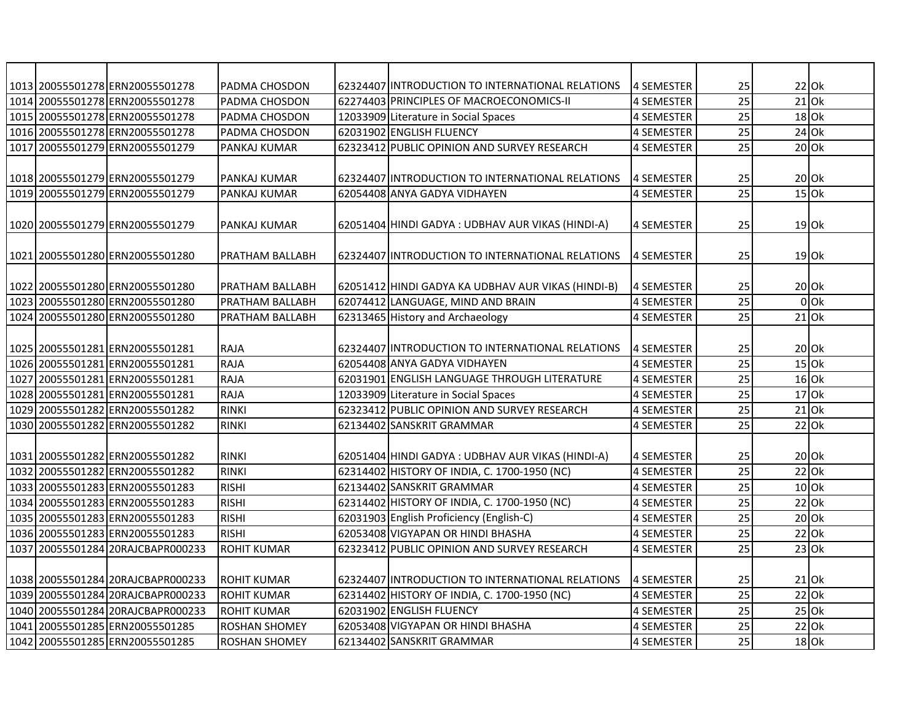|      | 1013 20055501278 ERN20055501278   | PADMA CHOSDON          | 62324407 INTRODUCTION TO INTERNATIONAL RELATIONS   | <b>4 SEMESTER</b> | 25              | $22$ Ok |        |
|------|-----------------------------------|------------------------|----------------------------------------------------|-------------------|-----------------|---------|--------|
|      | 1014 20055501278 ERN20055501278   | PADMA CHOSDON          | 62274403 PRINCIPLES OF MACROECONOMICS-II           | 4 SEMESTER        | $\overline{25}$ | $21$ Ok |        |
|      | 1015 20055501278 ERN20055501278   | PADMA CHOSDON          | 12033909 Literature in Social Spaces               | 4 SEMESTER        | $\overline{25}$ | $18$ Ok |        |
|      | 1016 20055501278 ERN20055501278   | PADMA CHOSDON          | 62031902 ENGLISH FLUENCY                           | 4 SEMESTER        | 25              | $24$ Ok |        |
|      | 1017 20055501279 ERN20055501279   | PANKAJ KUMAR           | 62323412 PUBLIC OPINION AND SURVEY RESEARCH        | 4 SEMESTER        | $\overline{25}$ | $20$ Ok |        |
|      |                                   |                        |                                                    |                   |                 |         |        |
|      | 1018 20055501279 ERN20055501279   | PANKAJ KUMAR           | 62324407 INTRODUCTION TO INTERNATIONAL RELATIONS   | 4 SEMESTER        | 25              | $20$ Ok |        |
|      | 1019 20055501279 ERN20055501279   | <b>PANKAJ KUMAR</b>    | 62054408 ANYA GADYA VIDHAYEN                       | <b>4 SEMESTER</b> | 25              | $15$ Ok |        |
|      |                                   |                        |                                                    |                   |                 |         |        |
|      | 1020 20055501279 ERN20055501279   | <b>PANKAJ KUMAR</b>    | 62051404 HINDI GADYA : UDBHAV AUR VIKAS (HINDI-A)  | 4 SEMESTER        | 25              | $19$ Ok |        |
|      |                                   |                        |                                                    |                   |                 |         |        |
|      | 1021 20055501280 ERN20055501280   | <b>PRATHAM BALLABH</b> | 62324407 INTRODUCTION TO INTERNATIONAL RELATIONS   | 4 SEMESTER        | 25              | 19 Ok   |        |
|      |                                   |                        |                                                    |                   |                 |         |        |
|      | 1022 20055501280 ERN20055501280   | PRATHAM BALLABH        | 62051412 HINDI GADYA KA UDBHAV AUR VIKAS (HINDI-B) | 4 SEMESTER        | 25              | $20$ Ok |        |
|      | 1023 20055501280 ERN20055501280   | PRATHAM BALLABH        | 62074412 LANGUAGE, MIND AND BRAIN                  | 4 SEMESTER        | 25              |         | $0$ Ok |
|      | 1024 20055501280 ERN20055501280   | PRATHAM BALLABH        | 62313465 History and Archaeology                   | 4 SEMESTER        | 25              | $21$ Ok |        |
|      |                                   |                        |                                                    |                   |                 |         |        |
|      | 1025 20055501281 ERN20055501281   | <b>RAJA</b>            | 62324407 INTRODUCTION TO INTERNATIONAL RELATIONS   | 4 SEMESTER        | 25              | $20$ Ok |        |
|      | 1026 20055501281 ERN20055501281   | RAJA                   | 62054408 ANYA GADYA VIDHAYEN                       | 4 SEMESTER        | 25              | $15$ Ok |        |
|      | 1027 20055501281 ERN20055501281   | <b>RAJA</b>            | 62031901 ENGLISH LANGUAGE THROUGH LITERATURE       | 4 SEMESTER        | 25              | $16$ Ok |        |
|      | 1028 20055501281 ERN20055501281   | <b>RAJA</b>            | 12033909 Literature in Social Spaces               | <b>4 SEMESTER</b> | 25              | $17$ Ok |        |
|      | 1029 20055501282 ERN20055501282   | <b>RINKI</b>           | 62323412 PUBLIC OPINION AND SURVEY RESEARCH        | <b>4 SEMESTER</b> | $\overline{25}$ | $21$ Ok |        |
|      | 1030 20055501282 ERN20055501282   | <b>RINKI</b>           | 62134402 SANSKRIT GRAMMAR                          | <b>4 SEMESTER</b> | $\overline{25}$ | 22 Ok   |        |
|      |                                   |                        |                                                    |                   |                 |         |        |
|      | 1031 20055501282 ERN20055501282   | <b>RINKI</b>           | 62051404 HINDI GADYA : UDBHAV AUR VIKAS (HINDI-A)  | 4 SEMESTER        | 25              | $20$ Ok |        |
|      | 1032 20055501282 ERN20055501282   | <b>RINKI</b>           | 62314402 HISTORY OF INDIA, C. 1700-1950 (NC)       | 4 SEMESTER        | $\overline{25}$ | $22$ Ok |        |
|      | 1033 20055501283 ERN20055501283   | <b>RISHI</b>           | 62134402 SANSKRIT GRAMMAR                          | 4 SEMESTER        | 25              | $10$ Ok |        |
|      | 1034 20055501283 ERN20055501283   | <b>RISHI</b>           | 62314402 HISTORY OF INDIA, C. 1700-1950 (NC)       | 4 SEMESTER        | $\overline{25}$ | $22$ Ok |        |
|      | 1035 20055501283 ERN20055501283   | <b>RISHI</b>           | 62031903 English Proficiency (English-C)           | 4 SEMESTER        | $\overline{25}$ | $20$ Ok |        |
|      | 1036 20055501283 ERN20055501283   | <b>RISHI</b>           | 62053408 VIGYAPAN OR HINDI BHASHA                  | 4 SEMESTER        | 25              | $22$ Ok |        |
|      | 1037 20055501284 20RAJCBAPR000233 | <b>ROHIT KUMAR</b>     | 62323412 PUBLIC OPINION AND SURVEY RESEARCH        | 4 SEMESTER        | 25              | $23$ Ok |        |
|      |                                   |                        |                                                    |                   |                 |         |        |
|      | 1038 20055501284 20RAJCBAPR000233 | <b>ROHIT KUMAR</b>     | 62324407 INTRODUCTION TO INTERNATIONAL RELATIONS   | 4 SEMESTER        | 25              | $21$ Ok |        |
|      | 1039 20055501284 20RAJCBAPR000233 | <b>ROHIT KUMAR</b>     | 62314402 HISTORY OF INDIA, C. 1700-1950 (NC)       | 4 SEMESTER        | 25              | 22 Ok   |        |
|      | 1040 20055501284 20RAJCBAPR000233 | <b>ROHIT KUMAR</b>     | 62031902 ENGLISH FLUENCY                           | 4 SEMESTER        | 25              | $25$ Ok |        |
| 1041 | 20055501285 ERN20055501285        | <b>ROSHAN SHOMEY</b>   | 62053408 VIGYAPAN OR HINDI BHASHA                  | 4 SEMESTER        | 25              | $22$ Ok |        |
|      | 1042 20055501285 ERN20055501285   | <b>ROSHAN SHOMEY</b>   | 62134402 SANSKRIT GRAMMAR                          | 4 SEMESTER        | 25              | 18 Ok   |        |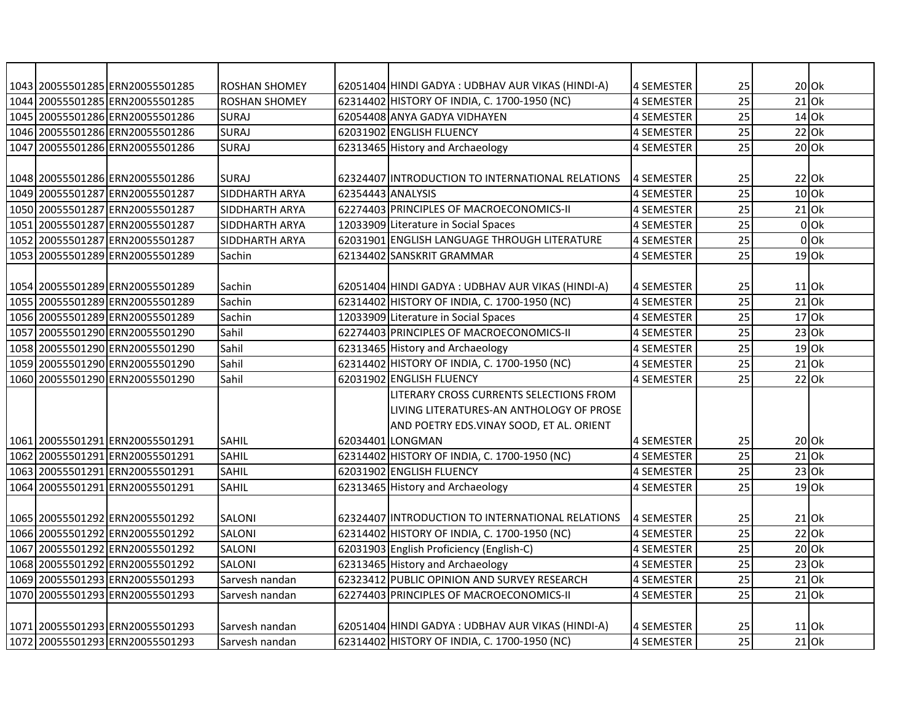|  | 1043 20055501285 ERN20055501285 | <b>ROSHAN SHOMEY</b>  |                   | 62051404 HINDI GADYA : UDBHAV AUR VIKAS (HINDI-A) | 4 SEMESTER        | 25              |         | $20$ Ok |
|--|---------------------------------|-----------------------|-------------------|---------------------------------------------------|-------------------|-----------------|---------|---------|
|  | 1044 20055501285 ERN20055501285 | <b>ROSHAN SHOMEY</b>  |                   | 62314402 HISTORY OF INDIA, C. 1700-1950 (NC)      | 4 SEMESTER        | $\overline{25}$ |         | $21$ Ok |
|  | 1045 20055501286 ERN20055501286 | <b>SURAJ</b>          |                   | 62054408 ANYA GADYA VIDHAYEN                      | 4 SEMESTER        | $\overline{25}$ | $14$ Ok |         |
|  | 1046 20055501286 ERN20055501286 | <b>SURAJ</b>          |                   | 62031902 ENGLISH FLUENCY                          | 4 SEMESTER        | $\overline{25}$ |         | $22$ Ok |
|  | 1047 20055501286 ERN20055501286 | <b>SURAJ</b>          |                   | 62313465 History and Archaeology                  | 4 SEMESTER        | $\overline{25}$ |         | $20$ Ok |
|  |                                 |                       |                   |                                                   |                   |                 |         |         |
|  | 1048 20055501286 ERN20055501286 | <b>SURAJ</b>          |                   | 62324407 INTRODUCTION TO INTERNATIONAL RELATIONS  | 4 SEMESTER        | 25              | 22 Ok   |         |
|  | 1049 20055501287 ERN20055501287 | SIDDHARTH ARYA        | 62354443 ANALYSIS |                                                   | <b>4 SEMESTER</b> | $\overline{25}$ | $10$ Ok |         |
|  | 1050 20055501287 ERN20055501287 | <b>SIDDHARTH ARYA</b> |                   | 62274403 PRINCIPLES OF MACROECONOMICS-II          | 4 SEMESTER        | 25              | $21$ Ok |         |
|  | 1051 20055501287 ERN20055501287 | <b>SIDDHARTH ARYA</b> |                   | 12033909 Literature in Social Spaces              | 4 SEMESTER        | 25              |         | $0$ Ok  |
|  | 1052 20055501287 ERN20055501287 | <b>SIDDHARTH ARYA</b> |                   | 62031901 ENGLISH LANGUAGE THROUGH LITERATURE      | <b>4 SEMESTER</b> | 25              |         | $0$ Ok  |
|  | 1053 20055501289 ERN20055501289 | Sachin                |                   | 62134402 SANSKRIT GRAMMAR                         | <b>4 SEMESTER</b> | 25              | $19$ Ok |         |
|  |                                 |                       |                   |                                                   |                   |                 |         |         |
|  | 1054 20055501289 ERN20055501289 | Sachin                |                   | 62051404 HINDI GADYA : UDBHAV AUR VIKAS (HINDI-A) | 4 SEMESTER        | 25              | $11$ Ok |         |
|  | 1055 20055501289 ERN20055501289 | Sachin                |                   | 62314402 HISTORY OF INDIA, C. 1700-1950 (NC)      | 4 SEMESTER        | 25              | $21$ Ok |         |
|  | 1056 20055501289 ERN20055501289 | Sachin                |                   | 12033909 Literature in Social Spaces              | 4 SEMESTER        | 25              | $17$ Ok |         |
|  | 1057 20055501290 ERN20055501290 | Sahil                 |                   | 62274403 PRINCIPLES OF MACROECONOMICS-II          | 4 SEMESTER        | 25              | $23$ Ok |         |
|  | 1058 20055501290 ERN20055501290 | Sahil                 |                   | 62313465 History and Archaeology                  | 4 SEMESTER        | 25              | $19$ Ok |         |
|  | 1059 20055501290 ERN20055501290 | Sahil                 |                   | 62314402 HISTORY OF INDIA, C. 1700-1950 (NC)      | <b>4 SEMESTER</b> | 25              |         | $21$ Ok |
|  | 1060 20055501290 ERN20055501290 | Sahil                 |                   | 62031902 ENGLISH FLUENCY                          | <b>4 SEMESTER</b> | $\overline{25}$ |         | $22$ Ok |
|  |                                 |                       |                   | LITERARY CROSS CURRENTS SELECTIONS FROM           |                   |                 |         |         |
|  |                                 |                       |                   | LIVING LITERATURES-AN ANTHOLOGY OF PROSE          |                   |                 |         |         |
|  |                                 |                       |                   | AND POETRY EDS.VINAY SOOD, ET AL. ORIENT          |                   |                 |         |         |
|  | 1061 20055501291 ERN20055501291 | <b>SAHIL</b>          |                   | 62034401 LONGMAN                                  | <b>4 SEMESTER</b> | 25              |         | $20$ Ok |
|  | 1062 20055501291 ERN20055501291 | <b>SAHIL</b>          |                   | 62314402 HISTORY OF INDIA, C. 1700-1950 (NC)      | <b>4 SEMESTER</b> | 25              | $21$ Ok |         |
|  | 1063 20055501291 ERN20055501291 | <b>SAHIL</b>          |                   | 62031902 ENGLISH FLUENCY                          | <b>4 SEMESTER</b> | 25              | $23$ Ok |         |
|  | 1064 20055501291 ERN20055501291 | SAHIL                 |                   | 62313465 History and Archaeology                  | 4 SEMESTER        | $\overline{25}$ | $19$ Ok |         |
|  |                                 |                       |                   |                                                   |                   |                 |         |         |
|  | 1065 20055501292 ERN20055501292 | <b>SALONI</b>         |                   | 62324407 INTRODUCTION TO INTERNATIONAL RELATIONS  | 4 SEMESTER        | 25              | $21$ Ok |         |
|  | 1066 20055501292 ERN20055501292 | <b>SALONI</b>         |                   | 62314402 HISTORY OF INDIA, C. 1700-1950 (NC)      | 4 SEMESTER        | $\overline{25}$ | $22$ Ok |         |
|  | 1067 20055501292 ERN20055501292 | <b>SALONI</b>         |                   | 62031903 English Proficiency (English-C)          | <b>4 SEMESTER</b> | $\overline{25}$ | $20$ Ok |         |
|  | 1068 20055501292 ERN20055501292 | <b>SALONI</b>         |                   | 62313465 History and Archaeology                  | 4 SEMESTER        | $\overline{25}$ |         | $23$ Ok |
|  | 1069 20055501293 ERN20055501293 | Sarvesh nandan        |                   | 62323412 PUBLIC OPINION AND SURVEY RESEARCH       | <b>4 SEMESTER</b> | $\overline{25}$ | $21$ Ok |         |
|  | 1070 20055501293 ERN20055501293 | Sarvesh nandan        |                   | 62274403 PRINCIPLES OF MACROECONOMICS-II          | 4 SEMESTER        | $\overline{25}$ | $21$ Ok |         |
|  |                                 |                       |                   |                                                   |                   |                 |         |         |
|  | 1071 20055501293 ERN20055501293 | Sarvesh nandan        |                   | 62051404 HINDI GADYA : UDBHAV AUR VIKAS (HINDI-A) | 4 SEMESTER        | 25              | $11$ Ok |         |
|  | 1072 20055501293 ERN20055501293 | Sarvesh nandan        |                   | 62314402 HISTORY OF INDIA, C. 1700-1950 (NC)      | 4 SEMESTER        | 25              | $21$ Ok |         |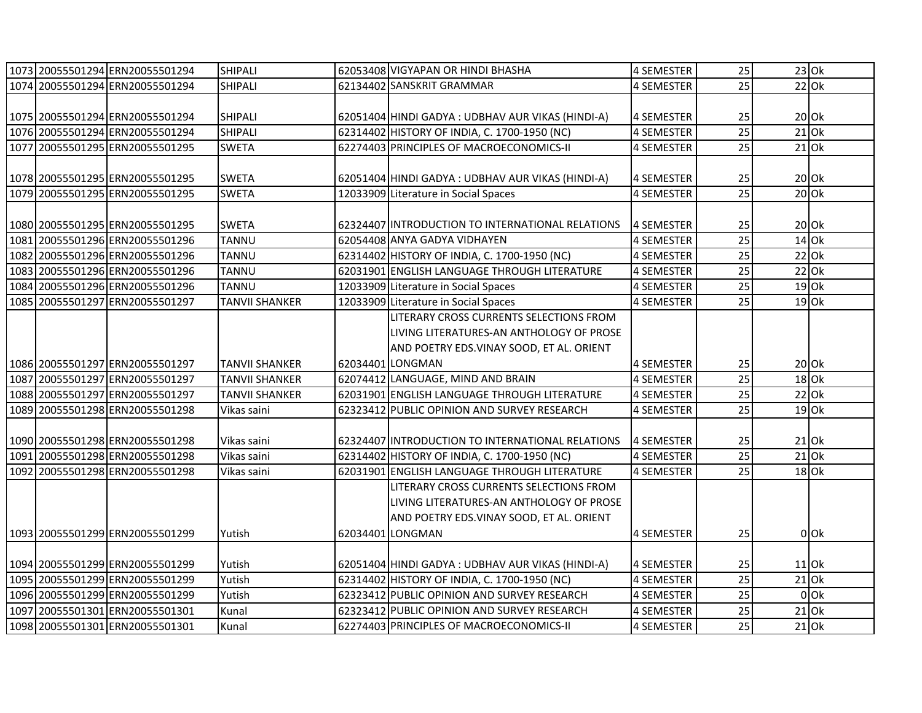|      | 1073 20055501294 ERN20055501294                               | <b>SHIPALI</b>        |                  | 62053408 VIGYAPAN OR HINDI BHASHA                                                       | 4 SEMESTER                             | 25              |         | $23$ Ok            |
|------|---------------------------------------------------------------|-----------------------|------------------|-----------------------------------------------------------------------------------------|----------------------------------------|-----------------|---------|--------------------|
|      | 1074 20055501294 ERN20055501294                               | <b>SHIPALI</b>        |                  | 62134402 SANSKRIT GRAMMAR                                                               | <b>4 SEMESTER</b>                      | $\overline{25}$ |         | $22$ Ok            |
|      |                                                               |                       |                  |                                                                                         |                                        |                 |         |                    |
|      | 1075 20055501294 ERN20055501294                               | <b>SHIPALI</b>        |                  | 62051404 HINDI GADYA : UDBHAV AUR VIKAS (HINDI-A)                                       | 4 SEMESTER                             | 25              |         | $20$ Ok            |
|      | 1076 20055501294 ERN20055501294                               | <b>SHIPALI</b>        |                  | 62314402 HISTORY OF INDIA, C. 1700-1950 (NC)                                            | 4 SEMESTER                             | $\overline{25}$ |         | $21$ Ok            |
|      | 1077 20055501295 ERN20055501295                               | <b>SWETA</b>          |                  | 62274403 PRINCIPLES OF MACROECONOMICS-II                                                | 4 SEMESTER                             | $\overline{25}$ |         | $21$ Ok            |
|      |                                                               |                       |                  |                                                                                         |                                        |                 |         |                    |
|      | 1078 20055501295 ERN20055501295                               | <b>SWETA</b>          |                  | 62051404 HINDI GADYA : UDBHAV AUR VIKAS (HINDI-A)                                       | 4 SEMESTER                             | 25              |         | $20$ Ok            |
|      | 1079 20055501295 ERN20055501295                               | <b>SWETA</b>          |                  | 12033909 Literature in Social Spaces                                                    | 4 SEMESTER                             | 25              |         | $20$ Ok            |
|      |                                                               |                       |                  |                                                                                         |                                        |                 |         |                    |
|      | 1080 20055501295 ERN20055501295                               | <b>SWETA</b>          |                  | 62324407 INTRODUCTION TO INTERNATIONAL RELATIONS                                        | <b>4 SEMESTER</b>                      | 25              |         | $20$ Ok            |
|      | 1081 20055501296 ERN20055501296                               | TANNU                 |                  | 62054408 ANYA GADYA VIDHAYEN                                                            | 4 SEMESTER                             | 25              |         | $14$ Ok            |
|      | 1082 20055501296 ERN20055501296                               | TANNU                 |                  | 62314402 HISTORY OF INDIA, C. 1700-1950 (NC)                                            | 4 SEMESTER                             | $\overline{25}$ |         | $22$ Ok            |
|      | 1083 20055501296 ERN20055501296                               | TANNU                 |                  | 62031901 ENGLISH LANGUAGE THROUGH LITERATURE                                            | 4 SEMESTER                             | $\overline{25}$ |         | $22$ Ok            |
|      | 1084 20055501296 ERN20055501296                               | TANNU                 |                  | 12033909 Literature in Social Spaces                                                    | 4 SEMESTER                             | $\overline{25}$ |         | $19$ Ok            |
|      | 1085 20055501297 ERN20055501297                               | TANVII SHANKER        |                  | 12033909 Literature in Social Spaces                                                    | <b>4 SEMESTER</b>                      | 25              |         | $19$ Ok            |
|      |                                                               |                       |                  | LITERARY CROSS CURRENTS SELECTIONS FROM                                                 |                                        |                 |         |                    |
|      |                                                               |                       |                  | LIVING LITERATURES-AN ANTHOLOGY OF PROSE                                                |                                        |                 |         |                    |
|      |                                                               |                       |                  | AND POETRY EDS.VINAY SOOD, ET AL. ORIENT                                                |                                        |                 |         |                    |
|      |                                                               |                       |                  |                                                                                         |                                        |                 |         |                    |
|      | 1086 20055501297 ERN20055501297                               | <b>TANVII SHANKER</b> | 62034401 LONGMAN |                                                                                         | 4 SEMESTER                             | 25              | $20$ Ok |                    |
|      | 1087 20055501297 ERN20055501297                               | <b>TANVII SHANKER</b> |                  | 62074412 LANGUAGE, MIND AND BRAIN                                                       | 4 SEMESTER                             | 25              |         | $18$ Ok            |
|      | 1088 20055501297 ERN20055501297                               | <b>TANVII SHANKER</b> |                  | 62031901 ENGLISH LANGUAGE THROUGH LITERATURE                                            | 4 SEMESTER                             | 25              |         | $22$ Ok            |
|      | 1089 20055501298 ERN20055501298                               | Vikas saini           |                  | 62323412 PUBLIC OPINION AND SURVEY RESEARCH                                             | <b>4 SEMESTER</b>                      | $\overline{25}$ |         | $19$ Ok            |
|      |                                                               |                       |                  |                                                                                         |                                        |                 |         |                    |
|      | 1090 20055501298 ERN20055501298                               | Vikas saini           |                  | 62324407 INTRODUCTION TO INTERNATIONAL RELATIONS                                        | 4 SEMESTER                             | 25              |         | $21$ Ok            |
|      | 1091 20055501298 ERN20055501298                               | Vikas saini           |                  | 62314402 HISTORY OF INDIA, C. 1700-1950 (NC)                                            | <b>4 SEMESTER</b>                      | 25              |         | $21$ Ok            |
|      | 1092 20055501298 ERN20055501298                               | Vikas saini           |                  | 62031901 ENGLISH LANGUAGE THROUGH LITERATURE                                            | 4 SEMESTER                             | $\overline{25}$ |         | $18$ Ok            |
|      |                                                               |                       |                  | LITERARY CROSS CURRENTS SELECTIONS FROM                                                 |                                        |                 |         |                    |
|      |                                                               |                       |                  | LIVING LITERATURES-AN ANTHOLOGY OF PROSE                                                |                                        |                 |         |                    |
|      |                                                               |                       |                  | AND POETRY EDS.VINAY SOOD, ET AL. ORIENT                                                |                                        |                 |         |                    |
|      | 1093 20055501299 ERN20055501299                               | Yutish                |                  | 62034401 LONGMAN                                                                        | <b>4 SEMESTER</b>                      | 25              |         | $0$ Ok             |
|      |                                                               |                       |                  |                                                                                         |                                        |                 |         |                    |
|      | 1094 20055501299 ERN20055501299                               | Yutish                |                  | 62051404 HINDI GADYA : UDBHAV AUR VIKAS (HINDI-A)                                       | <b>4 SEMESTER</b>                      | 25              |         | $11$ Ok            |
|      | 1095 20055501299 ERN20055501299                               | Yutish                |                  | 62314402 HISTORY OF INDIA, C. 1700-1950 (NC)                                            | <b>4 SEMESTER</b>                      | 25              |         | $21$ Ok            |
|      | 1096 20055501299 ERN20055501299                               | Yutish                |                  | 62323412 PUBLIC OPINION AND SURVEY RESEARCH                                             | <b>4 SEMESTER</b>                      | 25              |         | $0$ Ok             |
| 1097 | 20055501301 ERN20055501301<br>1098 20055501301 ERN20055501301 | Kunal<br>Kunal        |                  | 62323412 PUBLIC OPINION AND SURVEY RESEARCH<br>62274403 PRINCIPLES OF MACROECONOMICS-II | <b>4 SEMESTER</b><br><b>4 SEMESTER</b> | 25<br>25        |         | $21$ Ok<br>$21$ Ok |